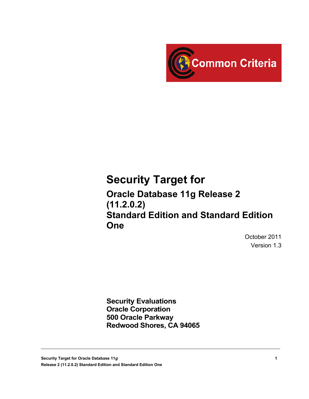

# **Security Target for**

**Oracle Database 11g Release 2 (11.2.0.2) Standard Edition and Standard Edition One**

> October 2011 Version 1.3

**Security Evaluations Oracle Corporation 500 Oracle Parkway Redwood Shores, CA 94065**

**Security Target for Oracle Database 11***g* **1 Release 2 (11.2.0.2) Standard Edition and Standard Edition One**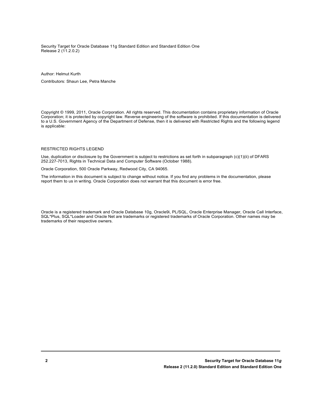Security Target for Oracle Database 11g Standard Edition and Standard Edition One Release 2 (11.2.0.2)

#### Author: Helmut Kurth

Contributors: Shaun Lee, Petra Manche

Copyright © 1999, 2011, Oracle Corporation. All rights reserved. This documentation contains proprietary information of Oracle Corporation; it is protected by copyright law. Reverse engineering of the software is prohibited. If this documentation is delivered to a U.S. Government Agency of the Department of Defense, then it is delivered with Restricted Rights and the following legend is applicable:

#### RESTRICTED RIGHTS LEGEND

Use, duplication or disclosure by the Government is subject to restrictions as set forth in subparagraph (c)(1)(ii) of DFARS 252.227-7013, Rights in Technical Data and Computer Software (October 1988).

Oracle Corporation, 500 Oracle Parkway, Redwood City, CA 94065.

The information in this document is subject to change without notice. If you find any problems in the documentation, please report them to us in writing. Oracle Corporation does not warrant that this document is error free.

Oracle is a registered trademark and Oracle Database 10g, Oracle9i, PL/SQL, Oracle Enterprise Manager, Oracle Call Interface, SQL\*Plus, SQL\*Loader and Oracle Net are trademarks or registered trademarks of Oracle Corporation. Other names may be trademarks of their respective owners.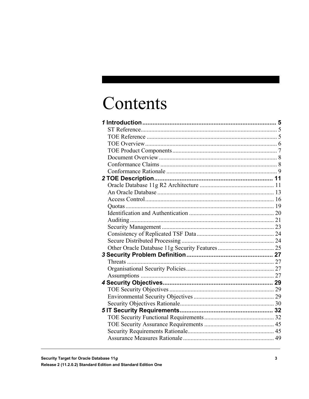# Contents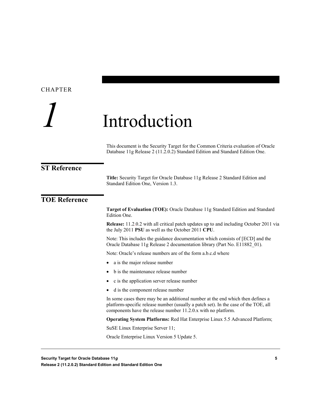### <span id="page-4-0"></span>CHAPTER

# *1* Introduction

This document is the Security Target for the Common Criteria evaluation of Oracle Database 11g Release 2 (11.2.0.2) Standard Edition and Standard Edition One.

#### <span id="page-4-1"></span>**ST Reference**

**Title:** Security Target for Oracle Database 11g Release 2 Standard Edition and Standard Edition One, Version 1.3.

## <span id="page-4-2"></span>**TOE Reference**

**Target of Evaluation (TOE):** Oracle Database 11g Standard Edition and Standard Edition One.

**Release:** 11.2.0.2 with all critical patch updates up to and including October 2011 via the July 2011 **PSU** as well as the October 2011 **CPU**.

Note: This includes the guidance documentation which consists of [ECD] and the Oracle Database 11g Release 2 documentation library (Part No. E11882\_01).

Note: Oracle's release numbers are of the form a.b.c.d where

- a is the major release number
- b is the maintenance release number
- c is the application server release number
- d is the component release number

In some cases there may be an additional number at the end which then defines a platform-specific release number (usually a patch set). In the case of the TOE, all components have the release number 11.2.0.x with no platform.

**Operating System Platforms:** Red Hat Enterprise Linux 5.5 Advanced Platform;

SuSE Linux Enterprise Server 11;

Oracle Enterprise Linux Version 5 Update 5.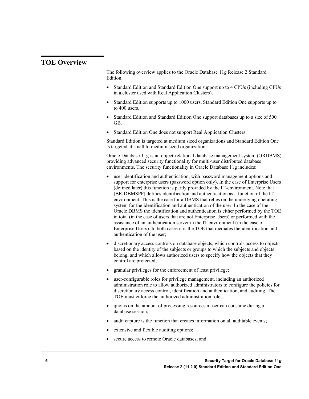# <span id="page-5-0"></span>**TOE Overview**

The following overview applies to the Oracle Database 11g Release 2 Standard Edition.

- Standard Edition and Standard Edition One support up to 4 CPUs (including CPUs in a cluster used with Real Application Clusters).
- Standard Edition supports up to 1000 users, Standard Edition One supports up to to 400 users.
- Standard Edition and Standard Edition One support databases up to a size of 500 GB.
- Standard Edition One does not support Real Application Clusters

Standard Edition is targeted at medium sized organizations and Standard Edition One is targeted at small to medium sized organizations.

Oracle Database 11g is an object-relational database management system (ORDBMS), providing advanced security functionality for multi-user distributed database environments. The security functionality in Oracle Database 11g includes:

- user identification and authentication, with password management options and support for enterprise users (password option only). In the case of Enterprise Users (defined later) this function is partly provided by the IT-environment. Note that [BR-DBMSPP] defines identification and authentication as a function of the IT environment. This is the case for a DBMS that relies on the underlying operating system for the identification and authentication of the user. In the case of the Oracle DBMS the identification and authentication is either performed by the TOE in total (in the case of users that are not Enterprise Users) or performed with the assistance of an authentication server in the IT environment (in the case of Enterprise Users). In both cases it is the TOE that mediates the identification and authentication of the user;
- discretionary access controls on database objects, which controls access to objects based on the identity of the subjects or groups to which the subjects and objects belong, and which allows authorized users to specify how the objects that they control are protected;
- granular privileges for the enforcement of least privilege;
- user-configurable roles for privilege management, including an authorized administration role to allow authorized administrators to configure the policies for discretionary access control, identification and authentication, and auditing. The TOE must enforce the authorized administration role;
- quotas on the amount of processing resources a user can consume during a database session;
- audit capture is the function that creates information on all auditable events;
- extensive and flexible auditing options;
- secure access to remote Oracle databases; and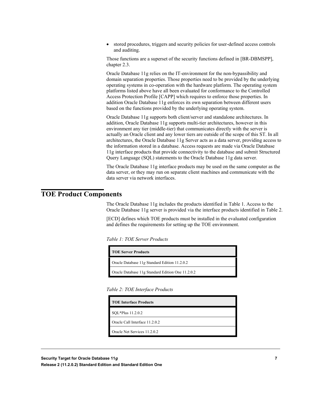stored procedures, triggers and security policies for user-defined access controls and auditing.

Those functions are a superset of the security functions defined in [BR-DBMSPP], chapter 2.3.

Oracle Database 11g relies on the IT-environment for the non-bypassibility and domain separation properties. Those properties need to be provided by the underlying operating systems in co-operation with the hardware platform. The operating system platforms listed above have all been evaluated for conformance to the Controlled Access Protection Profile [CAPP] which requires to enforce those properties. In addition Oracle Database 11g enforces its own separation between different users based on the functions provided by the underlying operating system.

Oracle Database 11g supports both client/server and standalone architectures. In addition, Oracle Database 11g supports multi-tier architectures, however in this environment any tier (middle-tier) that communicates directly with the server is actually an Oracle client and any lower tiers are outside of the scope of this ST. In all architectures, the Oracle Database 11g Server acts as a data server, providing access to the information stored in a database. Access requests are made via Oracle Database 11g interface products that provide connectivity to the database and submit Structured Query Language (SQL) statements to the Oracle Database 11g data server.

The Oracle Database 11g interface products may be used on the same computer as the data server, or they may run on separate client machines and communicate with the data server via network interfaces.

# <span id="page-6-0"></span>**TOE Product Components**

The Oracle Database 11g includes the products identified in Table 1. Access to the Oracle Database 11g server is provided via the interface products identified in Table 2.

[ECD] defines which TOE products must be installed in the evaluated configuration and defines the requirements for setting up the TOE environment.

| Table 1: TOE Server Products |  |  |  |
|------------------------------|--|--|--|
|------------------------------|--|--|--|

| <b>TOE Server Products</b>                        |
|---------------------------------------------------|
| Oracle Database 11g Standard Edition 11.2.0.2     |
| Oracle Database 11g Standard Edition One 11.2.0.2 |

|  | Table 2: TOE Interface Products |  |
|--|---------------------------------|--|
|  |                                 |  |

| <b>TOE Interface Products</b>  |
|--------------------------------|
| SQL*Plus 11.2.0.2              |
| Oracle Call Interface 11.2.0.2 |
| Oracle Net Services 11.2.0.2   |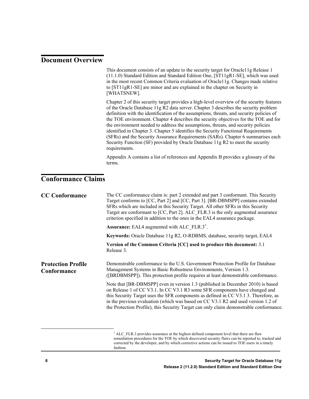### <span id="page-7-0"></span>**Document Overview**

This document consists of an update to the security target for Oracle11g Release 1 (11.1.0) Standard Edition and Standard Edition One, [ST11gR1-SE], which was used in the most recent Common Criteria evaluation of Oracle11g. Changes made relative to [ST11gR1-SE] are minor and are explained in the chapter on Security in [WHATSNEW].

Chapter 2 of this security target provides a high-level overview of the security features of the Oracle Database 11g R2 data server. Chapter 3 describes the security problem definition with the identification of the assumptions, threats, and security policies of the TOE environment. Chapter 4 describes the security objectives for the TOE and for the environment needed to address the assumptions, threats, and security policies identified in Chapter 3. Chapter 5 identifies the Security Functional Requirements (SFRs) and the Security Assurance Requirements (SARs). Chapter 6 summarises each Security Function (SF) provided by Oracle Database 11g R2 to meet the security requirements.

Appendix A contains a list of references and Appendix B provides a glossary of the terms.

# <span id="page-7-1"></span>**Conformance Claims**

| <b>CC Conformance</b>                    | The CC conformance claim is: part 2 extended and part 3 conformant. This Security<br>Target conforms to [CC, Part 2] and [CC, Part 3]. [BR-DBMSPP] contains extended<br>SFRs which are included in this Security Target. All other SFRs in this Security<br>Target are conformant to [CC, Part 2]. ALC FLR.3 is the only augmented assurance<br>criterion specified in addition to the ones in the EAL4 assurance package.           |  |  |
|------------------------------------------|--------------------------------------------------------------------------------------------------------------------------------------------------------------------------------------------------------------------------------------------------------------------------------------------------------------------------------------------------------------------------------------------------------------------------------------|--|--|
|                                          | <b>Assurance:</b> EAL4 augmented with ALC FLR.3 <sup>1</sup> .                                                                                                                                                                                                                                                                                                                                                                       |  |  |
|                                          | Keywords: Oracle Database 11g R2, O-RDBMS, database, security target, EAL4                                                                                                                                                                                                                                                                                                                                                           |  |  |
|                                          | Version of the Common Criteria [CC] used to produce this document: 3.1<br>Release 3.                                                                                                                                                                                                                                                                                                                                                 |  |  |
| <b>Protection Profile</b><br>Conformance | Demonstrable conformance to the U.S. Government Protection Profile for Database<br>Management Systems in Basic Robustness Environments, Version 1.3.<br>([BRDBMSPP]). This protection profile requires at least demonstrable conformance.                                                                                                                                                                                            |  |  |
|                                          | Note that [BR-DBMSPP] even in version 1.3 (published in December 2010) is based<br>on Release 1 of CC V3.1. In CC V3.1 R3 some SFR components have changed and<br>this Security Target uses the SFR components as defined in CC V3.1 3. Therefore, as<br>in the previous evaluation (which was based on CC V3.1 R2 and used version 1.2 of<br>the Protection Profile), this Security Target can only claim demonstrable conformance. |  |  |
|                                          |                                                                                                                                                                                                                                                                                                                                                                                                                                      |  |  |

<span id="page-7-2"></span> $1$  ALC FLR.3 provides assurance at the highest defined component level that there are flaw remediation procedures for the TOE by which discovered security flaws can be reported to, tracked and corrected by the developer, and by which corrective actions can be issued to TOE users in a timely fashion.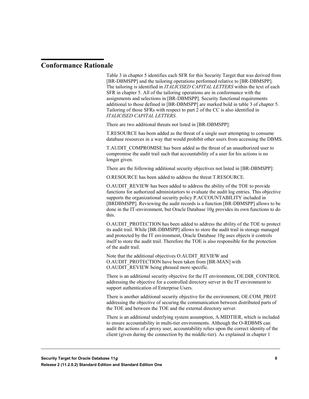### <span id="page-8-0"></span>**Conformance Rationale**

Table 3 in chapter 5 identifies each SFR for this Security Target that was derived from [BR-DBMSPP] and the tailoring operations performed relative to [BR-DBMSPP]. The tailoring is identified in *ITALICISED CAPITAL LETTERS* within the text of each SFR in chapter 5. All of the tailoring operations are in conformance with the assignments and selections in [BR-DBMSPP]. Security functional requirements additional to those defined in [BR-DBMSPP] are marked bold in table 3 of chapter 5. Tailoring of those SFRs with respect to part 2 of the CC is also identified in *ITALICISED CAPITAL LETTERS*.

There are two additional threats not listed in [BR-DBMSPP]:

T.RESOURCE has been added as the threat of a single user attempting to consume database resources in a way that would prohibit other users from accessing the DBMS.

T.AUDIT\_COMPROMISE has been added as the threat of an unauthorized user to compromise the audit trail such that accountability of a user for his actions is no longer given.

There are the following additional security objectives not listed in [BR-DBMSPP]:

O.RESOURCE has been added to address the threat T.RESOURCE.

O.AUDIT\_REVIEW has been added to address the ability of the TOE to provide functions for authorized administartors to evaluate the audit log entries. This objective supports the organizational security policy P.ACCOUNTABILITY included in [BRDBMSPP]. Reviewing the audit records is a function [BR-DBMSPP] allows to be done in the IT-environment, but Oracle Database 10g provides its own functions to do this.

O.AUDIT\_PROTECTION has been added to address the ability of the TOE to protect its audit trail. While [BR-DBMSPP] allows to store the audit trail in storage managed and protected by the IT environment, Oracle Database 10g uses objects it controls itself to store the audit trail. Therefore the TOE is also responsible for the protection of the audit trail.

Note that the additional objectives O.AUDIT\_REVIEW and O.AUDIT\_PROTECTION have been taken from [BR-MAN] with O.AUDIT\_REVIEW being phrased more specific.

There is an additional security objective for the IT environment, OE.DIR\_CONTROL addressing the objective for a controlled directory server in the IT environment to support authentication of Enterprise Users.

There is another additional security objective for the environment, OE.COM\_PROT addressing the objective of securing the communication between distributed parts of the TOE and between the TOE and the external directory server.

There is an additional underlying system assumption, A.MIDTIER, which is included to ensure accountability in multi-tier environments. Although the O-RDBMS can audit the actions of a proxy user, accountability relies upon the correct identity of the client (given during the connection by the middle-tier). As explained in chapter 1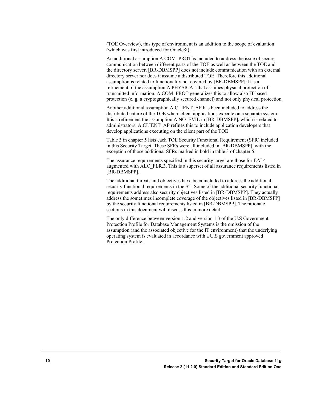(TOE Overview), this type of environment is an addition to the scope of evaluation (which was first introduced for Oracle8i).

An additional assumption A.COM\_PROT is included to address the issue of secure communication between different parts of the TOE as well as between the TOE and the directory server. [BR-DBMSPP] does not include communication with an external directory server nor does it assume a distributed TOE. Therefore this additional assumption is related to functionality not covered by [BR-DBMSPP]. It is a refinement of the assumption A.PHYSICAL that assumes physical protection of transmitted information. A.COM\_PROT generalizes this to allow also IT based protection (e. g. a cryptographically secured channel) and not only physical protection.

Another additional assumption A.CLIENT\_AP has been included to address the distributed nature of the TOE where client applications execute on a separate system. It is a refinement the assumption A.NO\_EVIL in [BR-DBMSPP], which is related to administrators. A.CLIENT\_AP refines this to include application developers that develop applications executing on the client part of the TOE

Table 3 in chapter 5 lists each TOE Security Functional Requirement (SFR) included in this Security Target. These SFRs were all included in [BR-DBMSPP], with the exception of those additional SFRs marked in bold in table 3 of chapter 5.

The assurance requirements specified in this security target are those for EAL4 augmented with ALC\_FLR.3. This is a superset of all assurance requirements listed in [BR-DBMSPP].

The additional threats and objectives have been included to address the additional security functional requirements in the ST. Some of the additional security functional requirements address also security objectives listed in [BR-DBMSPP]. They actually address the sometimes incomplete coverage of the objectives listed in [BR-DBMSPP] by the security functional requirements listed in [BR-DBMSPP]. The rationale sections in this document will discuss this in more detail.

The only difference between version 1.2 and version 1.3 of the U.S Government Protection Profile for Database Management Systems is the omission of the assumption (and the associated objective for the IT environment) that the underlying operating system is evaluated in accordance with a U.S government approved Protection Profile.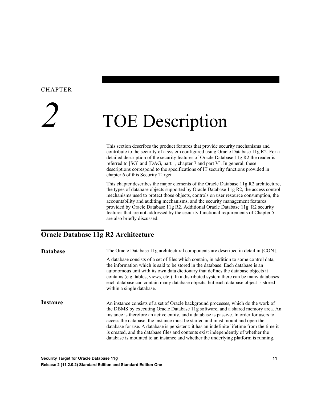#### <span id="page-10-0"></span>CHAPTER

# *2* TOE Description

This section describes the product features that provide security mechanisms and contribute to the security of a system configured using Oracle Database 11g R2. For a detailed description of the security features of Oracle Database 11g R2 the reader is referred to [SG] and [DAG, part 1, chapter 7 and part V]. In general, these descriptions correspond to the specifications of IT security functions provided in chapter 6 of this Security Target.

This chapter describes the major elements of the Oracle Database 11g R2 architecture, the types of database objects supported by Oracle Database 11g R2, the access control mechanisms used to protect those objects, controls on user resource consumption, the accountability and auditing mechanisms, and the security management features provided by Oracle Database 11g R2. Additional Oracle Database 11g R2 security features that are not addressed by the security functional requirements of Chapter 5 are also briefly discussed.

# <span id="page-10-1"></span>**Oracle Database 11g R2 Architecture**

| <b>Database</b> | The Oracle Database 11g architectural components are described in detail in [CON].                                                                                                                                                                                                                                                                                                                                                                                                                                                                                                                                            |
|-----------------|-------------------------------------------------------------------------------------------------------------------------------------------------------------------------------------------------------------------------------------------------------------------------------------------------------------------------------------------------------------------------------------------------------------------------------------------------------------------------------------------------------------------------------------------------------------------------------------------------------------------------------|
|                 | A database consists of a set of files which contain, in addition to some control data,<br>the information which is said to be stored in the database. Each database is an<br>autonomous unit with its own data dictionary that defines the database objects it<br>contains (e.g. tables, views, etc.). In a distributed system there can be many databases:<br>each database can contain many database objects, but each database object is stored<br>within a single database.                                                                                                                                               |
| <b>Instance</b> | An instance consists of a set of Oracle background processes, which do the work of<br>the DBMS by executing Oracle Database 11g software, and a shared memory area. An<br>instance is therefore an active entity, and a database is passive. In order for users to<br>access the database, the instance must be started and must mount and open the<br>database for use. A database is persistent: it has an indefinite lifetime from the time it<br>is created, and the database files and contents exist independently of whether the<br>database is mounted to an instance and whether the underlying platform is running. |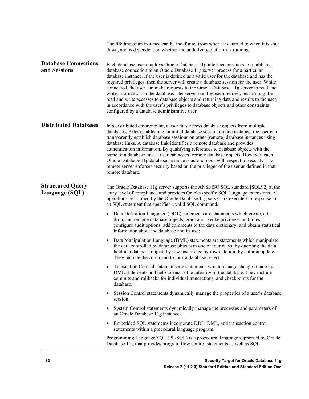|                                             | The lifetime of an instance can be indefinite, from when it is started to when it is shut<br>down, and is dependent on whether the underlying platform is running.                                                                                                                                                                                                                                                                                                                                                                                                                                                                                                                                                                                                    |
|---------------------------------------------|-----------------------------------------------------------------------------------------------------------------------------------------------------------------------------------------------------------------------------------------------------------------------------------------------------------------------------------------------------------------------------------------------------------------------------------------------------------------------------------------------------------------------------------------------------------------------------------------------------------------------------------------------------------------------------------------------------------------------------------------------------------------------|
| <b>Database Connections</b><br>and Sessions | Each database user employs Oracle Database 11g interface products to establish a<br>database connection to an Oracle Database 11g server process for a particular<br>database instance. If the user is defined as a valid user for the database and has the<br>required privileges, then the server will create a database session for the user. While<br>connected, the user can make requests to the Oracle Database 11g server to read and<br>write information in the database. The server handles each request, performing the<br>read and write accesses to database objects and returning data and results to the user,<br>in accordance with the user's privileges to database objects and other constraints<br>configured by a database administrative user. |
| <b>Distributed Databases</b>                | In a distributed environment, a user may access database objects from multiple<br>databases. After establishing an initial database session on one instance, the user can<br>transparently establish database sessions on other (remote) database instances using<br>database links. A database link identifies a remote database and provides<br>authentication information. By qualifying references to database objects with the<br>name of a database link, a user can access remote database objects. However, each<br>Oracle Database 11g database instance is autonomous with respect to security $-a$<br>remote server enforces security based on the privileges of the user as defined in that<br>remote database.                                           |
| <b>Structured Query</b><br>Language (SQL)   | The Oracle Database 11g server supports the ANSI/ISO SQL standard [SQL92] at the<br>entry level of compliance and provides Oracle-specific SQL language extensions. All<br>operations performed by the Oracle Database 11g server are executed in response to<br>an SQL statement that specifies a valid SQL command.                                                                                                                                                                                                                                                                                                                                                                                                                                                 |
|                                             | Data Definition Language (DDL) statements are statements which create, alter,<br>drop, and rename database objects, grant and revoke privileges and roles,<br>configure audit options; add comments to the data dictionary; and obtain statistical<br>information about the database and its use;                                                                                                                                                                                                                                                                                                                                                                                                                                                                     |
|                                             | Data Manipulation Language (DML) statements are statements which manipulate<br>the data controlled by database objects in one of four ways: by querying the data<br>held in a database object; by row insertions; by row deletion; by column update.<br>They include the command to lock a database object.                                                                                                                                                                                                                                                                                                                                                                                                                                                           |
|                                             | Transaction Control statements are statements which manage changes made by<br>DML statements and help to ensure the integrity of the database. They include<br>commits and rollbacks for individual transactions, and checkpoints for the<br>database;                                                                                                                                                                                                                                                                                                                                                                                                                                                                                                                |
|                                             | Session Control statements dynamically manage the properties of a user's database<br>$\bullet$<br>session.                                                                                                                                                                                                                                                                                                                                                                                                                                                                                                                                                                                                                                                            |
|                                             | System Control statements dynamically manage the processes and parameters of<br>$\bullet$<br>an Oracle Database 11g instance.                                                                                                                                                                                                                                                                                                                                                                                                                                                                                                                                                                                                                                         |
|                                             | Embedded SQL statements incorporate DDL, DML, and transaction control<br>$\bullet$<br>statements within a procedural language program.                                                                                                                                                                                                                                                                                                                                                                                                                                                                                                                                                                                                                                |
|                                             | Programming Language/SQL (PL/SQL) is a procedural language supported by Oracle<br>Database 11g that provides program flow control statements as well as SQL                                                                                                                                                                                                                                                                                                                                                                                                                                                                                                                                                                                                           |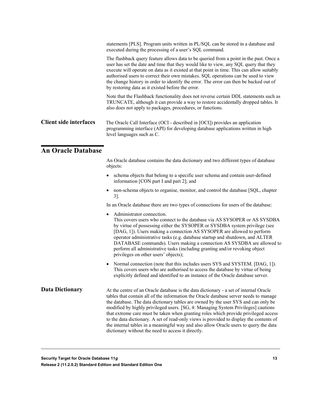|                               | statements [PLS]. Program units written in PL/SQL can be stored in a database and<br>executed during the processing of a user's SQL command.                                                                                                                                                                                                                                                                                                                                                                     |
|-------------------------------|------------------------------------------------------------------------------------------------------------------------------------------------------------------------------------------------------------------------------------------------------------------------------------------------------------------------------------------------------------------------------------------------------------------------------------------------------------------------------------------------------------------|
|                               | The flashback query feature allows data to be queried from a point in the past. Once a<br>user has set the date and time that they would like to view, any SQL query that they<br>execute will operate on data as it existed at that point in time. This can allow suitably<br>authorised users to correct their own mistakes. SQL operations can be used to view<br>the change history in order to identify the error. The error can then be backed out of<br>by restoring data as it existed before the error. |
|                               | Note that the Flashback functionality does not reverse certain DDL statements such as<br>TRUNCATE, although it can provide a way to restore accidentally dropped tables. It<br>also does not apply to packages, procedures, or functions.                                                                                                                                                                                                                                                                        |
| <b>Client side interfaces</b> | The Oracle Call Interface (OCI - described in [OCI]) provides an application<br>programming interface (API) for developing database applications written in high<br>level languages such as C.                                                                                                                                                                                                                                                                                                                   |
| <b>An Oracle Database</b>     |                                                                                                                                                                                                                                                                                                                                                                                                                                                                                                                  |
|                               | An Oracle database contains the data dictionary and two different types of database<br>objects:                                                                                                                                                                                                                                                                                                                                                                                                                  |
|                               | schema objects that belong to a specific user schema and contain user-defined                                                                                                                                                                                                                                                                                                                                                                                                                                    |

<span id="page-12-0"></span>information [CON part I and part 2]; and • non-schema objects to organise, monitor, and control the database [SQL, chapter 3].

In an Oracle database there are two types of connections for users of the database:

- Administrator connection. This covers users who connect to the database via AS SYSOPER or AS SYSDBA by virtue of possessing either the SYSOPER or SYSDBA system privilege (see [DAG, 1]). Users making a connection AS SYSOPER are allowed to perform operator administrative tasks (e.g. database startup and shutdown, and ALTER DATABASE commands). Users making a connection AS SYSDBA are allowed to perform all administrative tasks (including granting and/or revoking object privileges on other users' objects);
- Normal connection (note that this includes users SYS and SYSTEM. [DAG, 1]). This covers users who are authorised to access the database by virtue of being explicitly defined and identified to an instance of the Oracle database server.

At the centre of an Oracle database is the data dictionary - a set of internal Oracle tables that contain all of the information the Oracle database server needs to manage the database. The data dictionary tables are owned by the user SYS and can only be modified by highly privileged users. [SG, 4: Managing System Privileges] cautions that extreme care must be taken when granting roles which provide privileged access to the data dictionary. A set of read-only views is provided to display the contents of the internal tables in a meaningful way and also allow Oracle users to query the data dictionary without the need to access it directly. **Data Dictionary**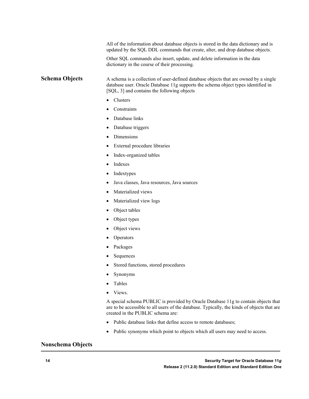All of the information about database objects is stored in the data dictionary and is updated by the SQL DDL commands that create, alter, and drop database objects.

Other SQL commands also insert, update, and delete information in the data dictionary in the course of their processing.

A schema is a collection of user-defined database objects that are owned by a single database user. Oracle Database 11g supports the schema object types identified in [SQL, 3] and contains the following objects **Schema Objects**

- Clusters
- **Constraints**
- Database links
- Database triggers
- Dimensions
- External procedure libraries
- Index-organized tables
- Indexes
- **Indextypes**
- Java classes, Java resources, Java sources
- Materialized views
- Materialized view logs
- Object tables
- Object types
- Object views
- **Operators**
- Packages
- Sequences
- Stored functions, stored procedures
- Synonyms
- Tables
- Views.

A special schema PUBLIC is provided by Oracle Database 11g to contain objects that are to be accessible to all users of the database. Typically, the kinds of objects that are created in the PUBLIC schema are:

- Public database links that define access to remote databases;
- Public synonyms which point to objects which all users may need to access.

#### **Nonschema Objects**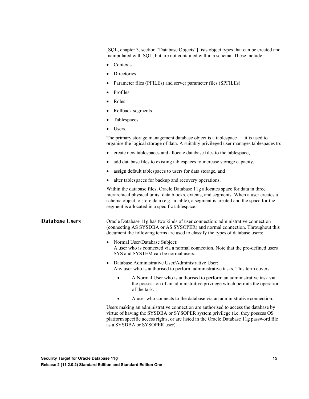[SQL, chapter 3, section "Database Objects"] lists object types that can be created and manipulated with SQL, but are not contained within a schema. These include:

- Contexts
- Directories
- Parameter files (PFILEs) and server parameter files (SPFILEs)
- Profiles
- Roles
- Rollback segments
- Tablespaces
- Users.

The primary storage management database object is a tablespace — it is used to organise the logical storage of data. A suitably privileged user manages tablespaces to:

- create new tablespaces and allocate database files to the tablespace,
- add database files to existing tablespaces to increase storage capacity,
- assign default tablespaces to users for data storage, and
- alter tablespaces for backup and recovery operations.

Within the database files, Oracle Database 11g allocates space for data in three hierarchical physical units: data blocks, extents, and segments. When a user creates a schema object to store data (e.g., a table), a segment is created and the space for the segment is allocated in a specific tablespace.

**Database Users**

Oracle Database 11g has two kinds of user connection: administrative connection (connecting AS SYSDBA or AS SYSOPER) and normal connection. Throughout this document the following terms are used to classify the types of database users:

- Normal User/Database Subject: A user who is connected via a normal connection. Note that the pre-defined users SYS and SYSTEM can be normal users.
- Database Administrative User/Administrative User: Any user who is authorised to perform administrative tasks. This term covers:
	- A Normal User who is authorised to perform an administrative task via the possession of an administrative privilege which permits the operation of the task.
	- A user who connects to the database via an administrative connection.

Users making an administrative connection are authorised to access the database by virtue of having the SYSDBA or SYSOPER system privilege (i.e. they possess OS platform specific access rights, or are listed in the Oracle Database 11g password file as a SYSDBA or SYSOPER user).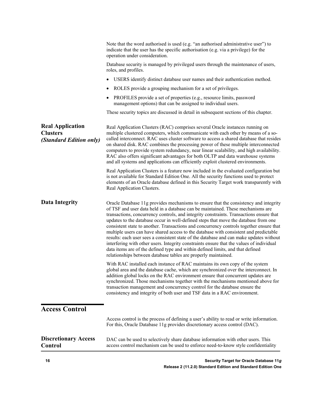<span id="page-15-0"></span>

|                                                                       | Note that the word authorised is used (e.g. "an authorised administrative user") to<br>indicate that the user has the specific authorisation (e.g. via a privilege) for the<br>operation under consideration.                                                                                                                                                                                                                                                                                                                                                                                                                                                                                                                                                                                                                                                                            |
|-----------------------------------------------------------------------|------------------------------------------------------------------------------------------------------------------------------------------------------------------------------------------------------------------------------------------------------------------------------------------------------------------------------------------------------------------------------------------------------------------------------------------------------------------------------------------------------------------------------------------------------------------------------------------------------------------------------------------------------------------------------------------------------------------------------------------------------------------------------------------------------------------------------------------------------------------------------------------|
|                                                                       | Database security is managed by privileged users through the maintenance of users,<br>roles, and profiles.                                                                                                                                                                                                                                                                                                                                                                                                                                                                                                                                                                                                                                                                                                                                                                               |
|                                                                       | USERS identify distinct database user names and their authentication method.                                                                                                                                                                                                                                                                                                                                                                                                                                                                                                                                                                                                                                                                                                                                                                                                             |
|                                                                       | ROLES provide a grouping mechanism for a set of privileges.                                                                                                                                                                                                                                                                                                                                                                                                                                                                                                                                                                                                                                                                                                                                                                                                                              |
|                                                                       | PROFILES provide a set of properties (e.g., resource limits, password<br>management options) that can be assigned to individual users.                                                                                                                                                                                                                                                                                                                                                                                                                                                                                                                                                                                                                                                                                                                                                   |
|                                                                       | These security topics are discussed in detail in subsequent sections of this chapter.                                                                                                                                                                                                                                                                                                                                                                                                                                                                                                                                                                                                                                                                                                                                                                                                    |
| <b>Real Application</b><br><b>Clusters</b><br>(Standard Edition only) | Real Application Clusters (RAC) comprises several Oracle instances running on<br>multiple clustered computers, which communicate with each other by means of a so-<br>called interconnect. RAC uses cluster software to access a shared database that resides<br>on shared disk. RAC combines the processing power of these multiple interconnected<br>computers to provide system redundancy, near linear scalability, and high availability.<br>RAC also offers significant advantages for both OLTP and data warehouse systems<br>and all systems and applications can efficiently exploit clustered environments.                                                                                                                                                                                                                                                                    |
|                                                                       | Real Application Clusters is a feature now included in the evaluated configuration but<br>is not available for Standard Edition One. All the security functions used to protect<br>elements of an Oracle database defined in this Security Target work transparently with<br>Real Application Clusters.                                                                                                                                                                                                                                                                                                                                                                                                                                                                                                                                                                                  |
| <b>Data Integrity</b>                                                 | Oracle Database 11g provides mechanisms to ensure that the consistency and integrity<br>of TSF and user data held in a database can be maintained. These mechanisms are<br>transactions, concurrency controls, and integrity constraints. Transactions ensure that<br>updates to the database occur in well-defined steps that move the database from one<br>consistent state to another. Transactions and concurrency controls together ensure that<br>multiple users can have shared access to the database with consistent and predictable<br>results: each user sees a consistent state of the database and can make updates without<br>interfering with other users. Integrity constraints ensure that the values of individual<br>data items are of the defined type and within defined limits, and that defined<br>relationships between database tables are properly maintained. |
|                                                                       | With RAC installed each instance of RAC maintains its own copy of the system<br>global area and the database cache, which are synchronized over the interconnect. In<br>addition global locks on the RAC environment ensure that concurrent updates are<br>synchronized. Those mechanisms together with the mechanisms mentioned above for<br>transaction management and concurrency control for the database ensure the<br>consistency and integrity of both user and TSF data in a RAC environment.                                                                                                                                                                                                                                                                                                                                                                                    |
| <b>Access Control</b>                                                 |                                                                                                                                                                                                                                                                                                                                                                                                                                                                                                                                                                                                                                                                                                                                                                                                                                                                                          |
|                                                                       | Access control is the process of defining a user's ability to read or write information.<br>For this, Oracle Database 11g provides discretionary access control (DAC).                                                                                                                                                                                                                                                                                                                                                                                                                                                                                                                                                                                                                                                                                                                   |
| <b>Discretionary Access</b><br>Control                                | DAC can be used to selectively share database information with other users. This<br>access control mechanism can be used to enforce need-to-know style confidentiality                                                                                                                                                                                                                                                                                                                                                                                                                                                                                                                                                                                                                                                                                                                   |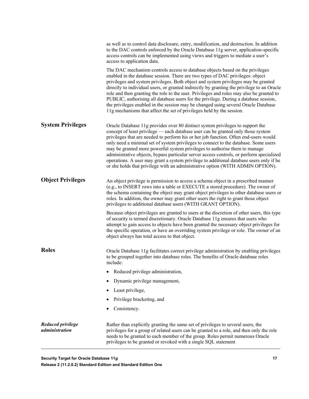|                                            | as well as to control data disclosure, entry, modification, and destruction. In addition<br>to the DAC controls enforced by the Oracle Database 11g server, application-specific<br>access controls can be implemented using views and triggers to mediate a user's<br>access to application data.                                                                                                                                                                                                                                                                                                                                                                                                       |
|--------------------------------------------|----------------------------------------------------------------------------------------------------------------------------------------------------------------------------------------------------------------------------------------------------------------------------------------------------------------------------------------------------------------------------------------------------------------------------------------------------------------------------------------------------------------------------------------------------------------------------------------------------------------------------------------------------------------------------------------------------------|
|                                            | The DAC mechanism controls access to database objects based on the privileges<br>enabled in the database session. There are two types of DAC privileges: object<br>privileges and system privileges. Both object and system privileges may be granted<br>directly to individual users, or granted indirectly by granting the privilege to an Oracle<br>role and then granting the role to the user. Privileges and roles may also be granted to<br>PUBLIC, authorising all database users for the privilege. During a database session,<br>the privileges enabled in the session may be changed using several Oracle Database<br>11g mechanisms that affect the set of privileges held by the session.   |
| <b>System Privileges</b>                   | Oracle Database 11g provides over 80 distinct system privileges to support the<br>concept of least privilege - each database user can be granted only those system<br>privileges that are needed to perform his or her job function. Often end-users would<br>only need a minimal set of system privileges to connect to the database. Some users<br>may be granted more powerful system privileges to authorise them to manage<br>administrative objects, bypass particular server access controls, or perform specialized<br>operations. A user may grant a system privilege to additional database users only if he<br>or she holds that privilege with an administrative option (WITH ADMIN OPTION). |
| <b>Object Privileges</b>                   | An object privilege is permission to access a schema object in a prescribed manner<br>(e.g., to INSERT rows into a table or EXECUTE a stored procedure). The owner of<br>the schema containing the object may grant object privileges to other database users or<br>roles. In addition, the owner may grant other users the right to grant those object<br>privileges to additional database users (WITH GRANT OPTION).                                                                                                                                                                                                                                                                                  |
|                                            | Because object privileges are granted to users at the discretion of other users, this type<br>of security is termed discretionary. Oracle Database 11g ensures that users who<br>attempt to gain access to objects have been granted the necessary object privileges for<br>the specific operation, or have an overriding system privilege or role. The owner of an<br>object always has total access to that object.                                                                                                                                                                                                                                                                                    |
| <b>Roles</b>                               | Oracle Database 11g facilitates correct privilege administration by enabling privileges<br>to be grouped together into database roles. The benefits of Oracle database roles<br>include:                                                                                                                                                                                                                                                                                                                                                                                                                                                                                                                 |
|                                            | Reduced privilege administration,                                                                                                                                                                                                                                                                                                                                                                                                                                                                                                                                                                                                                                                                        |
|                                            | Dynamic privilege management,                                                                                                                                                                                                                                                                                                                                                                                                                                                                                                                                                                                                                                                                            |
|                                            | Least privilege,                                                                                                                                                                                                                                                                                                                                                                                                                                                                                                                                                                                                                                                                                         |
|                                            | Privilege bracketing, and                                                                                                                                                                                                                                                                                                                                                                                                                                                                                                                                                                                                                                                                                |
|                                            | Consistency.                                                                                                                                                                                                                                                                                                                                                                                                                                                                                                                                                                                                                                                                                             |
| <b>Reduced privilege</b><br>administration | Rather than explicitly granting the same set of privileges to several users, the<br>privileges for a group of related users can be granted to a role, and then only the role<br>needs to be granted to each member of the group. Roles permit numerous Oracle<br>privileges to be granted or revoked with a single SQL statement                                                                                                                                                                                                                                                                                                                                                                         |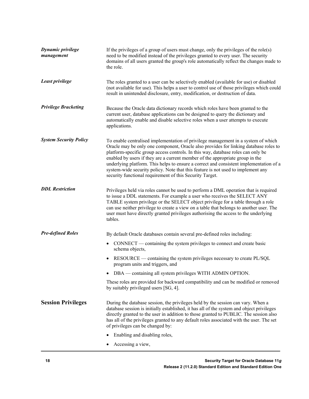| <b>Dynamic privilege</b><br>management | If the privileges of a group of users must change, only the privileges of the role(s)<br>need to be modified instead of the privileges granted to every user. The security<br>domains of all users granted the group's role automatically reflect the changes made to<br>the role.                                                                                                                                                                                                                                                                                                       |  |  |  |
|----------------------------------------|------------------------------------------------------------------------------------------------------------------------------------------------------------------------------------------------------------------------------------------------------------------------------------------------------------------------------------------------------------------------------------------------------------------------------------------------------------------------------------------------------------------------------------------------------------------------------------------|--|--|--|
| Least privilege                        | The roles granted to a user can be selectively enabled (available for use) or disabled<br>(not available for use). This helps a user to control use of those privileges which could<br>result in unintended disclosure, entry, modification, or destruction of data.                                                                                                                                                                                                                                                                                                                     |  |  |  |
| <b>Privilege Bracketing</b>            | Because the Oracle data dictionary records which roles have been granted to the<br>current user, database applications can be designed to query the dictionary and<br>automatically enable and disable selective roles when a user attempts to execute<br>applications.                                                                                                                                                                                                                                                                                                                  |  |  |  |
| <b>System Security Policy</b>          | To enable centralised implementation of privilege management in a system of which<br>Oracle may be only one component, Oracle also provides for linking database roles to<br>platform-specific group access controls. In this way, database roles can only be<br>enabled by users if they are a current member of the appropriate group in the<br>underlying platform. This helps to ensure a correct and consistent implementation of a<br>system-wide security policy. Note that this feature is not used to implement any<br>security functional requirement of this Security Target. |  |  |  |
| <b>DDL</b> Restriction                 | Privileges held via roles cannot be used to perform a DML operation that is required<br>to issue a DDL statements. For example a user who receives the SELECT ANY<br>TABLE system privilege or the SELECT object privilege for a table through a role<br>can use neither privilege to create a view on a table that belongs to another user. The<br>user must have directly granted privileges authorising the access to the underlying<br>tables.                                                                                                                                       |  |  |  |
| <b>Pre-defined Roles</b>               | By default Oracle databases contain several pre-defined roles including:                                                                                                                                                                                                                                                                                                                                                                                                                                                                                                                 |  |  |  |
|                                        | CONNECT — containing the system privileges to connect and create basic<br>$\bullet$<br>schema objects,                                                                                                                                                                                                                                                                                                                                                                                                                                                                                   |  |  |  |
|                                        | RESOURCE — containing the system privileges necessary to create PL/SQL<br>program units and triggers, and                                                                                                                                                                                                                                                                                                                                                                                                                                                                                |  |  |  |
|                                        | DBA — containing all system privileges WITH ADMIN OPTION.                                                                                                                                                                                                                                                                                                                                                                                                                                                                                                                                |  |  |  |
|                                        | These roles are provided for backward compatibility and can be modified or removed<br>by suitably privileged users [SG, 4].                                                                                                                                                                                                                                                                                                                                                                                                                                                              |  |  |  |
| <b>Session Privileges</b>              | During the database session, the privileges held by the session can vary. When a<br>database session is initially established, it has all of the system and object privileges<br>directly granted to the user in addition to those granted to PUBLIC. The session also<br>has all of the privileges granted to any default roles associated with the user. The set<br>of privileges can be changed by:                                                                                                                                                                                   |  |  |  |
|                                        | Enabling and disabling roles,                                                                                                                                                                                                                                                                                                                                                                                                                                                                                                                                                            |  |  |  |
|                                        | Accessing a view,                                                                                                                                                                                                                                                                                                                                                                                                                                                                                                                                                                        |  |  |  |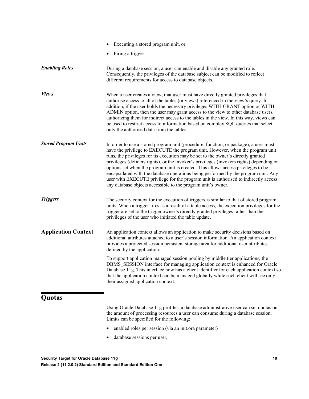<span id="page-18-0"></span>

|                             | Executing a stored program unit, or                                                                                                                                                                                                                                                                                                                                                                                                                                                                                                                                                                                                                                                       |
|-----------------------------|-------------------------------------------------------------------------------------------------------------------------------------------------------------------------------------------------------------------------------------------------------------------------------------------------------------------------------------------------------------------------------------------------------------------------------------------------------------------------------------------------------------------------------------------------------------------------------------------------------------------------------------------------------------------------------------------|
|                             | Firing a trigger.                                                                                                                                                                                                                                                                                                                                                                                                                                                                                                                                                                                                                                                                         |
| <b>Enabling Roles</b>       | During a database session, a user can enable and disable any granted role.<br>Consequently, the privileges of the database subject can be modified to reflect<br>different requirements for access to database objects.                                                                                                                                                                                                                                                                                                                                                                                                                                                                   |
| <b>Views</b>                | When a user creates a view, that user must have directly granted privileges that<br>authorise access to all of the tables (or views) referenced in the view's query. In<br>addition, if the user holds the necessary privileges WITH GRANT option or WITH<br>ADMIN option, then the user may grant access to the view to other database users,<br>authorizing them for indirect access to the tables in the view. In this way, views can<br>be used to restrict access to information based on complex SQL queries that select<br>only the authorised data from the tables.                                                                                                               |
| <b>Stored Program Units</b> | In order to use a stored program unit (procedure, function, or package), a user must<br>have the privilege to EXECUTE the program unit. However, when the program unit<br>runs, the privileges for its execution may be set to the owner's directly granted<br>privileges (definers rights), or the invoker's privileges (invokers rights) depending on<br>options set when the program unit is created. This allows access privileges to be<br>encapsulated with the database operations being performed by the program unit. Any<br>user with EXECUTE privilege for the program unit is authorised to indirectly access<br>any database objects accessible to the program unit's owner. |
| <b>Triggers</b>             | The security context for the execution of triggers is similar to that of stored program<br>units. When a trigger fires as a result of a table access, the execution privileges for the<br>trigger are set to the trigger owner's directly granted privileges rather than the<br>privileges of the user who initiated the table update.                                                                                                                                                                                                                                                                                                                                                    |
| <b>Application Context</b>  | An application context allows an application to make security decisions based on<br>additional attributes attached to a user's session information. An application context<br>provides a protected session persistent storage area for additional user attributes<br>defined by the application.                                                                                                                                                                                                                                                                                                                                                                                          |
|                             | To support application managed session pooling by middle tier applications, the<br>DBMS SESSION interface for managing application context is enhanced for Oracle<br>Database 11g. This interface now has a client identifier for each application context so<br>that the application context can be managed globally while each client will see only<br>their assigned application context.                                                                                                                                                                                                                                                                                              |
| Quotas                      |                                                                                                                                                                                                                                                                                                                                                                                                                                                                                                                                                                                                                                                                                           |
|                             | Using Oracle Database 11g profiles, a database administrative user can set quotas on<br>the amount of processing resources a user can consume during a database session.<br>Limits can be specified for the following:                                                                                                                                                                                                                                                                                                                                                                                                                                                                    |
|                             | enabled roles per session (via an init.ora parameter)                                                                                                                                                                                                                                                                                                                                                                                                                                                                                                                                                                                                                                     |
|                             | database sessions per user,                                                                                                                                                                                                                                                                                                                                                                                                                                                                                                                                                                                                                                                               |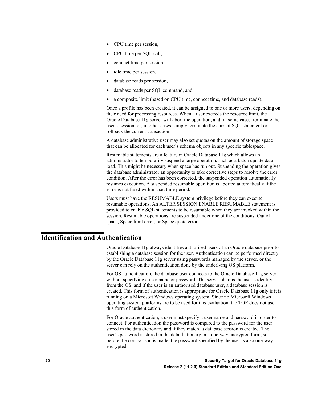- CPU time per session,
- CPU time per SQL call,
- connect time per session,
- idle time per session,
- database reads per session,
- database reads per SQL command, and
- a composite limit (based on CPU time, connect time, and database reads).

Once a profile has been created, it can be assigned to one or more users, depending on their need for processing resources. When a user exceeds the resource limit, the Oracle Database 11g server will abort the operation, and, in some cases, terminate the user's session, or, in other cases, simply terminate the current SQL statement or rollback the current transaction.

A database administrative user may also set quotas on the amount of storage space that can be allocated for each user's schema objects in any specific tablespace.

Resumable statements are a feature in Oracle Database 11g which allows an administrator to temporarily suspend a large operation, such as a batch update data load. This might be necessary when space has run out. Suspending the operation gives the database administrator an opportunity to take corrective steps to resolve the error condition. After the error has been corrected, the suspended operation automatically resumes execution. A suspended resumable operation is aborted automatically if the error is not fixed within a set time period.

Users must have the RESUMABLE system privilege before they can execute resumable operations. An ALTER SESSION ENABLE RESUMABLE statement is provided to enable SQL statements to be resumable when they are invoked within the session. Resumable operations are suspended under one of the conditions: Out of space, Space limit error, or Space quota error.

# <span id="page-19-0"></span>**Identification and Authentication**

Oracle Database 11g always identifies authorised users of an Oracle database prior to establishing a database session for the user. Authentication can be performed directly by the Oracle Database 11g server using passwords managed by the server, or the server can rely on the authentication done by the underlying OS platform.

For OS authentication, the database user connects to the Oracle Database 11g server without specifying a user name or password. The server obtains the user's identity from the OS, and if the user is an authorised database user, a database session is created. This form of authentication is appropriate for Oracle Database 11g only if it is running on a Microsoft Windows operating system. Since no Microsoft Windows operating system platforms are to be used for this evaluation, the TOE does not use this form of authentication.

For Oracle authentication, a user must specify a user name and password in order to connect. For authentication the password is compared to the password for the user stored in the data dictionary and if they match, a database session is created. The user's password is stored in the data dictionary in a one-way encrypted form, so before the comparison is made, the password specified by the user is also one-way encrypted.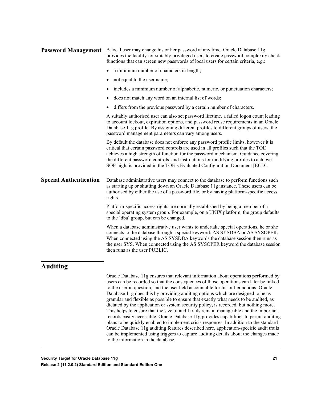| <b>Password Management</b>    | A local user may change his or her password at any time. Oracle Database 11g<br>provides the facility for suitably privileged users to create password complexity check<br>functions that can screen new passwords of local users for certain criteria, e.g.:                                                                                                                                                                        |  |  |  |  |
|-------------------------------|--------------------------------------------------------------------------------------------------------------------------------------------------------------------------------------------------------------------------------------------------------------------------------------------------------------------------------------------------------------------------------------------------------------------------------------|--|--|--|--|
|                               | a minimum number of characters in length;                                                                                                                                                                                                                                                                                                                                                                                            |  |  |  |  |
|                               | not equal to the user name;<br>$\bullet$                                                                                                                                                                                                                                                                                                                                                                                             |  |  |  |  |
|                               | includes a minimum number of alphabetic, numeric, or punctuation characters;                                                                                                                                                                                                                                                                                                                                                         |  |  |  |  |
|                               | does not match any word on an internal list of words;                                                                                                                                                                                                                                                                                                                                                                                |  |  |  |  |
|                               | differs from the previous password by a certain number of characters.<br>$\bullet$                                                                                                                                                                                                                                                                                                                                                   |  |  |  |  |
|                               | A suitably authorised user can also set password lifetime, a failed logon count leading<br>to account lockout, expiration options, and password reuse requirements in an Oracle<br>Database 11g profile. By assigning different profiles to different groups of users, the<br>password management parameters can vary among users.                                                                                                   |  |  |  |  |
|                               | By default the database does not enforce any password profile limits, however it is<br>critical that certain password controls are used in all profiles such that the TOE<br>achieves a high strength of function for the password mechanism. Guidance covering<br>the different password controls, and instructions for modifying profiles to achieve<br>SOF-high, is provided in the TOE's Evaluated Configuration Document [ECD]. |  |  |  |  |
| <b>Special Authentication</b> | Database administrative users may connect to the database to perform functions such<br>as starting up or shutting down an Oracle Database 11g instance. These users can be<br>authorised by either the use of a password file, or by having platform-specific access<br>rights.                                                                                                                                                      |  |  |  |  |
|                               | Platform-specific access rights are normally established by being a member of a<br>special operating system group. For example, on a UNIX platform, the group defaults<br>to the 'dba' group, but can be changed.                                                                                                                                                                                                                    |  |  |  |  |
|                               | When a database administrative user wants to undertake special operations, he or she<br>connects to the database through a special keyword: AS SYSDBA or AS SYSOPER.<br>When connected using the AS SYSDBA keywords the database session then runs as<br>the user SYS. When connected using the AS SYSOPER keyword the database session<br>then runs as the user PUBLIC.                                                             |  |  |  |  |
| $\lambda$ uditing             |                                                                                                                                                                                                                                                                                                                                                                                                                                      |  |  |  |  |

### <span id="page-20-0"></span>**Auditing**

Oracle Database 11g ensures that relevant information about operations performed by users can be recorded so that the consequences of those operations can later be linked to the user in question, and the user held accountable for his or her actions. Oracle Database 11g does this by providing auditing options which are designed to be as granular and flexible as possible to ensure that exactly what needs to be audited, as dictated by the application or system security policy, is recorded, but nothing more. This helps to ensure that the size of audit trails remain manageable and the important records easily accessible. Oracle Database 11g provides capabilities to permit auditing plans to be quickly enabled to implement crisis responses. In addition to the standard Oracle Database 11g auditing features described here, application-specific audit trails can be implemented using triggers to capture auditing details about the changes made to the information in the database.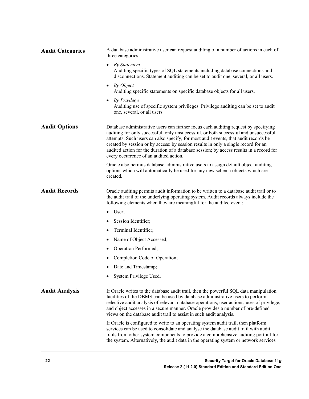| <b>Audit Categories</b> | A database administrative user can request auditing of a number of actions in each of<br>three categories:                                                                                                                                                                                                                                                                                                                                                                                     |  |  |  |
|-------------------------|------------------------------------------------------------------------------------------------------------------------------------------------------------------------------------------------------------------------------------------------------------------------------------------------------------------------------------------------------------------------------------------------------------------------------------------------------------------------------------------------|--|--|--|
|                         | <b>By Statement</b><br>Auditing specific types of SQL statements including database connections and<br>disconnections. Statement auditing can be set to audit one, several, or all users.                                                                                                                                                                                                                                                                                                      |  |  |  |
|                         | By Object<br>$\bullet$<br>Auditing specific statements on specific database objects for all users.                                                                                                                                                                                                                                                                                                                                                                                             |  |  |  |
|                         | <b>By Privilege</b><br>$\bullet$<br>Auditing use of specific system privileges. Privilege auditing can be set to audit<br>one, several, or all users.                                                                                                                                                                                                                                                                                                                                          |  |  |  |
| <b>Audit Options</b>    | Database administrative users can further focus each auditing request by specifying<br>auditing for only successful, only unsuccessful, or both successful and unsuccessful<br>attempts. Such users can also specify, for most audit events, that audit records be<br>created by session or by access: by session results in only a single record for an<br>audited action for the duration of a database session; by access results in a record for<br>every occurrence of an audited action. |  |  |  |
|                         | Oracle also permits database administrative users to assign default object auditing<br>options which will automatically be used for any new schema objects which are<br>created.                                                                                                                                                                                                                                                                                                               |  |  |  |
| <b>Audit Records</b>    | Oracle auditing permits audit information to be written to a database audit trail or to<br>the audit trail of the underlying operating system. Audit records always include the<br>following elements when they are meaningful for the audited event:                                                                                                                                                                                                                                          |  |  |  |
|                         | User;<br>$\bullet$                                                                                                                                                                                                                                                                                                                                                                                                                                                                             |  |  |  |
|                         | Session Identifier;                                                                                                                                                                                                                                                                                                                                                                                                                                                                            |  |  |  |
|                         | Terminal Identifier;                                                                                                                                                                                                                                                                                                                                                                                                                                                                           |  |  |  |
|                         | Name of Object Accessed;                                                                                                                                                                                                                                                                                                                                                                                                                                                                       |  |  |  |
|                         | Operation Performed;                                                                                                                                                                                                                                                                                                                                                                                                                                                                           |  |  |  |
|                         | Completion Code of Operation;                                                                                                                                                                                                                                                                                                                                                                                                                                                                  |  |  |  |
|                         | Date and Timestamp;                                                                                                                                                                                                                                                                                                                                                                                                                                                                            |  |  |  |
|                         | System Privilege Used.                                                                                                                                                                                                                                                                                                                                                                                                                                                                         |  |  |  |
| <b>Audit Analysis</b>   | If Oracle writes to the database audit trail, then the powerful SQL data manipulation<br>facilities of the DBMS can be used by database administrative users to perform<br>selective audit analysis of relevant database operations, user actions, uses of privilege,<br>and object accesses in a secure manner. Oracle provides a number of pre-defined<br>views on the database audit trail to assist in such audit analysis.                                                                |  |  |  |
|                         | If Oracle is configured to write to an operating system audit trail, then platform<br>services can be used to consolidate and analyse the database audit trail with audit<br>trails from other system components to provide a comprehensive auditing portrait for<br>the system. Alternatively, the audit data in the operating system or network services                                                                                                                                     |  |  |  |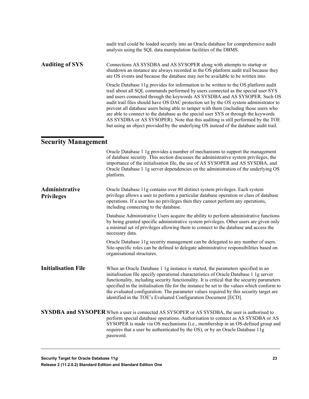<span id="page-22-0"></span>

|                                     | audit trail could be loaded securely into an Oracle database for comprehensive audit<br>analysis using the SQL data manipulation facilities of the DBMS.                                                                                                                                                                                                                                                                                                                                                                                                                                                                                                                                                    |
|-------------------------------------|-------------------------------------------------------------------------------------------------------------------------------------------------------------------------------------------------------------------------------------------------------------------------------------------------------------------------------------------------------------------------------------------------------------------------------------------------------------------------------------------------------------------------------------------------------------------------------------------------------------------------------------------------------------------------------------------------------------|
| <b>Auditing of SYS</b>              | Connections AS SYSDBA and AS SYSOPER along with attempts to startup or<br>shutdown an instance are always recorded in the OS platform audit trail because they<br>are OS events and because the database may not be available to be written into.                                                                                                                                                                                                                                                                                                                                                                                                                                                           |
|                                     | Oracle Database 11g provides for information to be written to the OS platform audit<br>trail about all SQL commands performed by users connected as the special user SYS<br>and users connected through the keywords AS SYSDBA and AS SYSOPER. Such OS<br>audit trail files should have OS DAC protection set by the OS system administrator to<br>prevent all database users being able to tamper with them (including those users who<br>are able to connect to the database as the special user SYS or through the keywords<br>AS SYSDBA or AS SYSOPER). Note that this auditing is still performed by the TOE<br>but using an object provided by the underlying OS instead of the database audit trail. |
| <b>Security Management</b>          |                                                                                                                                                                                                                                                                                                                                                                                                                                                                                                                                                                                                                                                                                                             |
|                                     | Oracle Database 1 1g provides a number of mechanisms to support the management<br>of database security. This section discusses the administrative system privileges, the<br>importance of the initialisation file, the use of AS SYSOPER and AS SYSDBA, and<br>Oracle Database 1 1g server dependencies on the administration of the underlying OS<br>platform.                                                                                                                                                                                                                                                                                                                                             |
| Administrative<br><b>Privileges</b> | Oracle Database 11g contains over 80 distinct system privileges. Each system<br>privilege allows a user to perform a particular database operation or class of database<br>operations. If a user has no privileges then they cannot perform any operations,<br>including connecting to the database.                                                                                                                                                                                                                                                                                                                                                                                                        |
|                                     | Database Administrative Users acquire the ability to perform administrative functions                                                                                                                                                                                                                                                                                                                                                                                                                                                                                                                                                                                                                       |

by being granted specific administrative system privileges. Other users are given only a minimal set of privileges allowing them to connect to the database and access the necessary data.

Oracle Database 11g security management can be delegated to any number of users. Site-specific roles can be defined to delegate administrative responsibilities based on organisational structures.

When an Oracle Database 1 1g instance is started, the parameters specified in an initialisation file specify operational characteristics of Oracle Database 1 1g server functionality, including security functionality. It is critical that the security parameters specified in the initialisation file for the instance be set to the values which conform to the evaluated configuration. The parameter values required by this security target are identified in the TOE's Evaluated Configuration Document [ECD]. **Initialisation File**

SYSDBA and SYSOPER When a user is connected AS SYSOPER or AS SYSDBA, the user is authorised to perform special database operations. Authorisation to connect as AS SYSDBA or AS SYSOPER is made via OS mechanisms (i.e., membership in an OS-defined group and requires that a user be authenticated by the OS), or by an Oracle Database 11g password.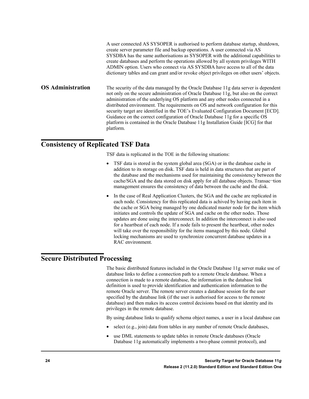|                          | A user connected AS SYSOPER is authorised to perform database startup, shutdown,<br>create server parameter file and backup operations. A user connected via AS<br>SYSDBA has the same authorisations as SYSOPER with the additional capabilities to<br>create databases and perform the operations allowed by all system privileges WITH<br>ADMIN option. Users who connect via AS SYSDBA have access to all of the data<br>dictionary tables and can grant and/or revoke object privileges on other users' objects.                                                                                                              |
|--------------------------|------------------------------------------------------------------------------------------------------------------------------------------------------------------------------------------------------------------------------------------------------------------------------------------------------------------------------------------------------------------------------------------------------------------------------------------------------------------------------------------------------------------------------------------------------------------------------------------------------------------------------------|
| <b>OS Administration</b> | The security of the data managed by the Oracle Database 11g data server is dependent<br>not only on the secure administration of Oracle Database 11g, but also on the correct<br>administration of the underlying OS platform and any other nodes connected in a<br>distributed environment. The requirements on OS and network configuration for this<br>security target are identified in the TOE's Evaluated Configuration Document [ECD].<br>Guidance on the correct configuration of Oracle Database 11g for a specific OS<br>platform is contained in the Oracle Database 11g Installation Guide [ICG] for that<br>platform. |

# <span id="page-23-0"></span>**Consistency of Replicated TSF Data**

TSF data is replicated in the TOE in the following situations:

- TSF data is stored in the system global area (SGA) or in the database cache in addition to its storage on disk. TSF data is held in data structures that are part of the database and the mechanisms used for maintaining the consistency between the cache/SGA and the data stored on disk apply for all database objects. Transac-tion management ensures the consistency of data between the cache and the disk.
- In the case of Real Application Clusters, the SGA and the cache are replicated in each node. Consistency for this replicated data is achived by having each item in the cache or SGA being managed by one dedicated master node for the item which initiates and controls the update of SGA and cache on the other nodes. Those updates are done using the interconnect. In addition the interconnect is also used for a heartbeat of each node. If a node fails to present the heartbeat, other nodes will take over the responsibility for the items managed by this node. Global locking mechanisms are used to synchronize concurrent database updates in a RAC environment.

# <span id="page-23-1"></span>**Secure Distributed Processing**

The basic distributed features included in the Oracle Database 11g server make use of database links to define a connection path to a remote Oracle database. When a connection is made to a remote database, the information in the database link definition is used to provide identification and authentication information to the remote Oracle server. The remote server creates a database session for the user specified by the database link (if the user is authorised for access to the remote database) and then makes its access control decisions based on that identity and its privileges in the remote database.

By using database links to qualify schema object names, a user in a local database can

- select (e.g., join) data from tables in any number of remote Oracle databases,
- use DML statements to update tables in remote Oracle databases (Oracle Database 11g automatically implements a two-phase commit protocol), and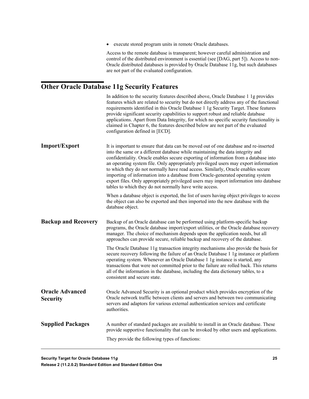• execute stored program units in remote Oracle databases.

Access to the remote database is transparent; however careful administration and control of the distributed environment is essential (see [DAG, part 5]). Access to non-Oracle distributed databases is provided by Oracle Database 11g, but such databases are not part of the evaluated configuration.

# <span id="page-24-0"></span>**Other Oracle Database 11g Security Features**

|                                           | In addition to the security features described above, Oracle Database 1 1g provides<br>features which are related to security but do not directly address any of the functional<br>requirements identified in this Oracle Database 1 1g Security Target. These features<br>provide significant security capabilities to support robust and reliable database<br>applications. Apart from Data Integrity, for which no specific security functionality is<br>claimed in Chapter 6, the features described below are not part of the evaluated<br>configuration defined in [ECD].                                                                                                    |
|-------------------------------------------|------------------------------------------------------------------------------------------------------------------------------------------------------------------------------------------------------------------------------------------------------------------------------------------------------------------------------------------------------------------------------------------------------------------------------------------------------------------------------------------------------------------------------------------------------------------------------------------------------------------------------------------------------------------------------------|
| <b>Import/Export</b>                      | It is important to ensure that data can be moved out of one database and re-inserted<br>into the same or a different database while maintaining the data integrity and<br>confidentiality. Oracle enables secure exporting of information from a database into<br>an operating system file. Only appropriately privileged users may export information<br>to which they do not normally have read access. Similarly, Oracle enables secure<br>importing of information into a database from Oracle-generated operating system<br>export files. Only appropriately privileged users may import information into database<br>tables to which they do not normally have write access. |
|                                           | When a database object is exported, the list of users having object privileges to access<br>the object can also be exported and then imported into the new database with the<br>database object.                                                                                                                                                                                                                                                                                                                                                                                                                                                                                   |
| <b>Backup and Recovery</b>                | Backup of an Oracle database can be performed using platform-specific backup<br>programs, the Oracle database import/export utilities, or the Oracle database recovery<br>manager. The choice of mechanism depends upon the application needs, but all<br>approaches can provide secure, reliable backup and recovery of the database.                                                                                                                                                                                                                                                                                                                                             |
|                                           | The Oracle Database 11g transaction integrity mechanisms also provide the basis for<br>secure recovery following the failure of an Oracle Database 1 1g instance or platform<br>operating system. Whenever an Oracle Database 1 1g instance is started, any<br>transactions that were not committed prior to the failure are rolled back. This returns<br>all of the information in the database, including the data dictionary tables, to a<br>consistent and secure state.                                                                                                                                                                                                       |
| <b>Oracle Advanced</b><br><b>Security</b> | Oracle Advanced Security is an optional product which provides encryption of the<br>Oracle network traffic between clients and servers and between two communicating<br>servers and adaptors for various external authentication services and certificate<br>authorities.                                                                                                                                                                                                                                                                                                                                                                                                          |
| <b>Supplied Packages</b>                  | A number of standard packages are available to install in an Oracle database. These<br>provide supportive functionality that can be invoked by other users and applications.<br>They provide the following types of functions:                                                                                                                                                                                                                                                                                                                                                                                                                                                     |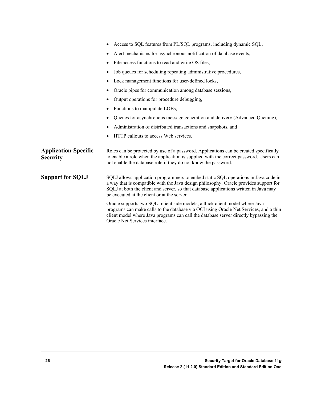|                                                | Access to SQL features from PL/SQL programs, including dynamic SQL,<br>$\bullet$                                                                                                                                                                                                                                    |
|------------------------------------------------|---------------------------------------------------------------------------------------------------------------------------------------------------------------------------------------------------------------------------------------------------------------------------------------------------------------------|
|                                                | Alert mechanisms for asynchronous notification of database events,<br>$\bullet$                                                                                                                                                                                                                                     |
|                                                | File access functions to read and write OS files,<br>٠                                                                                                                                                                                                                                                              |
|                                                | Job queues for scheduling repeating administrative procedures,<br>$\bullet$                                                                                                                                                                                                                                         |
|                                                | Lock management functions for user-defined locks,                                                                                                                                                                                                                                                                   |
|                                                | Oracle pipes for communication among database sessions,                                                                                                                                                                                                                                                             |
|                                                | Output operations for procedure debugging,                                                                                                                                                                                                                                                                          |
|                                                | Functions to manipulate LOBs,                                                                                                                                                                                                                                                                                       |
|                                                | Queues for asynchronous message generation and delivery (Advanced Queuing),                                                                                                                                                                                                                                         |
|                                                | Administration of distributed transactions and snapshots, and                                                                                                                                                                                                                                                       |
|                                                | HTTP callouts to access Web services.                                                                                                                                                                                                                                                                               |
| <b>Application-Specific</b><br><b>Security</b> | Roles can be protected by use of a password. Applications can be created specifically<br>to enable a role when the application is supplied with the correct password. Users can<br>not enable the database role if they do not know the password.                                                                   |
| <b>Support for SQLJ</b>                        | SQLJ allows application programmers to embed static SQL operations in Java code in<br>a way that is compatible with the Java design philosophy. Oracle provides support for<br>SQLJ at both the client and server, so that database applications written in Java may<br>be executed at the client or at the server. |
|                                                | Oracle supports two SQLJ client side models; a thick client model where Java<br>programs can make calls to the database via OCI using Oracle Net Services, and a thin<br>client model where Java programs can call the database server directly bypassing the<br>Oracle Net Services interface.                     |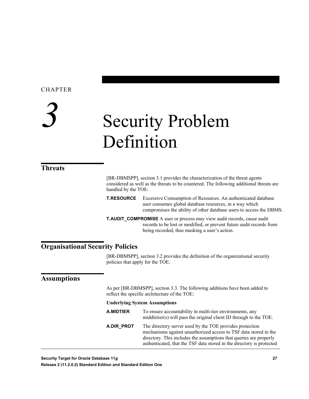### CHAPTER

# <span id="page-26-0"></span>*3* Security Problem Definition

# <span id="page-26-1"></span>**Threats**

[BR-DBMSPP], section 3.1 provides the characterization of the threat agents considered as well as the threats to be countered. The following additional threats are handled by the TOE:

**T.RESOURCE** Excessive Consumption of Resources. An authenticated database user consumes global database resources, in a way which compromises the ability of other database users to access the DBMS.

**T.AUDIT\_COMPROMISE** A user or process may view audit records, cause audit records to be lost or modified, or prevent future audit records from being recorded, thus masking a user's action.

# <span id="page-26-2"></span>**Organisational Security Policies**

[BR-DBMSPP], section 3.2 provides the definition of the organizational security policies that apply for the TOE.

### <span id="page-26-3"></span>**Assumptions**

As per [BR-DBMSPP], section 3.3. The following additions have been added to reflect the specific architecture of the TOE:

#### **Underlying System Assumptions**

| A.MIDTIER  | To ensure accountability in multi-tier environments, any<br>middletier(s) will pass the original client ID through to the TOE.                                                                                                                                              |  |
|------------|-----------------------------------------------------------------------------------------------------------------------------------------------------------------------------------------------------------------------------------------------------------------------------|--|
| A.DIR PROT | The directory server used by the TOE provides protection<br>mechanisms against unauthorized access to TSF data stored in the<br>directory. This includes the assumptions that queries are properly<br>authenticated, that the TSF data stored in the directory is protected |  |

**Security Target for Oracle Database 11***g* **27**

**Release 2 (11.2.0.2) Standard Edition and Standard Edition One**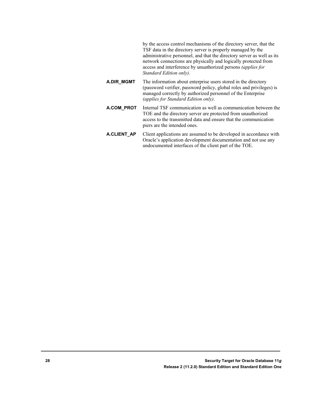by the access control mechanisms of the directory server, that the TSF data in the directory server is properly managed by the administrative personnel, and that the directory server as well as its network connections are physically and logically protected from access and interference by unuathorized persons *(applies for Standard Edition only)*.

- **A.DIR\_MGMT** The information about enterprise users stored in the directory (password verifier, password policy, global roles and privileges) is managed correctly by authorized personnel of the Enterprise *(applies for Standard Edition only)*.
- **A.COM\_PROT** Internal TSF communication as well as communication between the TOE and the directory server are protected from unauthorized access to the transmitted data and ensure that the communication piers are the intended ones.
- **A.CLIENT AP** Client applications are assumed to be developed in accordance with Oracle's application development documentation and not use any undocumented interfaces of the client part of the TOE.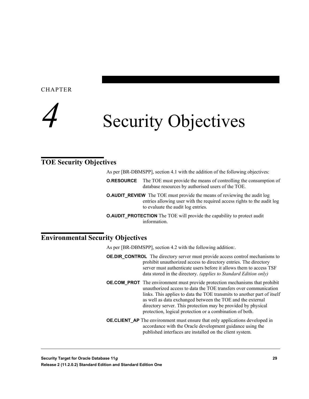<span id="page-28-0"></span>**CHAPTER** 



# <span id="page-28-1"></span>**TOE Security Objectives**

As per [BR-DBMSPP], section 4.1 with the addition of the following objectives:

- **O.RESOURCE** The TOE must provide the means of controlling the consumption of database resources by authorised users of the TOE.
- **O.AUDIT\_REVIEW** The TOE must provide the means of reviewing the audit log entries allowing user with the required access rights to the audit log to evaluate the audit log entries.
- **O.AUDIT\_PROTECTION** The TOE will provide the capability to protect audit information.

# <span id="page-28-2"></span>**Environmental Security Objectives**

As per [BR-DBMSPP], section 4.2 with the following addition:.

- **OE.DIR CONTROL** The directory server must provide access control mechanisms to prohibit unauthorized access to directory entries. The directory server must authenticate users before it allows them to access TSF data stored in the directory. *(applies to Standard Edition only)*
- **OE.COM\_PROT** The environment must provide protection mechanisms that prohibit unauthorized access to data the TOE transfers over communication links. This applies to data the TOE transmits to another part of itself as well as data exchanged between the TOE and the external directory server. This protection may be provided by physical protection, logical protection or a combination of both.
- **OE.CLIENT AP** The environment must ensure that only applications developed in accordance with the Oracle development guidance using the published interfaces are installed on the client system.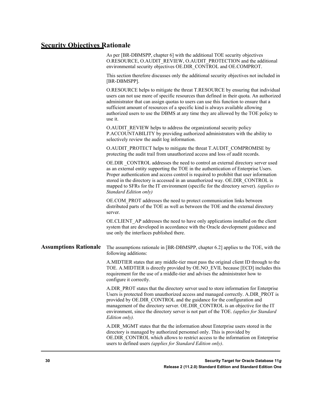## <span id="page-29-0"></span>**Security Objectives Rationale**

As per [BR-DBMSPP, chapter 6] with the additional TOE security objectives O.RESOURCE, O.AUDIT\_REVIEW, O.AUDIT\_PROTECTION and the additional environmental security objectives OE.DIR\_CONTROL and OE.COMPROT.

This section therefore discusses only the additional security objectives not included in [BR-DBMSPP].

O.RESOURCE helps to mitigate the threat T.RESOURCE by ensuring that individual users can not use more of specific resources than defined in their quota. An authorized administrator that can assign quotas to users can use this function to ensure that a sufficient amount of resources of a specific kind is always available allowing authorized users to use the DBMS at any time they are allowed by the TOE policy to use it.

O.AUDIT\_REVIEW helps to address the organizational security policy P.ACCOUNTABILITY by providing authorized administrators with the ability to selectively review the audit log information.

O.AUDIT\_PROTECT helps to mitigate the threat T.AUDIT\_COMPROMISE by protecting the audit trail from unauthorized access and loss of audit records.

OE.DIR \_CONTROL addresses the need to control an external directory server used as an external entity supporting the TOE in the authentication of Enterprise Users. Proper authentication and access control is required to prohibit that user information stored in the directory is accessed in an unauthorized way. OE.DIR\_CONTROL is mapped to SFRs for the IT environment (specific for the directory server). *(applies to Standard Edition only)*

OE.COM\_PROT addresses the need to protect communication links between distributed parts of the TOE as well as between the TOE and the external directory server.

OE.CLIENT\_AP addresses the need to have only applications installed on the client system that are developed in accordance with the Oracle development guidance and use only the interfaces published there.

The assumptions rationale in [BR-DBMSPP, chapter 6.2] applies to the TOE, with the following additions: **Assumptions Rationale** 

> A.MIDTIER states that any middle-tier must pass the original client ID through to the TOE. A.MIDTIER is directly provided by OE.NO\_EVIL because [ECD] includes this requirement for the use of a middle-tier and advises the administrator how to configure it correctly.

A.DIR\_PROT states that the directory server used to store information for Enterprise Users is protected from unauthorized access and managed correctly. A.DIR\_PROT is provided by OE.DIR\_CONTROL and the guidance for the configuration and management of the directory server. OE.DIR\_CONTROL is an objective for the IT environment, since the directory server is not part of the TOE. *(applies for Standard Edition only).*

A.DIR\_MGMT states that the the information about Enterprise users stored in the directory is managed by authorized personnel only. This is provided by OE.DIR\_CONTROL which allows to restrict access to the information on Enterprise users to defined users *(applies for Standard Edition only)*.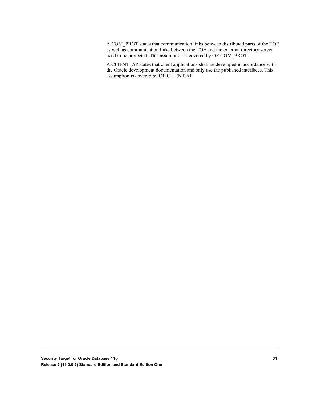A.COM\_PROT states that communication links between distributed parts of the TOE as well as communication links between the TOE and the external directory server need to be protected. This assumption is covered by OE.COM\_PROT.

A.CLIENT\_AP states that client applications shall be developed in accordance with the Oracle development documentation and only use the published interfaces. This assumption is covered by OE.CLIENT.AP.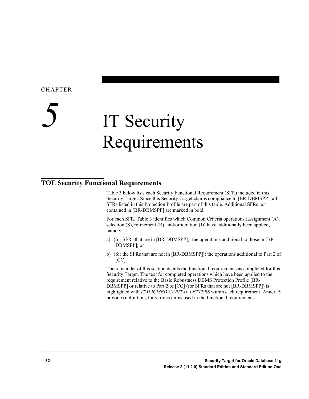#### <span id="page-31-0"></span>CHAPTER

# *5* IT Security Requirements

# <span id="page-31-1"></span>**TOE Security Functional Requirements**

Table 3 below lists each Security Functional Requirement (SFR) included in this Security Target. Since this Security Target claims compliance to [BR-DBMSPP], all SFRs listed in this Protection Profile are part of this table. Additional SFRs not contained in [BR-DBMSPP] are marked in bold.

For each SFR, Table 3 identifies which Common Criteria operations (assignment (A), selection (S), refinement (R), and/or iteration (I)) have additionally been applied, namely:

- a) (for SFRs that are in [BR-DBMSPP]): the operations additional to those in [BR-DBMSPP]; or
- b) (for the SFRs that are not in [BR-DBMSPP]): the operations additional to Part 2 of  $[CC]$ .

The remainder of this section details the functional requirements as completed for this Security Target. The text for completed operations which have been applied to the requirement relative to the Basic Robustness DBMS Protection Profile [BR-DBMSPP] or relative to Part 2 of [CC] (for SFRs that are not [BR-DBMSPP]) is highlighted with *ITALICISED CAPITAL LETTERS* within each requirement. Annex B provides definitions for various terms used in the functional requirements.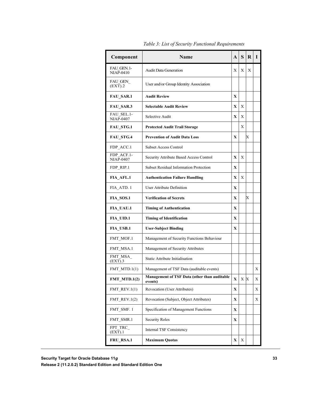| Component                       | <b>Name</b>                                             |             | S   | R            | I |
|---------------------------------|---------------------------------------------------------|-------------|-----|--------------|---|
| FAU GEN. 1-<br><b>NIAP-0410</b> | <b>Audit Data Generation</b>                            | X           | X   | $\mathbf{X}$ |   |
| FAU GEN<br>(EXT).2              | User and/or Group Identity Association                  |             |     |              |   |
| <b>FAU SAR.1</b>                | <b>Audit Review</b>                                     | $\mathbf x$ |     |              |   |
| <b>FAU SAR.3</b>                | <b>Selectable Audit Review</b>                          | X           | X   |              |   |
| FAU SEL.1-<br><b>NIAP-0407</b>  | Selective Audit                                         | X           | X   |              |   |
| <b>FAU STG.1</b>                | <b>Protected Audit Trail Storage</b>                    |             | X   |              |   |
| FAU STG.4                       | <b>Prevention of Audit Data Loss</b>                    | X           |     | X            |   |
| FDP ACC.1                       | <b>Subset Access Control</b>                            |             |     |              |   |
| FDP_ACF.1-<br><b>NIAP-0407</b>  | Security Attribute Based Access Control                 | X           | X   |              |   |
| FDP RIP.1                       | <b>Subset Residual Information Protection</b>           | X           |     |              |   |
| FIA AFL.1                       | <b>Authentication Failure Handling</b>                  | X           | X   |              |   |
| FIA ATD. 1                      | <b>User Attribute Definition</b>                        | X           |     |              |   |
| FIA SOS.1                       | <b>Verification of Secrets</b>                          | X           |     | X            |   |
| <b>FIA_UAU.1</b>                | <b>Timing of Authentication</b>                         |             |     |              |   |
| FIA_UID.1                       | <b>Timing of Identification</b>                         | X           |     |              |   |
| <b>FIA USB.1</b>                | <b>User-Subject Binding</b>                             | X           |     |              |   |
| FMT_MOF.1                       | Management of Security Functions Behaviour              |             |     |              |   |
| FMT_MSA.1                       | Management of Security Attributes                       |             |     |              |   |
| FMT_MSA_<br>(EXT).3             | Static Attribute Initialisation                         |             |     |              |   |
| FMT MTD. $1(1)$                 | Management of TSF Data (auditable events)               |             |     |              | X |
| $FMT_MTD.1(2)$                  | Management of TSF Data (other than auditable<br>events) | X           | X X |              | X |
| FMT REV. $1(1)$                 | <b>Revocation (User Attributes)</b>                     | X           |     |              | Х |
| FMT REV.1 $(2)$                 | Revocation (Subject, Object Attributes)                 | X           |     |              | Χ |
| FMT SMF. 1                      | Specification of Management Functions                   | X           |     |              |   |
| FMT SMR.1                       | <b>Security Roles</b>                                   | X           |     |              |   |
| $FPT_TRC$<br>(EXT).1            | Internal TSF Consistency                                |             |     |              |   |
| FRU_RSA.1                       | <b>Maximum Quotas</b>                                   | X           | Χ   |              |   |

*Table 3: List of Security Functional Requirements*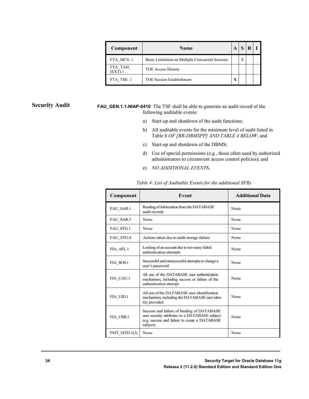| Component          | <b>Name</b>                                      |  |   |  |
|--------------------|--------------------------------------------------|--|---|--|
| FTA MCS.1          | Basic Limitation on Multiple Concurrent Sessions |  | X |  |
| FTA TAH<br>(EXT).1 | <b>TOE Access History</b>                        |  |   |  |
| FTA TSE. 1         | <b>TOE Session Establishment</b>                 |  |   |  |

#### **Security Audit**

**FAU\_GEN.1.1-NIAP-0410** The TSF shall be able to generate an audit record of the following auditable events:

- a) Start-up and shutdown of the audit functions;
- b) All auditable events for the minimum level of audit listed in Table 8 *OF [BR-DBMSPP] AND TABLE 4 BELOW*; and
- c) Start-up and shutdown of the DBMS;
- d) Use of special permissions (e.g., those often used by authorized administrators to circumvent access control policies); and
- e) *NO ADDITIONAL EVENT*S.

| Component       | Event                                                                                                                                                      | <b>Additional Data</b> |
|-----------------|------------------------------------------------------------------------------------------------------------------------------------------------------------|------------------------|
| FAU SAR.1       | Reading of information from the DATABASE<br>audit records                                                                                                  | None                   |
| FAU SAR.3       | None                                                                                                                                                       | None                   |
| FAU_STG.1       | None                                                                                                                                                       | None                   |
| FAU_STG.4       | Actions taken due to audit storage failure                                                                                                                 | None                   |
| FIA AFL.1       | Locking of an account due to too many failed<br>authentication attempts                                                                                    | None                   |
| FIA SOS.1       | Successful and unsuccessful attempts to change a<br>user's password                                                                                        | None                   |
| FIA UAU.1       | All use of the DATABASE user authentication<br>mechanism, including success or failure of the<br>authentication attempt                                    | None                   |
| FIA UID.1       | All use of the DATABASE user identification<br>mechanism, including the DATABASE user iden-<br>tity provided                                               | None                   |
| FIA USB.1       | Success and failure of binding of DATABASE<br>user security attributes to a DATABASE subject<br>(e.g. success and failure to create a DATABASE<br>subject) | None                   |
| FMT MTD. $1(2)$ | None                                                                                                                                                       | None                   |

*Table 4: List of Auditable Events for the additional SFRs*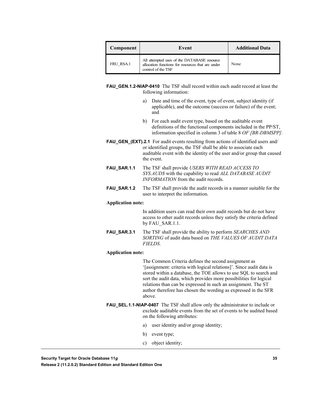| Component | Event                                                                                                                  | <b>Additional Data</b> |
|-----------|------------------------------------------------------------------------------------------------------------------------|------------------------|
| FRU RSA.1 | All attempted uses of the DATABASE resource<br>allocation functions for resources that are under<br>control of the TSF | None                   |

**FAU\_GEN.1.2-NIAP-0410** The TSF shall record within each audit record at least the following information:

- a) Date and time of the event, type of event, subject identity (if applicable), and the outcome (success or failure) of the event; and
- b) For each audit event type, based on the auditable event definitions of the functional components included in the PP/ST, information specified in column 3 of table 8 *OF [BR-DBMSPP].*
- **FAU\_GEN\_(EXT).2.1** For audit events resulting from actions of identified users and/ or identified groups, the TSF shall be able to associate each auditable event with the identity of the user and/or group that caused the event.
- **FAU\_SAR.1.1** The TSF shall provide *USERS WITH READ ACCESS TO SYS.AUD\$* with the capability to read *ALL DATABASE AUDIT INFORMATION* from the audit records.
- **FAU\_SAR.1.2** The TSF shall provide the audit records in a manner suitable for the user to interpret the information.

#### **Application note:**

In addition users can read their own audit records but do not have access to other audit records unless they satisfy the criteria defined by FAU\_SAR.1.1.

**FAU\_SAR.3.1** The TSF shall provide the ability to perform *SEARCHES AND SORTING* of audit data based on *THE VALUES OF AUDIT DATA FIELDS*.

#### **Application note:**

The Common Criteria defines the second assignment as '[assignment: criteria with logical relations]'. Since audit data is stored within a database, the TOE allows to use SQL to search and sort the audit data, which provides more possibilities for logical relations than can be expressed in such an assignment. The ST author therefore has chosen the wording as expressed in the SFR above.

- **FAU\_SEL.1.1-NIAP-0407** The TSF shall allow only the administrator to include or exclude auditable events from the set of events to be audited based on the following attributes:
	- a) user identity and/or group identity;
	- b) event type;
	- c) object identity;

**Security Target for Oracle Database 11***g* **35**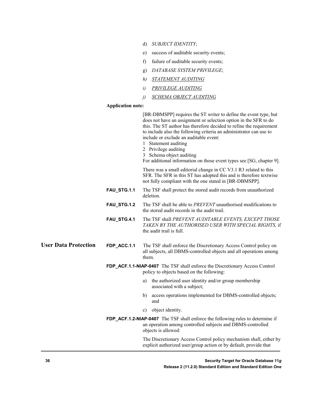- d) *SUBJECT IDENTITY*;
- e) success of auditable security events;
- f) failure of auditable security events;
- g) *DATABASE SYSTEM PRIVILEGE*;
- *h) STATEMENT AUDITING*
- *i) PRIVILEGE AUDITING*
- *j) SCHEMA OBJECT AUDITING*

#### **Application note:**

|                             |             | [BR-DBMSPP] requires the ST writer to define the event type, but<br>does not have an assignment or selection option in the SFR to do<br>this. The ST author has therefore decided to refine the requirement<br>to include also the following criteria an administrator can use to<br>include or exclude an auditable event:<br>1 Statement auditing<br>2 Privilege auditing<br>3 Schema object auditing<br>For additional information on those event types see [SG, chapter 9]. |
|-----------------------------|-------------|---------------------------------------------------------------------------------------------------------------------------------------------------------------------------------------------------------------------------------------------------------------------------------------------------------------------------------------------------------------------------------------------------------------------------------------------------------------------------------|
|                             |             | There was a small editorial change in CC V3.1 R3 related to this<br>SFR. The SFR in this ST has adopted this and is therefore textwise<br>not fully compliant with the one stated in [BR-DBMSPP].                                                                                                                                                                                                                                                                               |
|                             | FAU_STG.1.1 | The TSF shall protect the stored audit records from unauthorized<br>deletion.                                                                                                                                                                                                                                                                                                                                                                                                   |
|                             | FAU_STG.1.2 | The TSF shall be able to <i>PREVENT</i> unauthorised modifications to<br>the stored audit records in the audit trail.                                                                                                                                                                                                                                                                                                                                                           |
|                             | FAU_STG.4.1 | The TSF shall PREVENT AUDITABLE EVENTS, EXCEPT THOSE<br>TAKEN BY THE AUTHORISED USER WITH SPECIAL RIGHTS, if<br>the audit trail is full.                                                                                                                                                                                                                                                                                                                                        |
| <b>User Data Protection</b> | FDP_ACC.1.1 | The TSF shall enforce the Discretionary Access Control policy on<br>all subjects, all DBMS-controlled objects and all operations among<br>them.                                                                                                                                                                                                                                                                                                                                 |
|                             |             | FDP_ACF.1.1-NIAP-0407 The TSF shall enforce the Discretionary Access Control<br>policy to objects based on the following:                                                                                                                                                                                                                                                                                                                                                       |
|                             |             | the authorized user identity and/or group membership<br>a)<br>associated with a subject;                                                                                                                                                                                                                                                                                                                                                                                        |
|                             |             | access operations implemented for DBMS-controlled objects;<br>b)<br>and                                                                                                                                                                                                                                                                                                                                                                                                         |
|                             |             | object identity.<br>c)                                                                                                                                                                                                                                                                                                                                                                                                                                                          |
|                             |             | FDP_ACF.1.2-NIAP-0407 The TSF shall enforce the following rules to determine if<br>an operation among controlled subjects and DBMS-controlled<br>objects is allowed:                                                                                                                                                                                                                                                                                                            |
|                             |             | The Discretionary Access Control policy mechanism shall, either by<br>explicit authorized user/group action or by default, provide that                                                                                                                                                                                                                                                                                                                                         |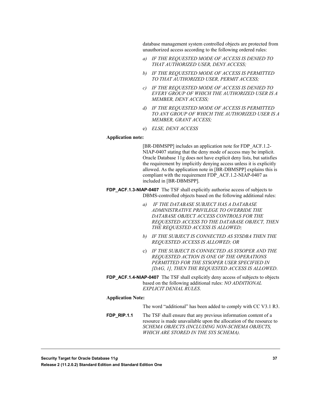database management system controlled objects are protected from unauthorized access according to the following ordered rules:

- *a) IF THE REQUESTED MODE OF ACCESS IS DENIED TO THAT AUTHORIZED USER, DENY ACCESS;*
- *b) IF THE REQUESTED MODE OF ACCESS IS PERMITTED TO THAT AUTHORIZED USER, PERMIT ACCESS;*
- *c) IF THE REQUESTED MODE OF ACCESS IS DENIED TO EVERY GROUP OF WHICH THE AUTHORIZED USER IS A MEMBER, DENY ACCESS;*
- *d) IF THE REQUESTED MODE OF ACCESS IS PERMITTED TO ANY GROUP OF WHICH THE AUTHORIZED USER IS A MEMBER, GRANT ACCESS;*
- e) *ELSE, DENY ACCESS*

#### **Application note:**

[BR-DBMSPP] includes an application note for FDP\_ACF.1.2- NIAP-0407 stating that the deny mode of access may be implicit. Oracle Database 11g does not have explicit deny lists, but satisfies the requirement by implicitly denying access unless it is explicitly allowed. As the application note in [BR-DBMSPP] explains this is compliant with the requirement FDP\_ACF.1.2-NIAP-0407 as included in [BR-DBMSPP].

- **FDP\_ACF.1.3-NIAP-0407** The TSF shall explicitly authorise access of subjects to DBMS-controlled objects based on the following additional rules:
	- *a) IF THE DATABASE SUBJECT HAS A DATABASE ADMINISTRATIVE PRIVILEGE TO OVERRIDE THE DATABASE OBJECT ACCESS CONTROLS FOR THE REQUESTED ACCESS TO THE DATABASE OBJECT, THEN THE REQUESTED ACCESS IS ALLOWED;*
	- *b) IF THE SUBJECT IS CONNECTED AS SYSDBA THEN THE REQUESTED ACCESS IS ALLOWED; OR*
	- c) *IF THE SUBJECT IS CONNECTED AS SYSOPER AND THE REQUESTED ACTION IS ONE OF THE OPERATIONS PERMITTED FOR THE SYSOPER USER SPECIFIED IN [DAG, 1], THEN THE REQUESTED ACCESS IS ALLOWED*.
- **FDP\_ACF.1.4-NIAP-0407** The TSF shall explicitly deny access of subjects to objects based on the following additional rules: *NO ADDITIONAL EXPLICIT DENIAL RULES*.

#### **Application Note:**

|  |  | The word "additional" has been added to comply with CC V3.1 R3. |  |  |  |  |
|--|--|-----------------------------------------------------------------|--|--|--|--|
|--|--|-----------------------------------------------------------------|--|--|--|--|

**FDP\_RIP.1.1** The TSF shall ensure that any previous information content of a resource is made unavailable upon the allocation of the resource to *SCHEMA OBJECTS (INCLUDING NON-SCHEMA OBJECTS, WHICH ARE STORED IN THE SYS SCHEMA).*

**Security Target for Oracle Database 11***g* **37 Release 2 (11.2.0.2) Standard Edition and Standard Edition One**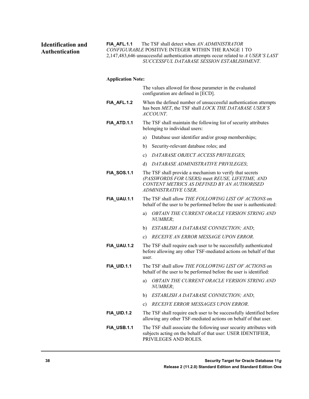#### **Identification and Authentication**

**FIA\_AFL.1.1** The TSF shall detect when *AN ADMINISTRATOR CONFIGURABLE* POSITIVE INTEGER WITHIN THE RANGE 1 TO 2,147,483,646 unsuccessful authentication attempts occur related to *A USER'S LAST SUCCESSFUL DATABASE SESSION ESTABLISHMENT*.

#### **Application Note:**

|                    | The values allowed for those parameter in the evaluated<br>configuration are defined in [ECD].                                                                                     |  |  |
|--------------------|------------------------------------------------------------------------------------------------------------------------------------------------------------------------------------|--|--|
| FIA_AFL.1.2        | When the defined number of unsuccessful authentication attempts<br>has been MET, the TSF shall LOCK THE DATABASE USER'S<br><i>ACCOUNT.</i>                                         |  |  |
| FIA ATD.1.1        | The TSF shall maintain the following list of security attributes<br>belonging to individual users:                                                                                 |  |  |
|                    | Database user identifier and/or group memberships;<br>a)                                                                                                                           |  |  |
|                    | Security-relevant database roles; and<br>b)                                                                                                                                        |  |  |
|                    | DATABASE OBJECT ACCESS PRIVILEGES;<br>c)                                                                                                                                           |  |  |
|                    | DATABASE ADMINISTRATIVE PRIVILEGES;<br>d)                                                                                                                                          |  |  |
| <b>FIA_SOS.1.1</b> | The TSF shall provide a mechanism to verify that secrets<br>(PASSWORDS FOR USERS) meet REUSE, LIFETIME, AND<br>CONTENT METRICS AS DEFINED BY AN AUTHORISED<br>ADMINISTRATIVE USER. |  |  |
| FIA_UAU.1.1        | The TSF shall allow THE FOLLOWING LIST OF ACTIONS on<br>behalf of the user to be performed before the user is authenticated:                                                       |  |  |
|                    | <i>OBTAIN THE CURRENT ORACLE VERSION STRING AND</i><br>a)<br>NUMBER;                                                                                                               |  |  |
|                    | ESTABLISH A DATABASE CONNECTION; AND;<br>b)                                                                                                                                        |  |  |
|                    | RECEIVE AN ERROR MESSAGE UPON ERROR.<br>c)                                                                                                                                         |  |  |
| <b>FIA_UAU.1.2</b> | The TSF shall require each user to be successfully authenticated<br>before allowing any other TSF-mediated actions on behalf of that<br>user.                                      |  |  |
| <b>FIA_UID.1.1</b> | The TSF shall allow THE FOLLOWING LIST OF ACTIONS on<br>behalf of the user to be performed before the user is identified:                                                          |  |  |
|                    | OBTAIN THE CURRENT ORACLE VERSION STRING AND<br>a)<br>NUMBER;                                                                                                                      |  |  |
|                    | ESTABLISH A DATABASE CONNECTION; AND;<br>b)                                                                                                                                        |  |  |
|                    | <b>RECEIVE ERROR MESSAGES UPON ERROR.</b><br>c)                                                                                                                                    |  |  |
| <b>FIA_UID.1.2</b> | The TSF shall require each user to be successfully identified before<br>allowing any other TSF-mediated actions on behalf of that user.                                            |  |  |
| FIA_USB.1.1        | The TSF shall associate the following user security attributes with<br>subjects acting on the behalf of that user: USER IDENTIFIER,<br>PRIVILEGES AND ROLES.                       |  |  |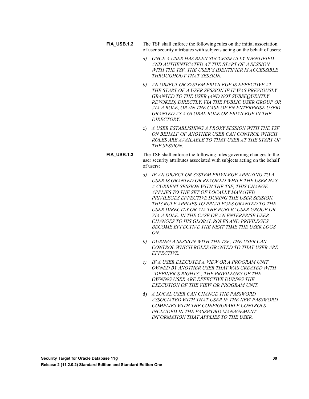- **FIA\_USB.1.2** The TSF shall enforce the following rules on the initial association of user security attributes with subjects acting on the behalf of users:
	- *a) ONCE A USER HAS BEEN SUCCESSFULLY IDENTIFIED AND AUTHENTICATED AT THE START OF A SESSION WITH THE TSF, THE USER'S IDENTIFIER IS ACCESSIBLE THROUGHOUT THAT SESSION.*
	- *b) AN OBJECT OR SYSTEM PRIVILEGE IS EFFECTIVE AT THE START OF A USER SESSION IF IT WAS PREVIOUSLY GRANTED TO THE USER (AND NOT SUBSEQUENTLY REVOKED) DIRECTLY, VIA THE PUBLIC USER GROUP OR VIA A ROLE, OR (IN THE CASE OF EN ENTERPRISE USER) GRANTED AS A GLOBAL ROLE OR PRIVILEGE IN THE DIRECTORY.*
	- c) *A USER ESTABLISHING A PROXY SESSION WITH THE TSF ON BEHALF OF ANOTHER USER CAN CONTROL WHICH ROLES ARE AVAILABLE TO THAT USER AT THE START OF THE SESSION.*
- **FIA\_USB.1.3** The TSF shall enforce the following rules governing changes to the user security attributes associated with subjects acting on the behalf of users:
	- *a) IF AN OBJECT OR SYSTEM PRIVILEGE APPLYING TO A USER IS GRANTED OR REVOKED WHILE THE USER HAS A CURRENT SESSION WITH THE TSF, THIS CHANGE APPLIES TO THE SET OF LOCALLY MANAGED PRIVILEGES EFFECTIVE DURING THE USER SESSION. THIS RULE APPLIES TO PRIVILEGES GRANTED TO THE USER DIRECTLY OR VIA THE PUBLIC USER GROUP OR VIA A ROLE. IN THE CASE OF AN ENTERPRISE USER CHANGES TO HIS GLOBAL ROLES AND PRIVILEGES BECOME EFFECTIVE THE NEXT TIME THE USER LOGS ON.*
	- *b) DURING A SESSION WITH THE TSF, THE USER CAN CONTROL WHICH ROLES GRANTED TO THAT USER ARE EFFECTIVE.*
	- *c) IF A USER EXECUTES A VIEW OR A PROGRAM UNIT OWNED BY ANOTHER USER THAT WAS CREATED WITH "DEFINER'S RIGHTS", THE PRIVILEGES OF THE OWNING USER ARE EFFECTIVE DURING THE EXECUTION OF THE VIEW OR PROGRAM UNIT.*
	- d) *A LOCAL USER CAN CHANGE THE PASSWORD ASSOCIATED WITH THAT USER IF THE NEW PASSWORD COMPLIES WITH THE CONFIGURABLE CONTROLS INCLUDED IN THE PASSWORD MANAGEMENT INFORMATION THAT APPLIES TO THE USER.*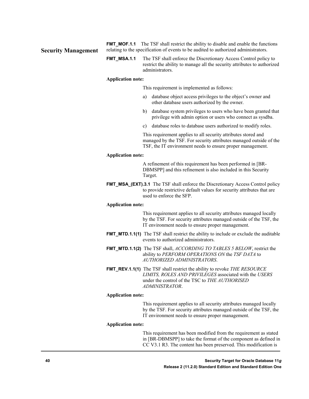**Security Management**

**FMT\_MOF.1.1** The TSF shall restrict the ability to disable and enable the functions relating to the specification of events to be audited to authorized administrators.

**FMT\_MSA.1.1** The TSF shall enforce the Discretionary Access Control policy to restrict the ability to manage all the security attributes to authorized administrators.

#### **Application note:**

This requirement is implemented as follows:

- a) database object access privileges to the object's owner and other database users authorized by the owner.
- b) database system privileges to users who have been granted that privilege with admin option or users who connect as sysdba.
- c) database roles to database users authorized to modify roles.

This requirement applies to all security attributes stored and managed by the TSF. For security attributes managed outside of the TSF, the IT environment needs to ensure proper management.

#### **Application note:**

A refinement of this requirement has been performed in [BR-DBMSPP] and this refinement is also included in this Security Target.

**FMT\_MSA\_(EXT).3.1** The TSF shall enforce the Discretionary Access Control policy to provide restrictive default values for security attributes that are used to enforce the SFP.

#### **Application note:**

This requirement applies to all security attributes managed locally by the TSF. For security attributes managed outside of the TSF, the IT environment needs to ensure proper management.

- **FMT MTD.1.1(1)** The TSF shall restrict the ability to include or exclude the auditable events to authorized administrators.
- **FMT\_MTD.1.1(2)** The TSF shall, *ACCORDING TO TABLES 5 BELOW*, restrict the ability to *PERFORM OPERATIONS ON* the *TSF DATA* to *AUTHORIZED ADMINISTRATORS*.
- **FMT\_REV.1.1(1)** The TSF shall restrict the ability to revoke *THE RESOURCE LIMITS, ROLES AND PRIVILEGES* associated with the *USERS* under the control of the TSC to *THE AUTHORISED ADMINISTRATOR*.

#### **Application note:**

This requirement applies to all security attributes managed locally by the TSF. For security attributes managed outside of the TSF, the IT environment needs to ensure proper management.

#### **Application note:**

This requirement has been modified from the requirement as stated in [BR-DBMSPP] to take the format of the component as defined in CC V3.1 R3. The content has been preserved. This modification is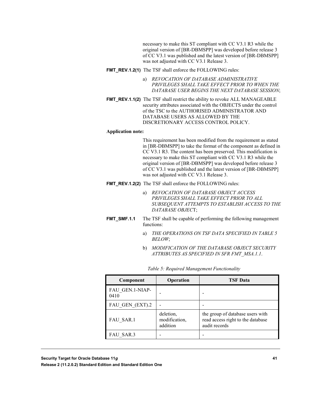necessary to make this ST compliant with CC V3.1 R3 while the original version of [BR-DBMSPP] was developed before release 3 of CC V3.1 was published and the latest version of [BR-DBMSPP] was not adjusted with CC V3.1 Release 3.

#### **FMT\_REV.1.2(1)** The TSF shall enforce the FOLLOWING rules:

- a) *REVOCATION OF DATABASE ADMINISTRATIVE PRIVILEGES SHALL TAKE EFFECT PRIOR TO WHEN THE DATABASE USER BEGINS THE NEXT DATABASE SESSION*;
- **FMT\_REV.1.1(2)** The TSF shall restrict the ability to revoke ALL MANAGEABLE security attributes associated with the OBJECTS under the control of the TSC to the AUTHORISED ADMINISTRATOR AND DATABASE USERS AS ALLOWED BY THE DISCRETIONARY ACCESS CONTROL POLICY.

#### **Application note:**

This requirement has been modified from the requirement as stated in [BR-DBMSPP] to take the format of the component as defined in CC V3.1 R3. The content has been preserved. This modification is necessary to make this ST compliant with CC V3.1 R3 while the original version of [BR-DBMSPP] was developed before release 3 of CC V3.1 was published and the latest version of [BR-DBMSPP] was not adjusted with CC V3.1 Release 3.

- **FMT\_REV.1.2(2)** The TSF shall enforce the FOLLOWING rules:
	- a) *REVOCATION OF DATABASE OBJECT ACCESS PRIVILEGES SHALL TAKE EFFECT PRIOR TO ALL SUBSEQUENT ATTEMPTS TO ESTABLISH ACCESS TO THE DATABASE OBJEC*T;
- **FMT\_SMF.1.1** The TSF shall be capable of performing the following management functions:
	- a) *THE OPERATIONS ON TSF DATA SPECIFIED IN TABLE 5 BELOW*;
	- b) *MODIFICATION OF THE DATABASE OBJECT SECURITY ATTRIBUTES AS SPECIFIED IN SFR FMT\_MSA.1.1*.

| Component               | Operation                              | <b>TSF</b> Data                                                                        |
|-------------------------|----------------------------------------|----------------------------------------------------------------------------------------|
| FAU GEN.1-NIAP-<br>0410 |                                        |                                                                                        |
| FAU GEN (EXT).2         |                                        |                                                                                        |
| FAU SAR.1               | deletion,<br>modification,<br>addition | the group of database users with<br>read access right to the database<br>audit records |
| FAU SAR.3               |                                        |                                                                                        |

|  | Table 5: Required Management Functionality |
|--|--------------------------------------------|
|  |                                            |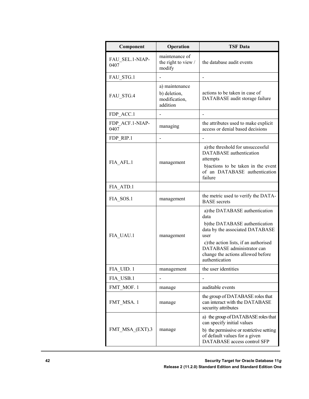| Component               | Operation                                                   | <b>TSF Data</b>                                                                                                                                                                                                                                  |
|-------------------------|-------------------------------------------------------------|--------------------------------------------------------------------------------------------------------------------------------------------------------------------------------------------------------------------------------------------------|
| FAU SEL.1-NIAP-<br>0407 | maintenance of<br>the right to view /<br>modify             | the database audit events                                                                                                                                                                                                                        |
| FAU STG.1               |                                                             |                                                                                                                                                                                                                                                  |
| FAU_STG.4               | a) maintenance<br>b) deletion,<br>modification,<br>addition | actions to be taken in case of<br>DATABASE audit storage failure                                                                                                                                                                                 |
| FDP_ACC.1               |                                                             |                                                                                                                                                                                                                                                  |
| FDP ACF.1-NIAP-<br>0407 | managing                                                    | the attributes used to make explicit<br>access or denial based decisions                                                                                                                                                                         |
| FDP RIP.1               | $\overline{a}$                                              |                                                                                                                                                                                                                                                  |
| FIA AFL.1               | management                                                  | a) the threshold for unsuccessful<br><b>DATABASE</b> authentication<br>attempts<br>b) actions to be taken in the event<br>of an DATABASE authentication<br>failure                                                                               |
| FIA ATD.1               |                                                             |                                                                                                                                                                                                                                                  |
| FIA SOS.1               | management                                                  | the metric used to verify the DATA-<br><b>BASE</b> secrets                                                                                                                                                                                       |
| FIA UAU.1               | management                                                  | a) the DATABASE authentication<br>data<br>b)the DATABASE authentication<br>data by the associated DATABASE<br>user<br>c) the action lists, if an authorised<br>DATABASE administrator can<br>change the actions allowed before<br>authentication |
| FIA UID. 1              | management                                                  | the user identities                                                                                                                                                                                                                              |
| FIA USB.1               |                                                             |                                                                                                                                                                                                                                                  |
| FMT_MOF. 1              | manage                                                      | auditable events                                                                                                                                                                                                                                 |
| FMT MSA. 1              | manage                                                      | the group of DATABASE roles that<br>can interact with the DATABASE<br>security attributes                                                                                                                                                        |
| FMT_MSA_(EXT).3         | manage                                                      | a) the group of DATABASE roles that<br>can specify initial values<br>b) the permissive or restrictive setting<br>of default values for a given<br>DATABASE access control SFP                                                                    |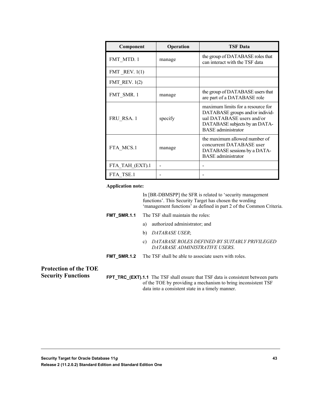| Component            | Operation | <b>TSF Data</b>                                                                                                                                                 |
|----------------------|-----------|-----------------------------------------------------------------------------------------------------------------------------------------------------------------|
| FMT MTD. 1           | manage    | the group of DATABASE roles that<br>can interact with the TSF data                                                                                              |
| FMT REV. $1(1)$      |           |                                                                                                                                                                 |
| <b>FMT_REV.</b> 1(2) |           |                                                                                                                                                                 |
| FMT SMR.1            | manage    | the group of DATABASE users that<br>are part of a DATABASE role                                                                                                 |
| FRU RSA. 1           | specify   | maximum limits for a resource for<br>DATABASE groups and/or individ-<br>ual DATABASE users and/or<br>DATABASE subjects by an DATA-<br><b>BASE</b> administrator |
| FTA MCS.1            | manage    | the maximum allowed number of<br>concurrent DATABASE user<br>DATABASE sessions by a DATA-<br><b>BASE</b> administrator                                          |
| FTA TAH (EXT).1      |           |                                                                                                                                                                 |
| FTA TSE.1            |           |                                                                                                                                                                 |

#### **Application note:**

In [BR-DBMSPP] the SFR is related to 'security management functions'. This Security Target has chosen the wording 'management functions' as defined in part 2 of the Common Criteria.

- **FMT\_SMR.1.1** The TSF shall maintain the roles:
	- a) authorized administrator; and
	- b) *DATABASE USER*;
	- c) *DATABASE ROLES DEFINED BY SUITABLY PRIVILEGED DATABASE ADMINISTRATIVE USERS*.
- **FMT\_SMR.1.2** The TSF shall be able to associate users with roles.

#### **Protection of the TOE Security Functions**

**FPT\_TRC\_(EXT).1.1** The TSF shall ensure that TSF data is consistent between parts of the TOE by providing a mechanism to bring inconsistent TSF data into a consistent state in a timely manner.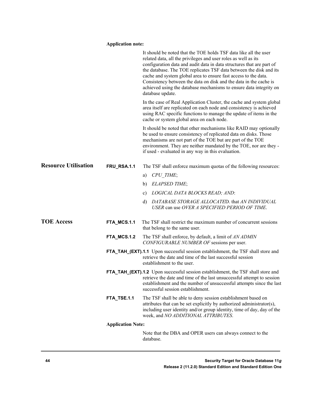#### **Application note:**

|                             |                          | It should be noted that the TOE holds TSF data like all the user<br>related data, all the privileges and user roles as well as its<br>configuration data and audit data in data structures that are part of<br>the database. The TOE replicates TSF data between the disk and its<br>cache and system global area to ensure fast access to the data.<br>Consistency between the data on disk and the data in the cache is<br>achieved using the database mechanisms to ensure data integrity on<br>database update. |
|-----------------------------|--------------------------|---------------------------------------------------------------------------------------------------------------------------------------------------------------------------------------------------------------------------------------------------------------------------------------------------------------------------------------------------------------------------------------------------------------------------------------------------------------------------------------------------------------------|
|                             |                          | In the case of Real Application Cluster, the cache and system global<br>area itself are replicated on each node and consistency is achieved<br>using RAC specific functions to manage the update of items in the<br>cache or system global area on each node.                                                                                                                                                                                                                                                       |
|                             |                          | It should be noted that other mechanisms like RAID may optionally<br>be used to ensure consistency of replicated data on disks. Those<br>mechanisms are not part of the TOE but are part of the TOE<br>environment. They are neither mandated by the TOE, nor are they -<br>if used - evaluated in any way in this evaluation.                                                                                                                                                                                      |
| <b>Resource Utilisation</b> | FRU_RSA.1.1              | The TSF shall enforce maximum quotas of the following resources:                                                                                                                                                                                                                                                                                                                                                                                                                                                    |
|                             |                          | CPU TIME;<br>a)                                                                                                                                                                                                                                                                                                                                                                                                                                                                                                     |
|                             |                          | <b>ELAPSED TIME;</b><br>b)                                                                                                                                                                                                                                                                                                                                                                                                                                                                                          |
|                             |                          | LOGICAL DATA BLOCKS READ; AND:<br>c)                                                                                                                                                                                                                                                                                                                                                                                                                                                                                |
|                             |                          | DATABASE STORAGE ALLOCATED. that AN INDIVIDUAL<br>d)<br>USER can use OVER A SPECIFIED PERIOD OF TIME.                                                                                                                                                                                                                                                                                                                                                                                                               |
| <b>TOE Access</b>           | FTA_MCS.1.1              | The TSF shall restrict the maximum number of concurrent sessions<br>that belong to the same user.                                                                                                                                                                                                                                                                                                                                                                                                                   |
|                             | FTA_MCS.1.2              | The TSF shall enforce, by default, a limit of AN ADMIN<br>CONFIGURABLE NUMBER OF sessions per user.                                                                                                                                                                                                                                                                                                                                                                                                                 |
|                             |                          | FTA_TAH_(EXT).1.1 Upon successful session establishment, the TSF shall store and<br>retrieve the date and time of the last successful session<br>establishment to the user.                                                                                                                                                                                                                                                                                                                                         |
|                             |                          | FTA_TAH_(EXT).1.2 Upon successful session establishment, the TSF shall store and<br>retrieve the date and time of the last unsuccessful attempt to session<br>establishment and the number of unsuccessful attempts since the last<br>successful session establishment.                                                                                                                                                                                                                                             |
|                             | FTA_TSE.1.1              | The TSF shall be able to deny session establishment based on<br>attributes that can be set explicitly by authorized administrator(s),<br>including user identity and/or group identity, time of day, day of the<br>week, and NO ADDITIONAL ATTRIBUTES.                                                                                                                                                                                                                                                              |
|                             | <b>Application Note:</b> |                                                                                                                                                                                                                                                                                                                                                                                                                                                                                                                     |
|                             |                          | Note that the DBA and OPER users can always connect to the<br>database.                                                                                                                                                                                                                                                                                                                                                                                                                                             |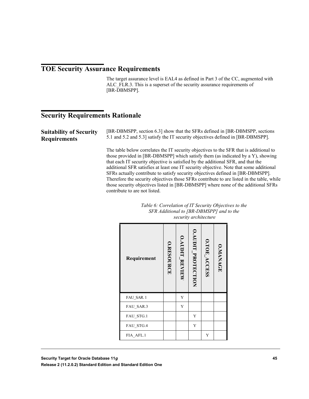#### **TOE Security Assurance Requirements**

The target assurance level is EAL4 as defined in Part 3 of the CC, augmented with ALC FLR.3. This is a superset of the security assurance requirements of [BR-DBMSPP].

#### **Security Requirements Rationale**

**Suitability of Security Requirements**

[BR-DBMSPP, section 6.3] show that the SFRs defined in [BR-DBMSPP, sections 5.1 and 5.2 and 5.3] satisfy the IT security objectives defined in [BR-DBMSPP].

The table below correlates the IT security objectives to the SFR that is additional to those provided in [BR-DBMSPP] which satisfy them (as indicated by a Y), showing that each IT security objective is satisfied by the additional SFR, and that the additional SFR satisfies at least one IT security objective. Note that some additional SFRs actually contribute to satisfy security objectives defined in [BR-DBMSPP]. Therefore the security objectives those SFRs contribute to are listed in the table, while those security objectives listed in [BR-DBMSPP] where none of the additional SFRs contribute to are not listed.

| Table 6: Correlation of IT Security Objectives to the |
|-------------------------------------------------------|
| SFR Additional to [BR-DBMSPP] and to the              |
| security architecture                                 |

| Requirement | O.RESOURCE | <b>O.AUDIT REVIEW</b> | O.AUDIT_PROTECTION | O.TOE_ACCESS | <b>O.MANAGE</b> |
|-------------|------------|-----------------------|--------------------|--------------|-----------------|
| FAU SAR. 1  |            | Y                     |                    |              |                 |
| FAU_SAR.3   |            | Y                     |                    |              |                 |
| FAU STG.1   |            |                       | Y                  |              |                 |
| FAU STG.4   |            |                       | Y                  |              |                 |
| FIA AFL.1   |            |                       |                    | Y            |                 |

**Release 2 (11.2.0.2) Standard Edition and Standard Edition One**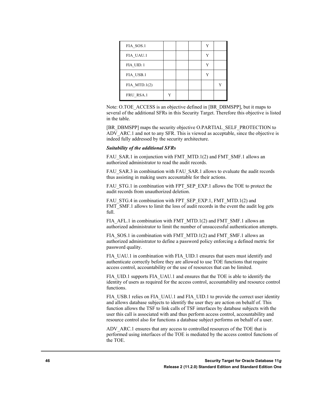| FIA SOS.1       |  |  |  |
|-----------------|--|--|--|
| FIA UAU.1       |  |  |  |
| FIA UID.1       |  |  |  |
| FIA USB.1       |  |  |  |
| FIA MTD. $1(2)$ |  |  |  |
| FRU RSA.1       |  |  |  |

Note: O.TOE\_ACCESS is an objective defined in [BR\_DBMSPP], but it maps to several of the additional SFRs in this Security Target. Therefore this objective is listed in the table.

[BR\_DBMSPP] maps the security objective O.PARTIAL\_SELF\_PROTECTION to ADV ARC.1 and not to any SFR. This is viewed as acceptable, since the objective is indeed fully addressed by the security architecture.

#### *Suitability of the additional SFRs*

FAU\_SAR.1 in conjunction with FMT\_MTD.1(2) and FMT\_SMF.1 allows an authorized administrator to read the audit records.

FAU\_SAR.3 in combination with FAU\_SAR.1 allows to evaluate the audit records thus assisting in making users accountable for their actions.

FAU\_STG.1 in combination with FPT\_SEP\_EXP.1 allows the TOE to protect the audit records from unauthorized deletion.

FAU\_STG.4 in combination with FPT\_SEP\_EXP.1, FMT\_MTD.1(2) and FMT\_SMF.1 allows to limit the loss of audit records in the event the audit log gets full.

FIA\_AFL.1 in combination with FMT\_MTD.1(2) and FMT\_SMF.1 allows an authorized administrator to limit the number of unsuccessful authentication attempts.

FIA\_SOS.1 in combination with FMT\_MTD.1(2) and FMT\_SMF.1 allows an authorized administrator to define a password policy enforcing a defined metric for password quality.

FIA UAU.1 in combination with FIA UID.1 ensures that users must identify and authenticate correctly before they are allowed to use TOE functions that require access control, accountability or the use of resources that can be limited.

FIA\_UID.1 supports FIA\_UAU.1 and ensures that the TOE is able to identify the identity of users as required for the access control, accountability and resource control functions.

FIA\_USB.1 relies on FIA\_UAU.1 and FIA\_UID.1 to provide the correct user identity and allows database subjects to identify the user they are action on behalf of. This function allows the TSF to link calls of TSF interfaces by database subjects with the user this call is associated with and thus perform access control, accountability and resource control also for functions a database subject performs on behalf of a user.

ADV ARC.1 ensures that any access to controlled resources of the TOE that is performed using interfaces of the TOE is mediated by the access control functions of the TOE.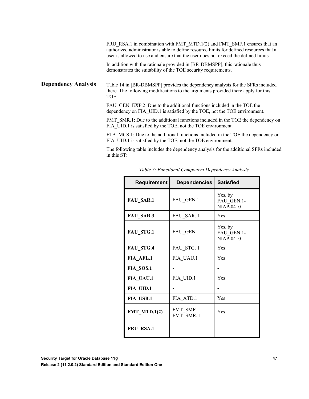FRU\_RSA.1 in combination with FMT\_MTD.1(2) and FMT\_SMF.1 ensures that an authorized administrator is able to define resource limits for defined resources that a user is allowed to use and ensure that the user does not exceed the defined limits.

In addition with the rationale provided in [BR-DBMSPP], this rationale thus demonstrates the suitability of the TOE security requirements.

Table 14 in [BR-DBMSPP] provides the dependency analysis for the SFRs included there. The following modifications to the arguments provided there apply for this TOE: **Dependency Analysis**

> FAU GEN EXP.2: Due to the additional functions included in the TOE the dependency on FIA\_UID.1 is satisfied by the TOE, not the TOE environment.

FMT\_SMR.1: Due to the additional functions included in the TOE the dependency on FIA\_UID.1 is satisfied by the TOE, not the TOE environment.

FTA\_MCS.1: Due to the additional functions included in the TOE the dependency on FIA UID.1 is satisfied by the TOE, not the TOE environment.

The following table includes the dependency analysis for the additional SFRs included in this ST:

| <b>Requirement</b> | <b>Dependencies</b>     | <b>Satisfied</b>                          |
|--------------------|-------------------------|-------------------------------------------|
| <b>FAU_SAR.1</b>   | FAU GEN.1               | Yes, by<br>FAU GEN.1-<br><b>NIAP-0410</b> |
| <b>FAU_SAR.3</b>   | FAU SAR. 1              | Yes                                       |
| FAU_STG.1          | FAU_GEN.1               | Yes, by<br>FAU GEN.1-<br><b>NIAP-0410</b> |
| FAU STG.4          | FAU STG. 1              | Yes                                       |
| FIA AFL.1          | FIA UAU.1               | Yes                                       |
| FIA SOS.1          |                         |                                           |
| FIA UAU.1          | FIA UID.1               | Yes                                       |
| <b>FIA UID.1</b>   |                         |                                           |
| <b>FIA USB.1</b>   | FIA ATD.1               | Yes                                       |
| FMT MTD.1 $(2)$    | FMT SMF.1<br>FMT SMR. 1 | Yes                                       |
| FRU RSA.1          |                         |                                           |

*Table 7: Functional Component Dependency Analysis*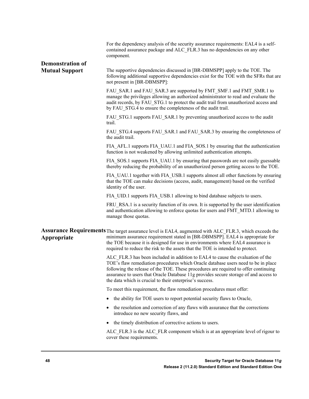|                         | For the dependency analysis of the security assurance requirements: EAL4 is a self-<br>contained assurance package and ALC FLR.3 has no dependencies on any other<br>component.                                                                                                                                                                                                                                |
|-------------------------|----------------------------------------------------------------------------------------------------------------------------------------------------------------------------------------------------------------------------------------------------------------------------------------------------------------------------------------------------------------------------------------------------------------|
| <b>Demonstration of</b> |                                                                                                                                                                                                                                                                                                                                                                                                                |
| <b>Mutual Support</b>   | The supportive dependencies discussed in [BR-DBMSPP] apply to the TOE. The<br>following additional supportive dependencies exist for the TOE with the SFRs that are<br>not present in [BR-DBMSPP]:                                                                                                                                                                                                             |
|                         | FAU_SAR.1 and FAU_SAR.3 are supported by FMT_SMF.1 and FMT_SMR.1 to<br>manage the privileges allowing an authorized administrator to read and evaluate the<br>audit records, by FAU STG.1 to protect the audit trail from unauthorized access and<br>by FAU STG.4 to ensure the completeness of the audit trail.                                                                                               |
|                         | FAU STG.1 supports FAU SAR.1 by preventing unauthorized access to the audit<br>trail.                                                                                                                                                                                                                                                                                                                          |
|                         | FAU_STG.4 supports FAU_SAR.1 and FAU_SAR.3 by ensuring the completeness of<br>the audit trail.                                                                                                                                                                                                                                                                                                                 |
|                         | FIA AFL.1 supports FIA UAU.1 and FIA SOS.1 by ensuring that the authentication<br>function is not weakened by allowing unlimited authentication attempts.                                                                                                                                                                                                                                                      |
|                         | FIA SOS.1 supports FIA UAU.1 by ensuring that passwords are not easily guessable<br>thereby reducing the probability of an unauthorized person getting access to the TOE.                                                                                                                                                                                                                                      |
|                         | FIA UAU.1 together with FIA USB.1 supports almost all other functions by ensuring<br>that the TOE can make decisions (access, audit, management) based on the verified<br>identity of the user.                                                                                                                                                                                                                |
|                         | FIA UID.1 supports FIA USB.1 allowing to bind database subjects to users.                                                                                                                                                                                                                                                                                                                                      |
|                         | FRU RSA.1 is a security function of its own. It is supported by the user identification<br>and authentication allowing to enforce quotas for users and FMT MTD.1 allowing to<br>manage those quotas.                                                                                                                                                                                                           |
| Appropriate             | Assurance Requirements The target assurance level is EAL4, augmented with ALC_FLR.3, which exceeds the<br>minimum assurance requirement stated in [BR-DBMSPP]. EAL4 is appropriate for<br>the TOE because it is designed for use in environments where EAL4 assurance is<br>required to reduce the risk to the assets that the TOE is intended to protect.                                                     |
|                         | ALC FLR.3 has been included in addition to EAL4 to cause the evaluation of the<br>TOE's flaw remediation procedures which Oracle database users need to be in place<br>following the release of the TOE. These procedures are required to offer continuing<br>assurance to users that Oracle Database 11g provides secure storage of and access to<br>the data which is crucial to their enterprise's success. |
|                         | To meet this requirement, the flaw remediation procedures must offer:                                                                                                                                                                                                                                                                                                                                          |
|                         | the ability for TOE users to report potential security flaws to Oracle,                                                                                                                                                                                                                                                                                                                                        |
|                         | the resolution and correction of any flaws with assurance that the corrections<br>introduce no new security flaws, and                                                                                                                                                                                                                                                                                         |
|                         | the timely distribution of corrective actions to users.                                                                                                                                                                                                                                                                                                                                                        |
|                         | ALC FLR.3 is the ALC FLR component which is at an appropriate level of rigour to<br>cover these requirements.                                                                                                                                                                                                                                                                                                  |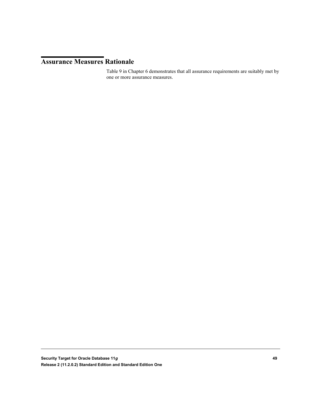#### **Assurance Measures Rationale**

Table 9 in Chapter 6 demonstrates that all assurance requirements are suitably met by one or more assurance measures.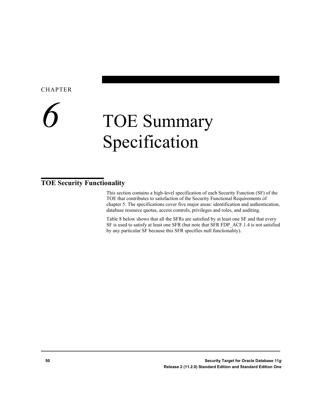#### **CHAPTER**

### *6* TOE Summary Specification

#### **TOE Security Functionality**

This section contains a high-level specification of each Security Function (SF) of the TOE that contributes to satisfaction of the Security Functional Requirements of chapter 5. The specifications cover five major areas: identification and authentication, database resource quotas, access controls, privileges and roles, and auditing.

Table 8 below shows that all the SFRs are satisfied by at least one SF and that every SF is used to satisfy at least one SFR (but note that SFR FDP\_ACF.1.4 is not satisfied by any particular SF because this SFR specifies null functionality).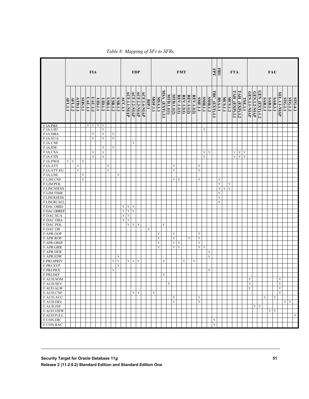|                                |                | <b>FIA</b>  |         |             | <b>FDP</b>     |             |             | <b>FMT</b>  |                            |                |             |             |                                   | Ę                                 | ERU<br><b>FTA</b>   |              |             |                | <b>FAU</b>  |               |            |                            |                   |            |                   |             |                  |                |                |               |                |             |                |               |               |             |                     |                     |                      |                |                |                              |                         |            |                |         |
|--------------------------------|----------------|-------------|---------|-------------|----------------|-------------|-------------|-------------|----------------------------|----------------|-------------|-------------|-----------------------------------|-----------------------------------|---------------------|--------------|-------------|----------------|-------------|---------------|------------|----------------------------|-------------------|------------|-------------------|-------------|------------------|----------------|----------------|---------------|----------------|-------------|----------------|---------------|---------------|-------------|---------------------|---------------------|----------------------|----------------|----------------|------------------------------|-------------------------|------------|----------------|---------|
|                                | <b>AFL.1.1</b> | AFL.1.2     | ATD.1.1 | SOS.1.1     | <b>UAU.1.1</b> | $U$ AU.1.2  | L.I.dIU     | UID.1.2     | <b>USB.1.1</b>             | <b>USB.1.2</b> | USB.1.3     | ACC.1.1     | <b>ACF.1.1-NIAP</b>               | ACF.1.2-NIAP                      | <b>ACF.1.3-NIAP</b> | ACF.1.4-NIAP | RIP.1       | <b>MOF.1.1</b> | MSA.1.1     | MSA (EXT).3.1 | NTD.1.1(1) | MTD.1.1(2)                 | <b>REV.1.1(1)</b> | REV.1.2(1) | <b>REV.1.1(2)</b> | REV.1.2(2)  | <b>SMF.1.1</b>   | <b>SMR.1.1</b> | <b>SMR.1.2</b> | TRC_(EXT).1.1 | <b>RSA.1.1</b> | MCS.1.1     | <b>MCS.1.2</b> | TAH (EXP).1.1 | TAH_(EXP).1.2 | TSE.1.1     | <b>GEN.1.1-NIAP</b> | <b>GEN.1.2-NIAP</b> | <b>GEN (EXT).1.2</b> | <b>SAR.1.1</b> | <b>SAR.1.2</b> | SAR.3.1                      | SEL.1.1-NIAP            | STG.1.1    | <b>STG.1.2</b> | STG.4.1 |
| F.IA.PRE                       |                |             |         |             |                |             | $Y$ $Y$ $Y$ | $\mathbf Y$ |                            |                |             |             |                                   |                                   |                     |              |             |                |             |               |            |                            |                   |            |                   |             |                  |                |                |               |                |             |                |               |               |             |                     |                     |                      |                |                |                              |                         |            |                |         |
| F.IA.UID                       |                |             |         |             |                |             |             | $\mathbf Y$ |                            |                |             |             |                                   |                                   |                     |              |             |                |             |               |            |                            |                   |            |                   |             |                  | Y              |                |               |                |             |                |               |               |             |                     |                     |                      |                |                |                              |                         |            |                |         |
| F.IA.DBA                       |                |             |         |             |                | $\mathbf Y$ |             | $\mathbf Y$ |                            | $\mathbf Y$    |             |             |                                   |                                   |                     |              |             |                |             |               |            |                            |                   |            |                   |             |                  |                |                |               |                |             |                |               |               |             |                     |                     |                      |                |                |                              |                         |            |                |         |
| F.IA.EUA                       |                |             |         |             |                | $\mathbf Y$ |             | $\mathbf Y$ |                            | $\mathbf Y$    |             |             |                                   |                                   |                     |              |             |                |             |               |            |                            |                   |            |                   |             |                  |                |                |               |                |             |                |               |               |             |                     |                     |                      |                |                |                              |                         |            |                |         |
| F.IA.CNF                       |                |             |         |             |                |             |             |             |                            |                |             |             |                                   | $\mathbf Y$                       |                     |              |             |                |             |               |            |                            |                   |            |                   |             |                  |                |                |               |                |             |                |               |               |             |                     |                     |                      |                |                |                              |                         |            |                |         |
| F.IA.IDE                       |                |             |         |             |                |             |             | $\mathbf Y$ |                            | $\mathbf Y$    |             |             |                                   |                                   |                     |              |             |                |             |               |            |                            |                   |            |                   |             |                  |                |                |               |                |             |                |               |               |             |                     |                     |                      |                |                |                              |                         |            |                |         |
| F.IA.CSA                       |                |             |         |             |                | $\mathbf Y$ |             | $\mathbf Y$ |                            |                |             |             |                                   |                                   |                     |              |             |                |             |               |            |                            |                   |            |                   |             |                  | Y              | $\mathbf Y$    |               |                |             |                | Y             | $\mathbf Y$   | $\mathbf Y$ |                     |                     |                      |                |                |                              |                         |            |                |         |
| F.IA.CSN                       |                |             |         |             |                | $\mathbf Y$ |             | $\mathbf Y$ |                            |                |             |             |                                   |                                   |                     |              |             |                |             |               |            |                            |                   |            |                   |             |                  | Y              |                |               |                |             |                | Y             | $\mathbf Y$   | Y           |                     |                     |                      |                |                |                              |                         |            |                |         |
| F.IA.PWD                       | $\mathbf Y$    | $\mathbf Y$ |         | $\mathbf Y$ |                |             |             |             |                            |                |             |             |                                   |                                   |                     |              |             |                |             |               |            |                            |                   |            |                   |             |                  |                |                |               |                |             |                |               |               |             |                     |                     |                      |                |                |                              |                         |            |                |         |
| F.IA.ATT<br>F.IA.ATT-EU        |                |             | Y<br>Y  |             |                |             |             |             | $\mathbf Y$<br>$\mathbf Y$ |                |             |             |                                   |                                   |                     |              |             |                |             |               |            | $\mathbf Y$<br>$\mathbf Y$ |                   |            |                   |             | Y<br>$\mathbf Y$ |                |                |               |                |             |                |               |               |             |                     |                     |                      |                |                |                              |                         |            |                |         |
| F.IA.USE                       |                |             |         | $\mathbf Y$ |                |             |             |             |                            |                | Y           |             |                                   |                                   |                     |              |             |                |             |               |            |                            |                   |            |                   |             |                  |                |                |               |                |             |                |               |               |             |                     |                     |                      |                |                |                              |                         |            |                |         |
| F.LIM.CNF                      |                |             |         | $\mathbf Y$ |                |             |             |             |                            |                |             |             |                                   |                                   |                     |              |             |                |             |               |            | $\mathbf Y$                | Y                 |            |                   |             | $\mathbf Y$      |                |                |               | $\mathbf Y$    |             |                |               |               |             |                     |                     |                      |                |                |                              |                         |            |                |         |
| F.LIM.POL                      |                |             |         |             |                |             |             |             |                            |                |             |             |                                   |                                   |                     |              |             |                |             |               |            |                            |                   |            |                   |             |                  |                |                |               | $\mathbf Y$    |             | Y              |               |               |             |                     |                     |                      |                |                |                              |                         |            |                |         |
| F.LIM.NSESS                    |                |             |         |             |                |             |             |             |                            |                |             |             |                                   |                                   |                     |              |             |                |             |               |            |                            |                   |            |                   |             |                  |                |                |               | $\mathbf Y$    | $\mathbf Y$ | $\mathbf Y$    |               |               |             |                     |                     |                      |                |                |                              |                         |            |                |         |
| F.LIM.TIME                     |                |             |         |             |                |             |             |             |                            |                |             |             |                                   |                                   |                     |              |             |                |             |               |            |                            |                   |            |                   |             |                  |                |                |               | $\mathbf Y$    |             |                |               |               |             |                     |                     |                      |                |                |                              |                         |            |                |         |
| F.LIM.RSESS                    |                |             |         |             |                |             |             |             |                            |                |             |             |                                   |                                   |                     |              |             |                |             |               |            |                            |                   |            |                   |             |                  |                |                |               | $\mathbf Y$    |             |                |               |               |             |                     |                     |                      |                |                |                              |                         |            |                |         |
| F.LIM.RCALI                    |                |             |         |             |                |             |             |             |                            |                |             |             |                                   |                                   |                     |              |             |                |             |               |            |                            |                   |            |                   |             |                  |                |                |               | $\mathbf Y$    |             |                |               |               |             |                     |                     |                      |                |                |                              |                         |            |                |         |
| F.DAC.OBID                     |                |             |         |             |                |             |             |             |                            |                |             | Y           | YY                                |                                   |                     |              |             |                |             |               |            |                            |                   |            |                   |             |                  |                |                |               |                |             |                |               |               |             |                     |                     |                      |                |                |                              |                         |            |                |         |
| F.DAC.OBREE                    |                |             |         |             |                |             |             |             |                            |                |             | $\mathbf Y$ | $\mathbf Y$                       | $\mathbf Y$                       |                     |              |             |                |             |               |            |                            |                   |            |                   |             |                  |                |                |               |                |             |                |               |               |             |                     |                     |                      |                |                |                              |                         |            |                |         |
| F.DAC.SUA                      |                |             |         |             |                |             |             |             |                            |                |             | $\mathbf Y$ | $\mathbf Y$                       |                                   |                     |              |             |                |             |               |            |                            |                   |            |                   |             |                  |                |                |               |                |             |                |               |               |             |                     |                     |                      |                |                |                              |                         |            |                |         |
| F.DAC.OBA                      |                |             |         |             |                |             |             |             |                            |                |             | Y           | $\mathbf Y$                       |                                   |                     |              |             |                |             |               |            |                            |                   |            |                   |             |                  |                |                |               |                |             |                |               |               |             |                     |                     |                      |                |                |                              |                         |            |                |         |
| F.DAC.POL                      |                |             |         |             |                |             |             |             |                            |                |             |             | $\mathbf Y$                       | $\mathbf Y$                       | $\mathbf Y$         |              |             |                |             | $\mathbf Y$   |            |                            |                   |            |                   |             |                  |                |                |               |                |             |                |               |               |             |                     |                     |                      |                |                |                              |                         |            |                |         |
| F.DAC.OR                       |                |             |         |             |                |             |             |             |                            |                |             |             |                                   |                                   |                     |              | $\mathbf Y$ |                |             |               |            |                            |                   |            |                   |             |                  |                |                |               |                |             |                |               |               |             |                     |                     |                      |                |                |                              |                         |            |                |         |
| F.APR.GOP                      |                |             |         |             |                |             |             |             |                            |                |             |             |                                   |                                   |                     |              |             |                | Y           |               |            | $\mathbf Y$                |                   |            |                   |             | Y                |                |                |               |                |             |                |               |               |             |                     |                     |                      |                |                |                              |                         |            |                |         |
| F.APR.ROP                      |                |             |         |             |                |             |             |             |                            |                |             |             |                                   |                                   |                     |              |             |                | $\mathbf Y$ |               |            | $\mathbf Y$                |                   |            | Y                 |             | $\mathbf Y$      |                |                |               |                |             |                |               |               |             |                     |                     |                      |                |                |                              |                         |            |                |         |
| F.APR.GRSP                     |                |             |         |             |                |             |             |             |                            |                |             |             |                                   |                                   |                     |              |             |                | $\mathbf Y$ |               |            | $\mathbf Y$                | $\mathbf Y$       |            |                   |             | $\mathbf Y$      |                |                |               |                |             |                |               |               |             |                     |                     |                      |                |                |                              |                         |            |                |         |
| F.APR.GRR                      |                |             |         |             |                |             |             |             |                            |                |             |             |                                   |                                   |                     |              |             |                | $\mathbf Y$ |               |            | $\mathbf Y$                | Y                 |            |                   |             | $\mathbf Y$      | $\mathbf Y$    |                |               |                |             |                |               |               |             |                     |                     |                      |                |                |                              |                         |            |                |         |
| F.APR.DER                      |                |             |         |             |                |             |             |             |                            |                |             |             |                                   |                                   |                     |              |             |                |             |               |            |                            |                   |            |                   |             |                  |                | $\mathbf Y$    |               |                |             |                |               |               |             |                     |                     |                      |                |                |                              |                         |            |                |         |
| F.APR.EDR                      |                |             |         |             |                |             |             |             |                            |                | Y           |             |                                   |                                   |                     |              |             |                |             |               |            |                            |                   |            |                   |             |                  |                | $\mathbf Y$    |               |                |             |                |               |               |             |                     |                     |                      |                |                |                              |                         |            |                |         |
| F.PRI.SPRIV                    |                |             |         |             |                |             |             |             |                            | Y              | Y           |             | $\mathbf{Y} \parallel \mathbf{Y}$ |                                   | $\mathbf Y$         |              |             |                |             | Y             |            |                            |                   | Y          |                   | $\mathbf Y$ |                  |                |                |               |                |             |                |               |               |             |                     |                     |                      |                |                |                              |                         |            |                |         |
| F.PRI.XVP                      |                |             |         |             |                |             |             |             |                            |                | $\mathbf Y$ |             |                                   |                                   |                     |              |             |                |             |               |            |                            |                   |            |                   |             |                  |                |                |               |                |             |                |               |               |             |                     |                     |                      |                |                |                              |                         |            |                |         |
| F.PRI.PRX                      |                |             |         |             |                |             |             |             |                            | Y              |             |             |                                   |                                   |                     |              |             |                |             |               |            |                            |                   |            |                   |             |                  |                | $\mathbf Y$    |               |                |             |                |               |               |             |                     |                     |                      |                |                |                              |                         |            |                |         |
| F.PRI.DEF                      |                |             |         |             |                |             |             |             |                            |                |             |             |                                   |                                   |                     |              |             |                |             | $\mathbf Y$   |            |                            |                   |            |                   |             |                  |                |                |               |                |             |                |               |               |             |                     |                     |                      |                |                |                              |                         |            |                |         |
| F.AUD.SOM                      |                |             |         |             |                |             |             |             |                            |                |             |             |                                   |                                   |                     |              |             |                |             |               |            |                            |                   |            |                   |             |                  |                |                |               |                |             |                |               |               |             | $\mathbf Y$         |                     |                      |                |                |                              | $\mathbf Y$             |            |                |         |
| F.AUD.SEV                      |                |             |         |             |                |             |             |             |                            |                |             |             |                                   |                                   |                     |              |             |                |             |               | Y          |                            |                   |            |                   |             |                  |                |                |               |                |             |                |               |               |             | Y                   |                     |                      |                |                |                              | $\overline{\mathbf{Y}}$ |            |                |         |
| F.AUD.ALW                      |                |             |         |             |                |             |             |             |                            |                |             |             |                                   |                                   |                     |              |             |                |             |               |            |                            |                   |            |                   |             |                  |                |                |               |                |             |                |               |               |             | $\mathbf Y$         |                     |                      |                |                |                              | $\mathbf Y$             |            |                |         |
| <b>F.AUD.CNF</b>               |                |             |         |             |                |             |             |             |                            |                |             |             |                                   | $\mathbf{Y} \parallel \mathbf{Y}$ |                     |              |             | Y              |             |               |            |                            |                   |            |                   |             |                  |                |                |               |                |             |                |               |               |             |                     |                     |                      |                |                |                              | $\mathbf Y$             |            |                |         |
| F.AUD.ACC                      |                |             |         |             |                |             |             |             |                            |                |             |             |                                   |                                   |                     |              |             |                |             |               |            | $\mathbf Y$                |                   |            |                   |             | $\mathbf Y$      |                |                |               |                |             |                |               |               |             |                     |                     |                      | Y              |                | Y                            |                         |            |                |         |
| F.AUD.DEL                      |                |             |         |             |                |             |             |             |                            |                |             |             |                                   |                                   |                     |              |             |                |             |               |            | $\mathbf Y$                |                   |            |                   |             | $\mathbf Y$      |                |                |               |                |             |                |               |               |             |                     |                     |                      |                |                |                              |                         | $Y \mid Y$ |                |         |
| F.AUD.INF<br><b>F.AUD.VIEW</b> |                |             |         |             |                |             |             |             |                            |                |             |             |                                   |                                   |                     |              |             |                |             |               |            |                            |                   |            |                   |             |                  |                |                |               |                |             |                |               |               |             |                     | $\mathbf Y$         | $\mathbf Y$          |                |                | $\mathbf{Y} \mid \mathbf{Y}$ |                         |            |                |         |
| F.AUD.FULL                     |                |             |         |             |                |             |             |             |                            |                |             |             |                                   |                                   |                     |              |             |                |             |               |            |                            |                   |            |                   |             |                  |                |                |               |                |             |                |               |               |             |                     |                     |                      |                |                |                              |                         |            |                | Y       |
| F.CON.DIC                      |                |             |         |             |                |             |             |             |                            |                |             |             |                                   |                                   |                     |              |             |                |             |               |            |                            |                   |            |                   |             |                  |                |                | $\mathbf Y$   |                |             |                |               |               |             |                     |                     |                      |                |                |                              |                         |            |                |         |
|                                |                |             |         |             |                |             |             |             |                            |                |             |             |                                   |                                   |                     |              |             |                |             |               |            |                            |                   |            |                   |             |                  |                |                |               |                |             |                |               |               |             |                     |                     |                      |                |                |                              |                         |            |                |         |
| F.CON.RAC                      |                |             |         |             |                |             |             |             |                            |                |             |             |                                   |                                   |                     |              |             |                |             |               |            |                            |                   |            |                   |             |                  |                |                | $\mathbf Y$   |                |             |                |               |               |             |                     |                     |                      |                |                |                              |                         |            |                |         |

*Table 8: Mapping of SFs to SFRs*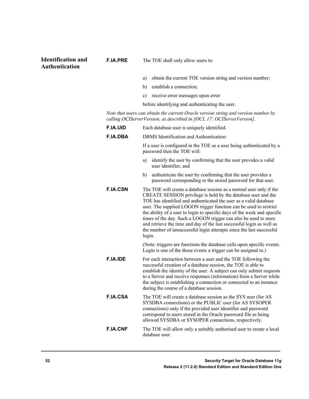#### **Identification and Authentication**

- a) obtain the current TOE version string and version number;
- b) establish a connection;
- c) receive error messages upon error

before identifying and authenticating the user.

*Note that users can obtain the current Oracle version string and version number by calling OCIServerVersion, as described in [OCI, 17: OCIServerVersion].*

| <b>F.IA.UID</b> | Each database user is uniquely identified.                                                                                                                                                                                                                                                                                                                                                                                                                                                                                                                                               |
|-----------------|------------------------------------------------------------------------------------------------------------------------------------------------------------------------------------------------------------------------------------------------------------------------------------------------------------------------------------------------------------------------------------------------------------------------------------------------------------------------------------------------------------------------------------------------------------------------------------------|
| <b>F.IA.DBA</b> | DBMS Identification and Authentication:                                                                                                                                                                                                                                                                                                                                                                                                                                                                                                                                                  |
|                 | If a user is configured in the TOE as a user being authenticated by a<br>password then the TOE will:                                                                                                                                                                                                                                                                                                                                                                                                                                                                                     |
|                 | identify the user by confirming that the user provides a valid<br>a)<br>user identifier, and                                                                                                                                                                                                                                                                                                                                                                                                                                                                                             |
|                 | authenticate the user by confirming that the user provides a<br>b)<br>password corresponding to the stored password for that user.                                                                                                                                                                                                                                                                                                                                                                                                                                                       |
| <b>F.IA.CSN</b> | The TOE will create a database session as a normal user only if the<br>CREATE SESSION privilege is held by the database user and the<br>TOE has identified and authenticated the user as a valid database<br>user. The supplied LOGON trigger function can be used to restrict<br>the ability of a user to login to specific days of the week and specific<br>times of the day. Such a LOGON trigger can also be used to store<br>and retrieve the time and day of the last successful login as well as<br>the number of unsuccessful login attempts since the last successful<br>login. |
|                 | (Note: triggers are functions the database calls upon specific events.<br>Login is one of the those events a trigger can be assigned to.)                                                                                                                                                                                                                                                                                                                                                                                                                                                |
| <b>F.IA.IDE</b> | For each interaction between a user and the TOE following the<br>successful creation of a database session, the TOE is able to<br>establish the identity of the user. A subject can only submit requests<br>to a Server and receive responses (information) from a Server while<br>the subject is establishing a connection or connected to an instance<br>during the course of a database session.                                                                                                                                                                                      |
| <b>F.IA.CSA</b> | The TOE will create a database session as the SYS user (for AS<br>SYSDBA connections) or the PUBLIC user (for AS SYSOPER<br>connections) only if the provided user identifier and password<br>correspond to users stored in the Oracle password file as being<br>allowed SYSDBA or SYSOPER connections, respectively.                                                                                                                                                                                                                                                                    |
| <b>F.IA.CNF</b> | The TOE will allow only a suitably authorised user to create a local<br>database user.                                                                                                                                                                                                                                                                                                                                                                                                                                                                                                   |

**F.IA.PRE** The TOE shall only allow users to: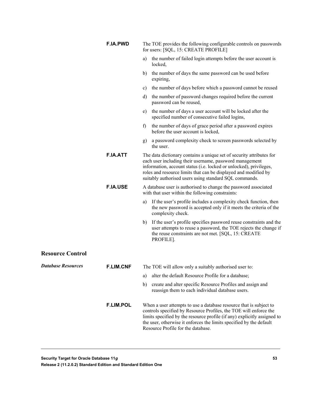|                           | <b>F.IA.PWD</b>  | The TOE provides the following configurable controls on passwords<br>for users: [SQL, 15: CREATE PROFILE]                                                                                                                                                                                                                          |
|---------------------------|------------------|------------------------------------------------------------------------------------------------------------------------------------------------------------------------------------------------------------------------------------------------------------------------------------------------------------------------------------|
|                           |                  | the number of failed login attempts before the user account is<br>a)<br>locked,                                                                                                                                                                                                                                                    |
|                           |                  | the number of days the same password can be used before<br>b)<br>expiring,                                                                                                                                                                                                                                                         |
|                           |                  | the number of days before which a password cannot be reused<br>C)                                                                                                                                                                                                                                                                  |
|                           |                  | the number of password changes required before the current<br>d)<br>password can be reused,                                                                                                                                                                                                                                        |
|                           |                  | the number of days a user account will be locked after the<br>e)<br>specified number of consecutive failed logins,                                                                                                                                                                                                                 |
|                           |                  | the number of days of grace period after a password expires<br>f)<br>before the user account is locked,                                                                                                                                                                                                                            |
|                           |                  | a password complexity check to screen passwords selected by<br>g)<br>the user.                                                                                                                                                                                                                                                     |
|                           | <b>F.IA.ATT</b>  | The data dictionary contains a unique set of security attributes for<br>each user including their username, password management<br>information, account status (i.e. locked or unlocked), privileges,<br>roles and resource limits that can be displayed and modified by<br>suitably authorised users using standard SQL commands. |
|                           | <b>F.IA.USE</b>  | A database user is authorised to change the password associated<br>with that user within the following constraints:                                                                                                                                                                                                                |
|                           |                  | If the user's profile includes a complexity check function, then<br>a)<br>the new password is accepted only if it meets the criteria of the<br>complexity check.                                                                                                                                                                   |
|                           |                  | If the user's profile specifies password reuse constraints and the<br>b)<br>user attempts to reuse a password, the TOE rejects the change if<br>the reuse constraints are not met. [SQL, 15: CREATE<br>PROFILE].                                                                                                                   |
| <b>Resource Control</b>   |                  |                                                                                                                                                                                                                                                                                                                                    |
| <b>Database Resources</b> | <b>F.LIM.CNF</b> | The TOE will allow only a suitably authorised user to:                                                                                                                                                                                                                                                                             |
|                           |                  | alter the default Resource Profile for a database;<br>a)                                                                                                                                                                                                                                                                           |
|                           |                  | create and alter specific Resource Profiles and assign and<br>b)<br>reassign them to each individual database users.                                                                                                                                                                                                               |
|                           | <b>F.LIM.POL</b> | When a user attempts to use a database resource that is subject to<br>controls specified by Resource Profiles, the TOE will enforce the<br>limits specified by the resource profile (if any) explicitly assigned to<br>the user, otherwise it enforces the limits specified by the default<br>Resource Profile for the database.   |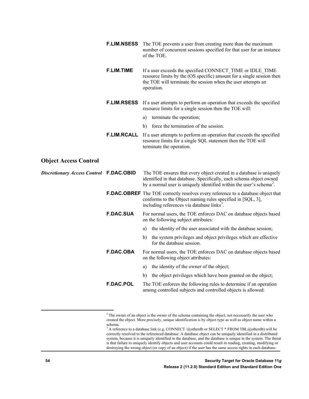|                                         |                    | <b>F.LIM.NSESS</b> The TOE prevents a user from creating more than the maximum<br>number of concurrent sessions specified for that user for an instance<br>of the TOE.                                                        |
|-----------------------------------------|--------------------|-------------------------------------------------------------------------------------------------------------------------------------------------------------------------------------------------------------------------------|
|                                         | <b>F.LIM.TIME</b>  | If a user exceeds the specified CONNECT TIME or IDLE TIME<br>resource limits by the (OS specific) amount for a single session then<br>the TOE will terminate the session when the user attempts an<br>operation.              |
|                                         |                    | <b>F.LIM.RSESS</b> If a user attempts to perform an operation that exceeds the specified<br>resource limits for a single session then the TOE will:                                                                           |
|                                         |                    | terminate the operation;<br>a)                                                                                                                                                                                                |
|                                         |                    | force the termination of the session.<br>b)                                                                                                                                                                                   |
|                                         | <b>F.LIM.RCALL</b> | If a user attempts to perform an operation that exceeds the specified<br>resource limits for a single SQL statement then the TOE will<br>terminate the operation.                                                             |
| <b>Object Access Control</b>            |                    |                                                                                                                                                                                                                               |
| Discretionary Access Control F.DAC.OBID |                    | The TOE ensures that every object created in a database is uniquely<br>identified in that database. Specifically, each schema object owned<br>by a normal user is uniquely identified within the user's schema <sup>2</sup> . |
|                                         |                    | <b>F.DAC.OBREF</b> The TOE correctly resolves every reference to a database object that<br>conforms to the Object naming rules specified in [SQL, 3],<br>including references via database links <sup>3</sup> .               |
|                                         | <b>F.DAC.SUA</b>   | For normal users, the TOE enforces DAC on database objects based<br>on the following subject attributes:                                                                                                                      |
|                                         |                    | the identity of the user associated with the database session;<br>a)                                                                                                                                                          |
|                                         |                    | the system privileges and object privileges which are effective<br>b)<br>for the database session.                                                                                                                            |
|                                         | <b>F.DAC.OBA</b>   | For normal users, the TOE enforces DAC on database objects based<br>on the following object attributes:                                                                                                                       |
|                                         |                    | the identity of the owner of the object;<br>a)                                                                                                                                                                                |
|                                         |                    | the object privileges which have been granted on the object;<br>b)                                                                                                                                                            |
|                                         | <b>F.DAC.POL</b>   | The TOE enforces the following rules to determine if an operation<br>among controlled subjects and controlled objects is allowed:                                                                                             |
|                                         |                    |                                                                                                                                                                                                                               |

<span id="page-53-0"></span><sup>&</sup>lt;sup>2</sup> The owner of an object is the owner of the schema containing the object, not necessarily the user who created the object. More precisely, unique identification is by object type as well as object name within a schema.

<span id="page-53-1"></span> $3$  A reference to a database link (e.g. CONNECT /@otherdb or SELECT \* FROM TBL@otherdb) will be correctly resolved to the referenced database. A database object can be uniquely identified in a distributed system, because it is uniquely identified in the database, and the database is unique in the system. The threat is that failure to uniquely identify objects and user accounts could result in reading, creating, modifying or destroying the wrong object (or copy of an object) if the user has the same access rights in each database.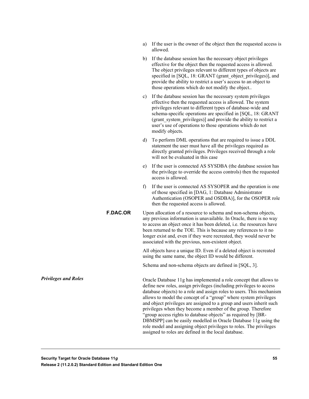| a) If the user is the owner of the object then the requested access is |
|------------------------------------------------------------------------|
| allowed.                                                               |

- b) If the database session has the necessary object privileges effective for the object then the requested access is allowed. The object privileges relevant to different types of objects are specified in [SQL, 18: GRANT (grant\_object\_privileges)], and provide the ability to restrict a user's access to an object to those operations which do not modify the object..
- c) If the database session has the necessary system privileges effective then the requested access is allowed. The system privileges relevant to different types of database-wide and schema-specific operations are specified in [SQL, 18: GRANT (grant\_system\_privileges)] and provide the ability to restrict a user's use of operations to those operations which do not modify objects.
- d) To perform DML operations that are required to issue a DDL statement the user must have all the privileges required as directly granted privileges. Privileges received through a role will not be evaluated in this case
- e) If the user is connected AS SYSDBA (the database session has the privilege to override the access controls) then the requested access is allowed.
- f) If the user is connected AS SYSOPER and the operation is one of those specified in [DAG, 1: Database Administrator Authentication (OSOPER and OSDBA)], for the OSOPER role then the requested access is allowed.
- **F.DAC.OR** Upon allocation of a resource to schema and non-schema objects, any previous information is unavailable. In Oracle, there is no way to access an object once it has been deleted, i.e. the resources have been returned to the TOE. This is because any references to it no longer exist and, even if they were recreated, they would never be associated with the previous, non-existent object.

All objects have a unique ID. Even if a deleted object is recreated using the same name, the object ID would be different.

Schema and non-schema objects are defined in [SQL, 3].

Oracle Database 11g has implemented a role concept that allows to define new roles, assign privileges (including privileges to access database objects) to a role and assign roles to users. This mechanism allows to model the concept of a "group" where system privileges and object privileges are assigned to a group and users inherit such privileges when they become a member of the group. Therefore "group access rights to database objects" as required by [BR-DBMSPP] can be easily modelled in Oracle Database 11g using the role model and assigning object privileges to roles. The privileges assigned to roles are defined in the local database.

*Privileges and Roles*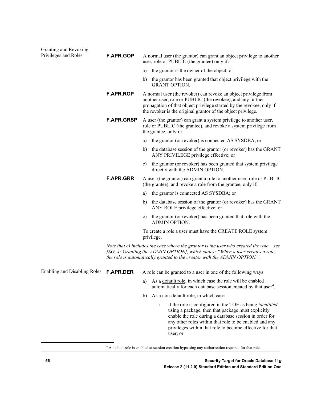| Granting and Revoking               |                   |    |                                                                                                                                                                                                                                                                                                                                     |
|-------------------------------------|-------------------|----|-------------------------------------------------------------------------------------------------------------------------------------------------------------------------------------------------------------------------------------------------------------------------------------------------------------------------------------|
| Privileges and Roles                | <b>F.APR.GOP</b>  |    | A normal user (the grantor) can grant an object privilege to another<br>user, role or PUBLIC (the grantee) only if:                                                                                                                                                                                                                 |
|                                     |                   | a) | the grantor is the owner of the object; or                                                                                                                                                                                                                                                                                          |
|                                     |                   | b) | the grantor has been granted that object privilege with the<br><b>GRANT OPTION.</b>                                                                                                                                                                                                                                                 |
|                                     | <b>F.APR.ROP</b>  |    | A normal user (the revoker) can revoke an object privilege from<br>another user, role or PUBLIC (the revokee), and any further<br>propagation of that object privilege started by the revokee, only if<br>the revoker is the original grantor of the object privilege.                                                              |
|                                     | <b>F.APR.GRSP</b> |    | A user (the grantor) can grant a system privilege to another user,<br>role or PUBLIC (the grantee), and revoke a system privilege from<br>the grantee, only if:                                                                                                                                                                     |
|                                     |                   | a) | the grantor (or revoker) is connected AS SYSDBA; or                                                                                                                                                                                                                                                                                 |
|                                     |                   | b) | the database session of the grantor (or revoker) has the GRANT<br>ANY PRIVILEGE privilege effective; or                                                                                                                                                                                                                             |
|                                     |                   | c) | the grantor (or revoker) has been granted that system privilege<br>directly with the ADMIN OPTION.                                                                                                                                                                                                                                  |
|                                     | <b>F.APR.GRR</b>  |    | A user (the grantor) can grant a role to another user, role or PUBLIC<br>(the grantee), and revoke a role from the grantee, only if:                                                                                                                                                                                                |
|                                     |                   | a) | the grantor is connected AS SYSDBA; or                                                                                                                                                                                                                                                                                              |
|                                     |                   | b) | the database session of the grantor (or revoker) has the GRANT<br>ANY ROLE privilege effective; or                                                                                                                                                                                                                                  |
|                                     |                   | C) | the grantor (or revoker) has been granted that role with the<br><b>ADMIN OPTION.</b>                                                                                                                                                                                                                                                |
|                                     |                   |    | To create a role a user must have the CREATE ROLE system<br>privilege.                                                                                                                                                                                                                                                              |
|                                     |                   |    | Note that $c$ ) includes the case where the grantor is the user who created the role $-$ see<br>[SG, 4: Granting the ADMIN OPTION], which states: "When a user creates a role,<br>the role is automatically granted to the creator with the ADMIN OPTION.".                                                                         |
| <b>Enabling and Disabling Roles</b> | <b>F.APR.DER</b>  |    | A role can be granted to a user in one of the following ways:                                                                                                                                                                                                                                                                       |
|                                     |                   | a) | As a default role, in which case the role will be enabled<br>automatically for each database session created by that user <sup>4</sup> .                                                                                                                                                                                            |
|                                     |                   | b) | As a non-default role, in which case                                                                                                                                                                                                                                                                                                |
|                                     |                   |    | if the role is configured in the TOE as being <i>identified</i><br>$\mathbf{i}$ .<br>using a package, then that package must explicitly<br>enable the role during a database session in order for<br>any other roles within that role to be enabled and any<br>privileges within that role to become effective for that<br>user; or |

<span id="page-55-0"></span><sup>4</sup> A default role is enabled at session creation bypassing any authorisation required for that role.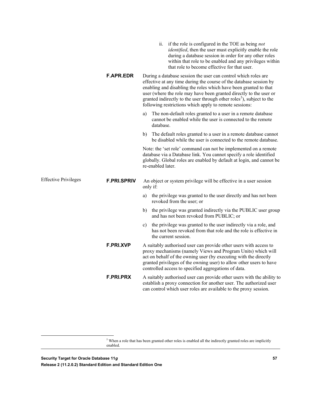|                             |                    | if the role is configured in the TOE as being <i>not</i><br>11.<br>identified, then the user must explicitly enable the role<br>during a database session in order for any other roles<br>within that role to be enabled and any privileges within<br>that role to become effective for that user.                                                                                                                            |
|-----------------------------|--------------------|-------------------------------------------------------------------------------------------------------------------------------------------------------------------------------------------------------------------------------------------------------------------------------------------------------------------------------------------------------------------------------------------------------------------------------|
|                             | <b>F.APR.EDR</b>   | During a database session the user can control which roles are<br>effective at any time during the course of the database session by<br>enabling and disabling the roles which have been granted to that<br>user (where the role may have been granted directly to the user or<br>granted indirectly to the user through other roles <sup>5</sup> ), subject to the<br>following restrictions which apply to remote sessions: |
|                             |                    | The non-default roles granted to a user in a remote database<br>a)<br>cannot be enabled while the user is connected to the remote<br>database.                                                                                                                                                                                                                                                                                |
|                             |                    | b)<br>The default roles granted to a user in a remote database cannot<br>be disabled while the user is connected to the remote database.                                                                                                                                                                                                                                                                                      |
|                             |                    | Note: the 'set role' command can not be implemented on a remote<br>database via a Database link. You cannot specify a role identified<br>globally. Global roles are enabled by default at login, and cannot be<br>re-enabled later.                                                                                                                                                                                           |
| <b>Effective Privileges</b> | <b>F.PRI.SPRIV</b> | An object or system privilege will be effective in a user session<br>only if:                                                                                                                                                                                                                                                                                                                                                 |
|                             |                    | the privilege was granted to the user directly and has not been<br>a)<br>revoked from the user; or                                                                                                                                                                                                                                                                                                                            |
|                             |                    | the privilege was granted indirectly via the PUBLIC user group<br>b)<br>and has not been revoked from PUBLIC; or                                                                                                                                                                                                                                                                                                              |
|                             |                    | the privilege was granted to the user indirectly via a role, and<br>c)<br>has not been revoked from that role and the role is effective in<br>the current session.                                                                                                                                                                                                                                                            |
|                             | <b>F.PRI.XVP</b>   | A suitably authorised user can provide other users with access to<br>proxy mechanisms (namely Views and Program Units) which will<br>act on behalf of the owning user (by executing with the directly<br>granted privileges of the owning user) to allow other users to have<br>controlled access to specified aggregations of data.                                                                                          |
|                             | <b>F.PRI.PRX</b>   | A suitably authorised user can provide other users with the ability to<br>establish a proxy connection for another user. The authorized user<br>can control which user roles are available to the proxy session.                                                                                                                                                                                                              |
|                             |                    |                                                                                                                                                                                                                                                                                                                                                                                                                               |

<span id="page-56-0"></span><sup>&</sup>lt;sup>5</sup> When a role that has been granted other roles is enabled all the indirectly granted roles are implicitly enabled.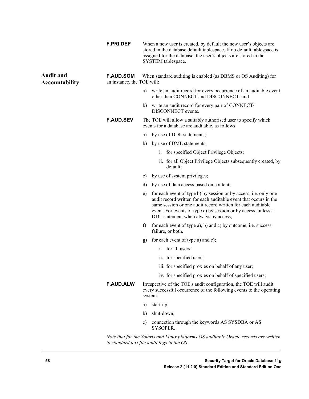|                                           | <b>F.PRI.DEF</b>                               |               | When a new user is created, by default the new user's objects are<br>stored in the database default tablespace. If no default tablespace is<br>assigned for the database, the user's objects are stored in the<br>SYSTEM tablespace.                                                                          |
|-------------------------------------------|------------------------------------------------|---------------|---------------------------------------------------------------------------------------------------------------------------------------------------------------------------------------------------------------------------------------------------------------------------------------------------------------|
| <b>Audit and</b><br><b>Accountability</b> | <b>F.AUD.SOM</b><br>an instance, the TOE will: |               | When standard auditing is enabled (as DBMS or OS Auditing) for                                                                                                                                                                                                                                                |
|                                           |                                                | a)            | write an audit record for every occurrence of an auditable event<br>other than CONNECT and DISCONNECT; and                                                                                                                                                                                                    |
|                                           |                                                | b)            | write an audit record for every pair of CONNECT/<br>DISCONNECT events.                                                                                                                                                                                                                                        |
|                                           | <b>F.AUD.SEV</b>                               |               | The TOE will allow a suitably authorised user to specify which<br>events for a database are auditable, as follows:                                                                                                                                                                                            |
|                                           |                                                | a)            | by use of DDL statements;                                                                                                                                                                                                                                                                                     |
|                                           |                                                | b)            | by use of DML statements;                                                                                                                                                                                                                                                                                     |
|                                           |                                                |               | i. for specified Object Privilege Objects;                                                                                                                                                                                                                                                                    |
|                                           |                                                |               | ii. for all Object Privilege Objects subsequently created, by<br>default;                                                                                                                                                                                                                                     |
|                                           |                                                | c)            | by use of system privileges;                                                                                                                                                                                                                                                                                  |
|                                           |                                                | d)            | by use of data access based on content;                                                                                                                                                                                                                                                                       |
|                                           |                                                | e)            | for each event of type b) by session or by access, i.e. only one<br>audit record written for each auditable event that occurs in the<br>same session or one audit record written for each auditable<br>event. For events of type c) by session or by access, unless a<br>DDL statement when always by access; |
|                                           |                                                | $\mathbf{f}$  | for each event of type a), b) and c) by outcome, i.e. success,<br>failure, or both.                                                                                                                                                                                                                           |
|                                           |                                                | g)            | for each event of type a) and c);                                                                                                                                                                                                                                                                             |
|                                           |                                                |               | for all users;<br>$\mathbf{1}$ .                                                                                                                                                                                                                                                                              |
|                                           |                                                |               | ii. for specified users;                                                                                                                                                                                                                                                                                      |
|                                           |                                                |               | iii. for specified proxies on behalf of any user;                                                                                                                                                                                                                                                             |
|                                           |                                                |               | iv. for specified proxies on behalf of specified users;                                                                                                                                                                                                                                                       |
|                                           | <b>F.AUD.ALW</b>                               |               | Irrespective of the TOE's audit configuration, the TOE will audit<br>every successful occurrence of the following events to the operating<br>system:                                                                                                                                                          |
|                                           |                                                | a)            | start-up;                                                                                                                                                                                                                                                                                                     |
|                                           |                                                | b)            | shut-down;                                                                                                                                                                                                                                                                                                    |
|                                           |                                                | $\mathbf{c})$ | connection through the keywords AS SYSDBA or AS<br><b>SYSOPER.</b>                                                                                                                                                                                                                                            |
|                                           |                                                |               |                                                                                                                                                                                                                                                                                                               |

*Note that for the Solaris and Linux platforms OS auditable Oracle records are written to standard text file audit logs in the OS.*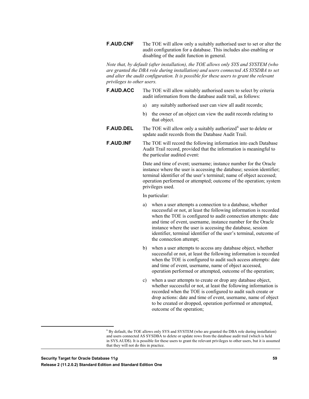**F.AUD.CNF** The TOE will allow only a suitably authorised user to set or alter the audit configuration for a database. This includes also enabling or disabling of the audit function in general.

*Note that, by default (after installation), the TOE allows only SYS and SYSTEM (who are granted the DBA role during installation) and users connected AS SYSDBA to set and alter the audit configuration. It is possible for these users to grant the relevant privileges to other users.*

- **F.AUD.ACC** The TOE will allow suitably authorised users to select by criteria audit information from the database audit trail, as follows:
	- a) any suitably authorised user can view all audit records;
	- b) the owner of an object can view the audit records relating to that object.
- **F.AUD.DEL** The TOE will allow only a suitably authorized<sup>[6](#page-58-0)</sup> user to delete or update audit records from the Database Audit Trail.
- **F.AUD.INF** The TOE will record the following information into each Database Audit Trail record, provided that the information is meaningful to the particular audited event:

Date and time of event; username; instance number for the Oracle instance where the user is accessing the database; session identifier; terminal identifier of the user's terminal; name of object accessed; operation performed or attempted; outcome of the operation; system privileges used.

In particular:

- a) when a user attempts a connection to a database, whether successful or not, at least the following information is recorded when the TOE is configured to audit connection attempts: date and time of event, username, instance number for the Oracle instance where the user is accessing the database, session identifier, terminal identifier of the user's terminal, outcome of the connection attempt;
- b) when a user attempts to access any database object, whether successful or not, at least the following information is recorded when the TOE is configured to audit such access attempts: date and time of event, username, name of object accessed, operation performed or attempted, outcome of the operation;
- c) when a user attempts to create or drop any database object, whether successful or not, at least the following information is recorded when the TOE is configured to audit such create or drop actions: date and time of event, username, name of object to be created or dropped, operation performed or attempted, outcome of the operation;

<span id="page-58-0"></span> <sup>6</sup> By default, the TOE allows only SYS and SYSTEM (who are granted the DBA role during installation) and users connected AS SYSDBA to delete or update rows from the database audit trail (which is held in SYS.AUD\$). It is possible for these users to grant the relevant privileges to other users, but it is assumed that they will not do this in practice.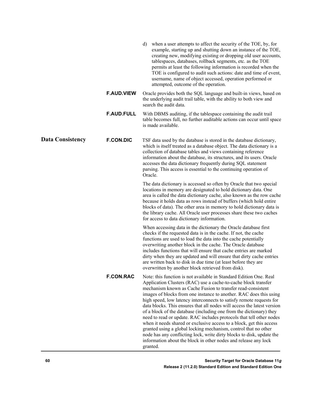|                         |                   | when a user attempts to affect the security of the TOE, by, for<br>d)<br>example, starting up and shutting down an instance of the TOE,<br>creating new, modifying existing or dropping old user accounts,<br>tablespaces, databases, rollback segments, etc. as the TOE<br>permits at least the following information is recorded when the<br>TOE is configured to audit such actions: date and time of event,<br>username, name of object accessed, operation performed or<br>attempted, outcome of the operation.                                                                                                                                                                                                                                                                                                                                                           |
|-------------------------|-------------------|--------------------------------------------------------------------------------------------------------------------------------------------------------------------------------------------------------------------------------------------------------------------------------------------------------------------------------------------------------------------------------------------------------------------------------------------------------------------------------------------------------------------------------------------------------------------------------------------------------------------------------------------------------------------------------------------------------------------------------------------------------------------------------------------------------------------------------------------------------------------------------|
|                         | <b>F.AUD.VIEW</b> | Oracle provides both the SQL language and built-in views, based on<br>the underlying audit trail table, with the ability to both view and<br>search the audit data.                                                                                                                                                                                                                                                                                                                                                                                                                                                                                                                                                                                                                                                                                                            |
|                         | <b>F.AUD.FULL</b> | With DBMS auditing, if the tablespace containing the audit trail<br>table becomes full, no further auditable actions can occur until space<br>is made available.                                                                                                                                                                                                                                                                                                                                                                                                                                                                                                                                                                                                                                                                                                               |
| <b>Data Consistency</b> | <b>F.CON.DIC</b>  | TSF data used by the database is stored in the database dictionary,<br>which is itself treated as a database object. The data dictionary is a<br>collection of database tables and views containing reference<br>information about the database, its structures, and its users. Oracle<br>accesses the data dictionary frequently during SQL statement<br>parsing. This access is essential to the continuing operation of<br>Oracle.                                                                                                                                                                                                                                                                                                                                                                                                                                          |
|                         |                   | The data dictionary is accessed so often by Oracle that two special<br>locations in memory are designated to hold dictionary data. One<br>area is called the data dictionary cache, also known as the row cache<br>because it holds data as rows instead of buffers (which hold entire<br>blocks of data). The other area in memory to hold dictionary data is<br>the library cache. All Oracle user processes share these two caches<br>for access to data dictionary information.                                                                                                                                                                                                                                                                                                                                                                                            |
|                         |                   | When accessing data in the dictionary the Oracle database first<br>checks if the requested data is in the cache. If not, the cache<br>functions are used to load the data into the cache potentially<br>overwriting another block in the cache. The Oracle database<br>includes functions that will ensure that cache entries are marked<br>dirty when they are updated and will ensure that dirty cache entries<br>are written back to disk in due time (at least before they are<br>overwritten by another block retrieved from disk).                                                                                                                                                                                                                                                                                                                                       |
|                         | <b>F.CON.RAC</b>  | Note: this function is not available in Standard Edition One. Real<br>Application Clusters (RAC) use a cache-to-cache block transfer<br>mechanism known as Cache Fusion to transfer read-consistent<br>images of blocks from one instance to another. RAC does this using<br>high speed, low latency interconnects to satisfy remote requests for<br>data blocks. This ensures that all nodes will access the latest version<br>of a block of the database (including one from the dictionary) they<br>need to read or update. RAC includes protocols that tell other nodes<br>when it needs shared or exclusive access to a block, get this access<br>granted using a global locking mechanism, control that no other<br>node has any conflicting lock, write dirty blocks to disk, update the<br>information about the block in other nodes and release any lock<br>granted. |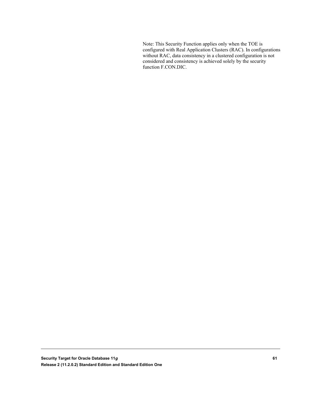Note: This Security Function applies only when the TOE is configured with Real Application Clusters (RAC). In configurations without RAC, data consistency in a clustered configuration is not considered and consistency is achieved solely by the security function F.CON.DIC.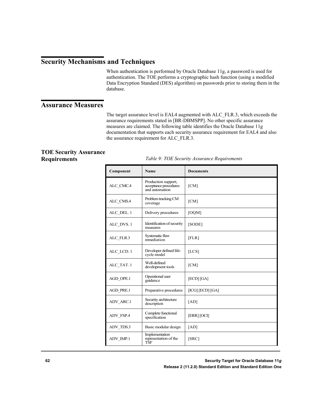#### **Security Mechanisms and Techniques**

When authentication is performed by Oracle Database 11g, a password is used for authentication. The TOE performs a cryptographic hash function (using a modified Data Encryption Standard (DES) algorithm) on passwords prior to storing them in the database.

#### **Assurance Measures**

The target assurance level is EAL4 augmented with ALC\_FLR.3, which exceeds the assurance requirements stated in [BR-DBMSPP]. No other specific assurance measures are claimed. The following table identifies the Oracle Database 11g documentation that supports each security assurance requirement for EAL4 and also the assurance requirement for ALC\_FLR.3.

#### **TOE Security Assurance Requirements**

*Table 9: TOE Security Assurance Requirements*

| Component  | Name                                                           | <b>Documents</b> |
|------------|----------------------------------------------------------------|------------------|
| ALC_CMC.4  | Production support,<br>acceptance procedures<br>and automation | [CM]             |
| ALC_CMS.4  | Problem tracking CM<br>coverage                                | [CM]             |
| ALC DEL. 1 | Delivery procedures                                            | [OQM]            |
| ALC DVS. 1 | Identification of security<br>measures                         | [SODE]           |
| ALC_FLR.3  | Systematic flaw<br>remediation                                 | [FLR]            |
| ALC LCD. 1 | Developer defined life-<br>cycle model                         | [LCS]            |
| ALC TAT. 1 | Well-defined<br>development tools                              | [CM]             |
| AGD_OPE.1  | Operational user<br>guidance                                   | [ECD] [GA]       |
| AGD PRE.1  | Preparative procedures                                         | [ICG] [ECD] [GA] |
| ADV_ARC.1  | Security architecture<br>description                           | [AD]             |
| ADV FSP.4  | Complete functional<br>specification                           | [ERR] [OCI]      |
| ADV_TDS.3  | Basic modular design                                           | [AD]             |
| ADV IMP.1  | Implementation<br>representation of the<br>TŜF                 | [SRC]            |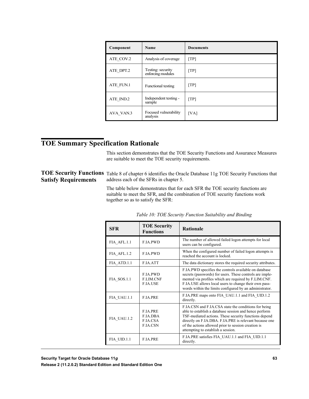| Component | Name                                   | <b>Documents</b>          |
|-----------|----------------------------------------|---------------------------|
| ATE COV.2 | Analysis of coverage                   | [TP]                      |
| ATE DPT.2 | Testing: security<br>enforcing modules | [TP]                      |
| ATE FUN.1 | Functional testing                     | $\lceil \text{TP} \rceil$ |
| ATE_IND.2 | Independent testing -<br>sample        | [TP]                      |
| AVA VAN.3 | Focused vulnerability<br>analysis      | [VA]                      |

#### **TOE Summary Specification Rationale**

This section demonstrates that the TOE Security Functions and Assurance Measures are suitable to meet the TOE security requirements.

#### TOE Security Functions Table 8 of chapter 6 identifies the Oracle Database 11g TOE Security Functions that address each of the SFRs in chapter 5. **Satisfy Requirements**

The table below demonstrates that for each SFR the TOE security functions are suitable to meet the SFR, and the combination of TOE security functions work together so as to satisfy the SFR:

| SFR         | <b>TOE Security</b><br><b>Functions</b>                                  | <b>Rationale</b>                                                                                                                                                                                                                                                                                                               |
|-------------|--------------------------------------------------------------------------|--------------------------------------------------------------------------------------------------------------------------------------------------------------------------------------------------------------------------------------------------------------------------------------------------------------------------------|
| FIA AFL.1.1 | <b>F.IA.PWD</b>                                                          | The number of allowed failed logon attempts for local<br>users can be configured.                                                                                                                                                                                                                                              |
| FIA AFL.1.2 | <b>F.IA.PWD</b>                                                          | When the configured number of failed logon attempts is<br>reached the account is locked.                                                                                                                                                                                                                                       |
| FIA ATD.1.1 | <b>F.IA.ATT</b>                                                          | The data dictionary stores the required security attributes.                                                                                                                                                                                                                                                                   |
| FIA SOS.1.1 | <b>F.IA.PWD</b><br><b>F.LIM.CNF</b><br><b>F.IA.USE</b>                   | F.IA.PWD specifies the controls available on database<br>secrets (passwords) for users. These controls are imple-<br>mented via profiles which are required by F.LIM.CNF.<br>F.IA.USE allows local users to change their own pass-<br>words within the limits configured by an administrator.                                  |
| FIA UAU.1.1 | <b>F.IA.PRE</b>                                                          | F.IA.PRE maps onto FIA UAU.1.1 and FIA UID.1.2<br>directly.                                                                                                                                                                                                                                                                    |
| FIA UAU.1.2 | <b>F.IA.PRE</b><br><b>F.IA.DBA</b><br><b>F.IA.CSA</b><br><b>F.IA.CSN</b> | F.IA.CSN and F.IA.CSA state the conditions for being<br>able to establish a database session and hence perform<br>TSF-mediated actions. These security functions depend<br>directly on F.IA.DBA. F.IA.PRE is relevant because one<br>of the actions allowed prior to session creation is<br>attempting to establish a session. |
| FIA UID.1.1 | <b>F.IA.PRE</b>                                                          | F.IA.PRE satisfies FIA UAU.1.1 and FIA UID.1.1<br>directly.                                                                                                                                                                                                                                                                    |

|  |  | Table 10: TOE Security Function Suitability and Binding |
|--|--|---------------------------------------------------------|
|  |  |                                                         |

**Security Target for Oracle Database 11***g* **63**

**Release 2 (11.2.0.2) Standard Edition and Standard Edition One**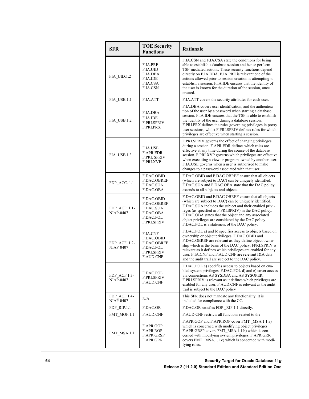| <b>SFR</b>                        | <b>TOE Security</b><br><b>Functions</b>                                                             | Rationale                                                                                                                                                                                                                                                                                                                                                                                                                           |
|-----------------------------------|-----------------------------------------------------------------------------------------------------|-------------------------------------------------------------------------------------------------------------------------------------------------------------------------------------------------------------------------------------------------------------------------------------------------------------------------------------------------------------------------------------------------------------------------------------|
| FIA UID.1.2                       | F.IA.PRE<br>F.IA.UID<br>F.IA.DBA<br>F.IA.IDE<br>F.IA.CSA<br>F.IA.CSN                                | F.IA.CSN and F.IA.CSA state the conditions for being<br>able to establish a database session and hence perform<br>TSF-mediated actions. These security functions depend<br>directly on F.IA.DBA. F.IA.PRE is relevant one of the<br>actions allowed prior to session creation is attempting to<br>establish a session. F.IA.IDE ensures that the identity of<br>the user is known for the duration of the session, once<br>created. |
| FIA USB.1.1                       | F.IA.ATT                                                                                            | F.IA.ATT covers the security attributes for each user.                                                                                                                                                                                                                                                                                                                                                                              |
| FIA USB.1.2                       | F.IA.DBA<br>F.IA.IDE<br><b>F.PRI.SPRIV</b><br><b>F.PRI.PRX</b>                                      | F.IA.DBA covers user identification, and the authentica-<br>tion of the user by a password when starting a database<br>session. F.IA.IDE ensures that the TSF is able to establish<br>the identity of the user during a database session.<br>F.PRI.PRX defines the rules governing privileges in proxy<br>user sessions, whilst F.PRI.SPRIV defines rules for which<br>privileges are effective when starting a session.            |
| FIA USB.1.3                       | F.IA.USE<br><b>F.APR.EDR</b><br><b>F.PRI. SPRIV</b><br><b>F.PRI.XVP</b>                             | F.PRI.SPRIV governs the effect of changing privileges<br>during a session. F.APR.EDR defines which roles are<br>effective at any time during the course of the database<br>session. F.PRI.XVP governs which privileges are effective<br>when executing a view or program owned by another user.<br>F.IA.USE governs when a user is authorised to make<br>changes to a password associated with that user.                           |
| FDP_ACC. 1.1                      | F.DAC.OBID<br><b>F.DAC.OBREF</b><br><b>F.DAC.SUA</b><br>F.DAC.OBA                                   | F.DAC.OBID and F.DAC.OBREF ensure that all objects<br>(which are subject to DAC) can be uniquely identified.<br>F.DAC.SUA and F.DAC.OBA state that the DAC policy<br>extends to all subjects and objects.                                                                                                                                                                                                                           |
| FDP ACF. 1.1-<br><b>NIAP-0407</b> | F.DAC.OBID<br>F.DAC.OBREF<br>F.DAC.SUA<br>F.DAC.OBA<br>F.DAC.POL<br><b>F.PRI.SPRIV</b>              | F.DAC.OBID and F.DAC.OBREF ensure that all objects<br>(which are subject to DAC) can be uniquely identified.<br>F.DAC.SUA includes the subject and their enabled privi-<br>leges (as specified in F.PRI.SPRIV) in the DAC policy.<br>F.DAC.OBA states that the object and any associated<br>object privileges are considered by the DAC policy.<br>F.DAC.POL is a statement of the DAC policy.                                      |
| FDP ACF. 1.2-<br><b>NIAP-0407</b> | <b>F.IA.CNF</b><br>F.DAC.OBID<br>F.DAC.OBREF<br>F.DAC.POL<br><b>F.PRI.SPRIV</b><br><b>F.AUD.CNF</b> | F.DAC.POL a) and b) specifies access to objects based on<br>ownership or object privileges. F.DAC.OBID and<br>F.DAC.OBREF are relevant as they define object owner-<br>ship which is the basis of the DAC policy. FPRI SPRIV is<br>relevant as it defines which privileges are enabled for any<br>user. F.IA.CNF and F.AUD.CNF are relevant I&A data<br>and the audit trail are subject to the DAC policy.                          |
| FDP ACF.1.3-<br><b>NIAP-0407</b>  | F.DAC.POL<br><b>F.PRI.SPRIV</b><br>F.AUD.CNF                                                        | F.DAC.POL c) specifies access to objects based on ena-<br>bled system privileges. F.DAC.POL d) and e) cover access<br>via connections AS SYSDBA and AS SYSOPER.<br>F.PRI.SPRIV is relevant as it defines which privileges are<br>enabled for any user. F.AUD.CNF is relevant as the audit<br>trail is subject to the DAC policy                                                                                                     |
| FDP ACF.1.4-<br><b>NIAP-0407</b>  | N/A                                                                                                 | This SFR does not mandate any functionality. It is<br>included for compliance with the CC.                                                                                                                                                                                                                                                                                                                                          |
| FDP RIP.1.1                       | F.DAC.OR                                                                                            | F.DAC.OR satisfies FDP RIP.1.1 directly.                                                                                                                                                                                                                                                                                                                                                                                            |
| FMT MOF.1.1                       | <b>F.AUD.CNF</b>                                                                                    | F.AUD.CNF restricts all functions related to the                                                                                                                                                                                                                                                                                                                                                                                    |
| FMT MSA.1.1                       | F.APR.GOP<br>F.APR.ROP<br>F.APR.GRSP<br>F.APR.GRR                                                   | F.APR.GOP and F.APR.ROP cover FMT _MSA.1.1 a)<br>which is concerned with modifying object privileges.<br>F.APR.GRSP covers FMT MSA.1.1 b) which is con-<br>cerned with modifying system privileges. F.APR.GRR<br>covers FMT MSA.1.1 c) which is concerned with modi-<br>fying roles.                                                                                                                                                |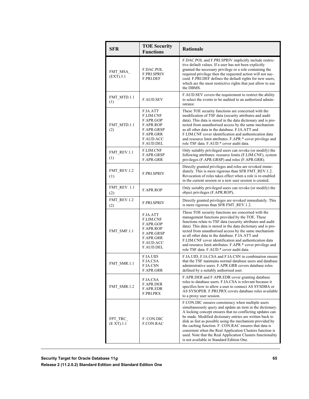| <b>SFR</b>                 | <b>TOE Security</b><br><b>Functions</b>                                                                     | <b>Rationale</b>                                                                                                                                                                                                                                                                                                                                                                                                                                                                                                                       |
|----------------------------|-------------------------------------------------------------------------------------------------------------|----------------------------------------------------------------------------------------------------------------------------------------------------------------------------------------------------------------------------------------------------------------------------------------------------------------------------------------------------------------------------------------------------------------------------------------------------------------------------------------------------------------------------------------|
| FMT MSA<br>(EXT).3.1       | F.DAC.POL<br><b>F.PRI.SPRIV</b><br>F.PRI.DEF                                                                | F.DAC.POL and F.PRI.SPRIV implicitly include restric-<br>tive default values. If a user has not been explicitly<br>granted the necessary privilege or a role containing the<br>required privilege then the requested action will not suc-<br>ceed. F.PRI.DEF defines the default rights for new users,<br>which are the most restrictive rights that just allow to use<br>the DBMS.                                                                                                                                                    |
| FMT MTD.1.1<br>(1)         | <b>F.AUD.SEV</b>                                                                                            | F.AUD.SEV covers the requirement to restrict the ability<br>to select the events to be audited to an authorized admin-<br>istrator                                                                                                                                                                                                                                                                                                                                                                                                     |
| FMT MTD.1.1<br>(2)         | F.IA.ATT<br>F.LIM.CNF<br>F.APR.GOP<br>F.APR.ROP<br>F.APR.GRSP<br>F.APR.GRR<br>F.AUD.ACC<br>F.AUD.DEL        | These TOE security functions are concerned with the<br>modification of TSF data (security attributes and audit<br>data). This data is stored in the data dictionary and is pro-<br>tected from unauthorised access by the same mechanism<br>as all other data in the database. F.IA.ATT and<br>F.LIM.CNF cover identification and authentication data<br>and resource limit attributes. F.APR.* cover privilege and<br>role TSF data. F.AUD.* cover audit data.                                                                        |
| FMT REV.1.1<br>(1)         | <b>F.LIM.CNF</b><br><b>F.APR.GRSP</b><br>F.APR.GRR                                                          | Only suitably privileged users can revoke (or modify) the<br>following attributes: resource limits (F.LIM.CNF), system<br>privileges (F.APR.GRSP) and roles (F.APR.GRR).                                                                                                                                                                                                                                                                                                                                                               |
| FMT REV.1.2<br>(1)         | <b>F.PRI.SPRIV</b>                                                                                          | Directly granted privileges and roles are revoked imme-<br>diately. This is more rigorous than SFR FMT REV.1.2.<br>Revocation of roles takes effect when a role is re-enabled<br>in the current session or a new user session is created.                                                                                                                                                                                                                                                                                              |
| <b>FMT REV. 1.1</b><br>(2) | F.APR.ROP                                                                                                   | Only suitably privileged users can revoke (or modify) the<br>object privileges (F.APR.ROP),                                                                                                                                                                                                                                                                                                                                                                                                                                            |
| FMT_REV.1.2<br>(2)         | <b>F.PRI.SPRIV</b>                                                                                          | Directly granted privileges are revoked immediately. This<br>is more rigorous than SFR FMT REV.1.2.                                                                                                                                                                                                                                                                                                                                                                                                                                    |
| FMT_SMF.1.1                | F.IA.ATT<br>F.LIM.CNF<br>F.APR.GOP<br>F.APR.ROP<br>F.APR.GRSP<br>F.APR.GRR<br>F.AUD.ACC<br><b>F.AUD.DEL</b> | These TOE security functions are concerned with the<br>management functions provided by the TOE. These<br>functions relate to TSF data (security attributes and audit<br>data). This data is stored in the data dictionary and is pro-<br>tected from unauthorised access by the same mechanism<br>as all other data in the database. F.IA.ATT and<br>F.LIM.CNF cover identification and authentication data<br>and resource limit attributes. F.APR.* cover privilege and<br>role TSF data. F.AUD.* cover audit data.                 |
| FMT SMR.1.1                | <b>F.IA.UID</b><br>F.IA.CSA<br>F.IA.CSN<br>F.APR.GRR                                                        | F.IA.UID, F.IA.CSA and F.IA.CSN in combination ensure<br>that the TSF maintains normal database users and database<br>administrative users. F.APR.GRR covers database roles<br>defined by a suitably authorised user.                                                                                                                                                                                                                                                                                                                  |
| FMT SMR.1.2                | F.IA.CSA<br>F.APR.DER<br><b>F.APR.EDR</b><br>F.PRI.PRX                                                      | F.APR.DER and F.APR.EDR cover granting database<br>roles to database users. F.IA.CSA is relevant because it<br>specifies how to allow a user to connect AS SYSDBA or<br>AS SYSOPER, F.PRI.PRX covers database roles available<br>to a proxy user session.                                                                                                                                                                                                                                                                              |
| FPT TRC<br>(EXT).1.1       | F. CON.DIC<br>F.CON.RAC                                                                                     | F.CON.DIC ensures consistency when multiple users<br>simultaneously query and update an item in the dictionary.<br>A locking concept ensures that no conflicting updates can<br>be made. Modified dictionary entries are written back to<br>disk as fast as possible using the mechanism provided by<br>the caching function. F. CON.RAC ensures that data is<br>consistent when the Real Application Clusters function is<br>used. Note that the Real Application Clusters functionality<br>is not available in Standard Edition One. |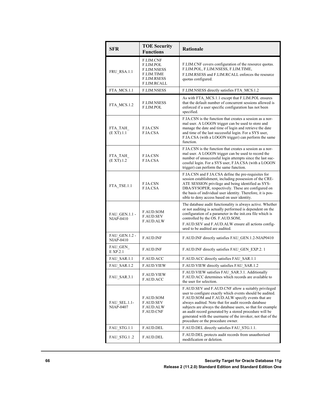| <b>SFR</b>                               | <b>TOE Security</b><br><b>Functions</b>                                                                | <b>Rationale</b>                                                                                                                                                                                                                                                                                                                                                                                                                                          |
|------------------------------------------|--------------------------------------------------------------------------------------------------------|-----------------------------------------------------------------------------------------------------------------------------------------------------------------------------------------------------------------------------------------------------------------------------------------------------------------------------------------------------------------------------------------------------------------------------------------------------------|
| FRU RSA.1.1                              | F.LIM.CNF<br>F.LIM.POL<br><b>F.LIM.NSESS</b><br>F.LIM.TIME<br><b>F.LIM.RSESS</b><br><b>F.LIM.RCALL</b> | F.LIM.CNF covers configuration of the resource quotas.<br>F.LIM.POL, F.LIM.NSESS, F.LIM.TIME,<br>F.LIM.RSESS and F.LIM.RCALL enforces the resource<br>quotas configured.                                                                                                                                                                                                                                                                                  |
| FTA_MCS.1.1                              | <b>F.LIM.NSESS</b>                                                                                     | F.LIM.NSESS directly satisfies FTA_MCS.1.2                                                                                                                                                                                                                                                                                                                                                                                                                |
| FTA MCS.1.2                              | <b>F.LIM.NSESS</b><br>F.LIM.POL                                                                        | As with FTA MCS.1.1 except that F.LIM.POL ensures<br>that the default number of concurrent sessions allowed is<br>enforced if a user specific configuration has not been<br>specified.                                                                                                                                                                                                                                                                    |
| FTA TAH<br>(EXT).1.1                     | <b>F.IA.CSN</b><br>F.IA.CSA                                                                            | F.IA.CSN is the function that creates a session as a nor-<br>mal user. A LOGON trigger can be used to store and<br>manage the date and time of login and retrieve the date<br>and time of the last successful login. For a SYS user,<br>F.IA.CSA (with a LOGON trigger) can perform the same<br>function.                                                                                                                                                 |
| FTA TAH<br>(EXT).1.2                     | <b>F.IA.CSN</b><br>F.IA.CSA                                                                            | F.IA.CSN is the function that creates a session as a nor-<br>mal user. A LOGON trigger can be used to record the<br>number of unsuccessful login attempts since the last suc-<br>cessful login. For a SYS user, F.IA.CSA (with a LOGON<br>trigger) can perform the same function.                                                                                                                                                                         |
| FTA TSE.1.1                              | <b>F.IA.CSN</b><br>F.IA.CSA                                                                            | F.IA.CSN and F.IA.CSA define the pre-requisites for<br>session establishment, including possession of the CRE-<br>ATE SESSION privilege and being identified as SYS-<br>DBA/SYSOPER, respectively. These are configured on<br>the basis of individual user identity. Therefore, it is pos-<br>sible to deny access based on user identity.                                                                                                                |
| FAU GEN.1.1 -<br>NIAP-0410               | <b>F.AUD.SOM</b><br><b>F.AUD.SEV</b><br><b>F.AUD.ALW</b>                                               | The database audit functionality is always active. Whether<br>or not auditing is actually performed is dependent on the<br>configuration of a parameter in the init.ora file which is<br>controlled by the OS. F.AUD.SOM,<br>F.AUD.SEV and F.AUD.ALW ensure all actions config-<br>ured to be audited are audited.                                                                                                                                        |
| <b>FAU GEN.1.2 -</b><br><b>NIAP-0410</b> | <b>F.AUD.INF</b>                                                                                       | F.AUD.INF directly satisfies FAU GEN.1.2-NIAP0410                                                                                                                                                                                                                                                                                                                                                                                                         |
| FAU GEN<br>$E$ XP.2.1                    | <b>F.AUD.INF</b>                                                                                       | F.AUD.INF directly satisfies FAU GEN EXP.2.1                                                                                                                                                                                                                                                                                                                                                                                                              |
| FAU SAR.1.1                              | <b>F.AUD.ACC</b>                                                                                       | F.AUD.ACC directly satisfies FAU SAR.1.1                                                                                                                                                                                                                                                                                                                                                                                                                  |
| FAU_SAR.1.2                              | F.AUD.VIEW                                                                                             | F.AUD.VIEW directly satisfies FAU_SAR.1.2                                                                                                                                                                                                                                                                                                                                                                                                                 |
| FAU SAR.3.1                              | F.AUD.VIEW<br><b>F.AUD.ACC</b>                                                                         | F.AUD.VIEW satisfies FAU SAR.3.1. Additionally<br>F.AUD.ACC determines which records are available to<br>the user for selection.                                                                                                                                                                                                                                                                                                                          |
| FAU SEL.1.1-<br><b>NIAP-0407</b>         | <b>F.AUD.SOM</b><br><b>F.AUD.SEV</b><br><b>F.AUD.ALW</b><br><b>F.AUD.CNF</b>                           | F.AUD.SEV and F.AUD.CNF allow a suitably privileged<br>user to configure exactly which events should be audited.<br>F.AUD.SOM and F.AUD.ALW specify events that are<br>always audited. Note that for audit records database<br>subjects are always the database users, so that for example<br>an audit record generated by a stored procedure will be<br>generated with the username of the invoker, not that of the<br>procedure or the procedure owner. |
| FAU STG.1.1                              | <b>F.AUD.DEL</b>                                                                                       | F.AUD.DEL directly satisfies FAU STG.1.1.                                                                                                                                                                                                                                                                                                                                                                                                                 |
| FAU STG.1.2                              | F.AUD.DEL                                                                                              | F.AUD.DEL protects audit records from unauthorised<br>modification or deletion.                                                                                                                                                                                                                                                                                                                                                                           |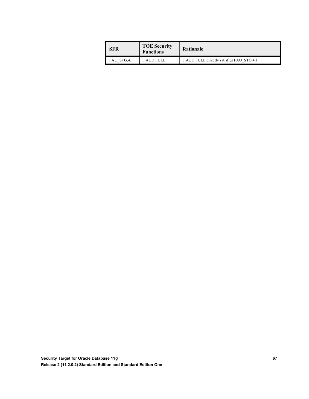| l SFR       | <b>TOE Security</b><br><b>Functions</b> | <b>Rationale</b>                          |
|-------------|-----------------------------------------|-------------------------------------------|
| FAU STG.4.1 | <b>F.AUD.FULL</b>                       | F.AUD.FULL directly satisfies FAU STG.4.1 |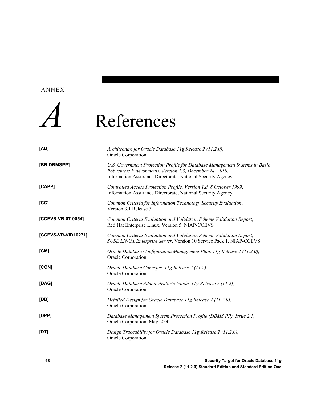#### ANNEX



## *A* References

| [AD]                | Architecture for Oracle Database 11g Release 2 (11.2.0),<br>Oracle Corporation                                                                                                                         |
|---------------------|--------------------------------------------------------------------------------------------------------------------------------------------------------------------------------------------------------|
| [BR-DBMSPP]         | U.S. Government Protection Profile for Database Management Systems in Basic<br>Robustness Environments, Version 1.3, December 24, 2010,<br>Information Assurance Directorate, National Security Agency |
| [CAPP]              | Controlled Access Protection Profile, Version 1.d, 8 October 1999,<br>Information Assurance Directorate, National Security Agency                                                                      |
| [CC]                | Common Criteria for Information Technology Security Evaluation,<br>Version 3.1 Release 3.                                                                                                              |
| [CCEVS-VR-07-0054]  | Common Criteria Evaluation and Validation Scheme Validation Report,<br>Red Hat Enterprise Linux, Version 5, NIAP-CCEVS                                                                                 |
| [CCEVS-VR-VID10271] | Common Criteria Evaluation and Validation Scheme Validation Report,<br>SUSE LINUX Enterprise Server, Version 10 Service Pack 1, NIAP-CCEVS                                                             |
| [CM]                | Oracle Database Configuration Management Plan, 11g Release 2 (11.2.0),<br>Oracle Corporation.                                                                                                          |
| [CON]               | Oracle Database Concepts, 11g Release 2 (11.2),<br>Oracle Corporation.                                                                                                                                 |
| [DAG]               | Oracle Database Administrator's Guide, 11g Release 2 (11.2),<br>Oracle Corporation.                                                                                                                    |
| [DD]                | Detailed Design for Oracle Database 11g Release 2 (11.2.0),<br>Oracle Corporation.                                                                                                                     |
| [DPP]               | Database Management System Protection Profile (DBMS PP), Issue 2.1,<br>Oracle Corporation, May 2000.                                                                                                   |
| [DT]                | Design Traceability for Oracle Database 11g Release 2 (11.2.0),<br>Oracle Corporation.                                                                                                                 |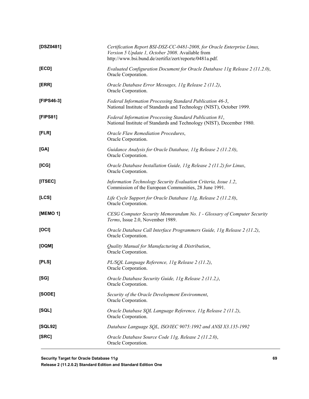| [DSZ0481]  | Certification Report BSI-DSZ-CC-0481-2008, for Oracle Enterprise Linux,<br>Version 5 Update 1, October 2008. Available from<br>http://www.bsi.bund.de/zertifiz/zert/reporte/0481a.pdf. |
|------------|----------------------------------------------------------------------------------------------------------------------------------------------------------------------------------------|
| [ECD]      | Evaluated Configuration Document for Oracle Database 11g Release 2 (11.2.0),<br>Oracle Corporation.                                                                                    |
| [ERR]      | Oracle Database Error Messages, 11g Release 2 (11.2),<br>Oracle Corporation.                                                                                                           |
| [FIPS46-3] | Federal Information Processing Standard Publication 46-3,<br>National Institute of Standards and Technology (NIST), October 1999.                                                      |
| [FIPS81]   | Federal Information Processing Standard Publication 81,<br>National Institute of Standards and Technology (NIST), December 1980.                                                       |
| [FLR]      | Oracle Flaw Remediation Procedures,<br>Oracle Corporation.                                                                                                                             |
| [GA]       | Guidance Analysis for Oracle Database, 11g Release 2 (11.2.0),<br>Oracle Corporation.                                                                                                  |
| [ICG]      | Oracle Database Installation Guide, 11g Release 2 (11.2) for Linux,<br>Oracle Corporation.                                                                                             |
| [ITSEC]    | Information Technology Security Evaluation Criteria, Issue 1.2,<br>Commission of the European Communities, 28 June 1991.                                                               |
| [LCS]      | Life Cycle Support for Oracle Database 11g, Release 2 (11.2.0),<br>Oracle Corporation.                                                                                                 |
| [MEMO 1]   | CESG Computer Security Memorandum No. 1 - Glossary of Computer Security<br>Terms, Issue 2.0, November 1989.                                                                            |
| [OCI]      | Oracle Database Call Interface Programmers Guide, 11g Release 2 (11.2),<br>Oracle Corporation.                                                                                         |
| [OQM]      | Quality Manual for Manufacturing & Distribution,<br>Oracle Corporation.                                                                                                                |
| [PLS]      | PL/SQL Language Reference, 11g Release 2 (11.2),<br>Oracle Corporation.                                                                                                                |
| [SG]       | Oracle Database Security Guide, 11g Release 2 (11.2,),<br>Oracle Corporation.                                                                                                          |
| [SODE]     | Security of the Oracle Development Environment,<br>Oracle Corporation.                                                                                                                 |
| [SQL]      | Oracle Database SQL Language Reference, 11g Release 2 (11.2),<br>Oracle Corporation.                                                                                                   |
| [SQL92]    | Database Language SQL, ISO/IEC 9075:1992 and ANSI X3.135-1992                                                                                                                          |
| [SRC]      | Oracle Database Source Code 11g, Release 2 (11.2.0),<br>Oracle Corporation.                                                                                                            |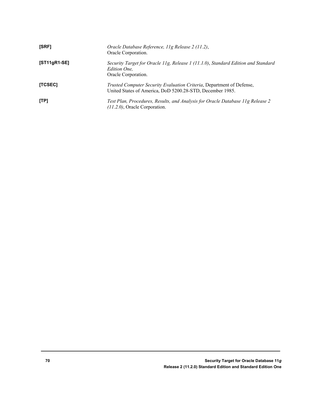| [SRF]        | Oracle Database Reference, 11g Release 2 (11.2),<br>Oracle Corporation.                                                                   |
|--------------|-------------------------------------------------------------------------------------------------------------------------------------------|
| [ST11gR1-SE] | Security Target for Oracle 11g, Release 1 (11.1.0), Standard Edition and Standard<br><i>Edition One.</i><br>Oracle Corporation.           |
| [TCSEC]      | <i>Trusted Computer Security Evaluation Criteria, Department of Defense,</i><br>United States of America, DoD 5200.28-STD, December 1985. |
| [TP]         | Test Plan, Procedures, Results, and Analysis for Oracle Database 11g Release 2<br>$(11.2.0)$ , Oracle Corporation.                        |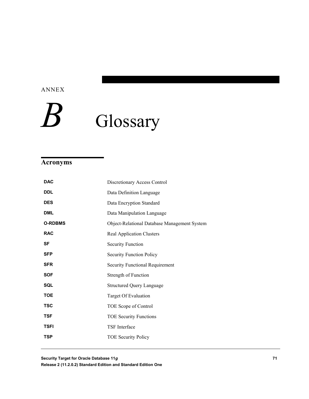ANNEX

# Glossary

### **Acronyms**

| <b>DAC</b>     | Discretionary Access Control                 |
|----------------|----------------------------------------------|
| <b>DDL</b>     | Data Definition Language                     |
| <b>DES</b>     | Data Encryption Standard                     |
| <b>DML</b>     | Data Manipulation Language                   |
| <b>O-RDBMS</b> | Object-Relational Database Management System |
| <b>RAC</b>     | <b>Real Application Clusters</b>             |
| <b>SF</b>      | <b>Security Function</b>                     |
| <b>SFP</b>     | <b>Security Function Policy</b>              |
| <b>SFR</b>     | <b>Security Functional Requirement</b>       |
| <b>SOF</b>     | Strength of Function                         |
| SQL            | <b>Structured Query Language</b>             |
| <b>TOE</b>     | Target Of Evaluation                         |
| <b>TSC</b>     | TOE Scope of Control                         |
| <b>TSF</b>     | <b>TOE Security Functions</b>                |
| <b>TSFI</b>    | TSF Interface                                |
| <b>TSP</b>     | <b>TOE Security Policy</b>                   |
|                |                                              |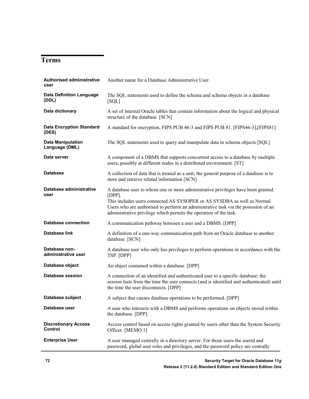#### **Terms**

| <b>Authorised administrative</b><br>user      | Another name for a Database Administrative User.                                                                                                                                                                                                                                                                                    |
|-----------------------------------------------|-------------------------------------------------------------------------------------------------------------------------------------------------------------------------------------------------------------------------------------------------------------------------------------------------------------------------------------|
| <b>Data Definition Language</b><br>(DDL)      | The SQL statements used to define the schema and schema objects in a database<br>[SQL]                                                                                                                                                                                                                                              |
| Data dictionary                               | A set of internal Oracle tables that contain information about the logical and physical<br>structure of the database. [SCN]                                                                                                                                                                                                         |
| <b>Data Encryption Standard</b><br>(DES)      | A standard for encryption, FIPS PUB 46-3 and FIPS PUB 81. [FIPS46-3], [FIPS81]                                                                                                                                                                                                                                                      |
| <b>Data Manipulation</b><br>Language (DML)    | The SQL statements used to query and manipulate data in schema objects [SQL]                                                                                                                                                                                                                                                        |
| Data server                                   | A component of a DBMS that supports concurrent access to a database by multiple<br>users, possibly at different nodes in a distributed environment. [ST]                                                                                                                                                                            |
| <b>Database</b>                               | A collection of data that is treated as a unit; the general purpose of a database is to<br>store and retrieve related information [SCN]                                                                                                                                                                                             |
| Database administrative<br>user               | A database user to whom one or more administrative privileges have been granted.<br>$[DPP]$ .<br>This includes users connected AS SYSOPER or AS SYSDBA as well as Normal<br>Users who are authorised to perform an administrative task via the posession of an<br>administrative privilege which permits the operation of the task. |
| <b>Database connection</b>                    | A communication pathway between a user and a DBMS. [DPP]                                                                                                                                                                                                                                                                            |
| <b>Database link</b>                          | A definition of a one-way communication path from an Oracle database to another<br>database. [SCN]                                                                                                                                                                                                                                  |
| Database non-<br>administrative user          | A database user who only has privileges to perform operations in accordance with the<br>TSP. [DPP]                                                                                                                                                                                                                                  |
| Database object                               | An object contained within a database. [DPP]                                                                                                                                                                                                                                                                                        |
| Database session                              | A connection of an identified and authenticated user to a specific database; the<br>session lasts from the time the user connects (and is identified and authenticated) until<br>the time the user disconnects. [DPP]                                                                                                               |
| Database subject                              | A subject that causes database operations to be performed. [DPP]                                                                                                                                                                                                                                                                    |
| Database user                                 | A user who interacts with a DBMS and performs operations on objects stored within<br>the database. [DPP]                                                                                                                                                                                                                            |
| <b>Discretionary Access</b><br><b>Control</b> | Access control based on access rights granted by users other than the System Security<br>Officer. [MEMO 1]                                                                                                                                                                                                                          |
| <b>Enterprise User</b>                        | A user managed centrally in a directory server. For those users the userid and<br>password, global user roles and privileges, and the password policy are centrally                                                                                                                                                                 |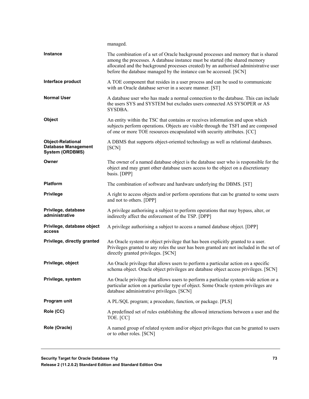|                                                                                  | managed.                                                                                                                                                                                                                                                                                                                       |
|----------------------------------------------------------------------------------|--------------------------------------------------------------------------------------------------------------------------------------------------------------------------------------------------------------------------------------------------------------------------------------------------------------------------------|
| <b>Instance</b>                                                                  | The combination of a set of Oracle background processes and memory that is shared<br>among the processes. A database instance must be started (the shared memory<br>allocated and the background processes created) by an authorised administrative user<br>before the database managed by the instance can be accessed. [SCN] |
| Interface product                                                                | A TOE component that resides in a user process and can be used to communicate<br>with an Oracle database server in a secure manner. [ST]                                                                                                                                                                                       |
| <b>Normal User</b>                                                               | A database user who has made a normal connection to the database. This can include<br>the users SYS and SYSTEM but excludes users connected AS SYSOPER or AS<br>SYSDBA.                                                                                                                                                        |
| Object                                                                           | An entity within the TSC that contains or receives information and upon which<br>subjects perform operations. Objects are visible through the TSFI and are composed<br>of one or more TOE resources encapsulated with security attributes. [CC]                                                                                |
| <b>Object-Relational</b><br><b>Database Management</b><br><b>System (ORDBMS)</b> | A DBMS that supports object-oriented technology as well as relational databases.<br>[SCN]                                                                                                                                                                                                                                      |
| Owner                                                                            | The owner of a named database object is the database user who is responsible for the<br>object and may grant other database users access to the object on a discretionary<br>basis. [DPP]                                                                                                                                      |
| <b>Platform</b>                                                                  | The combination of software and hardware underlying the DBMS. [ST]                                                                                                                                                                                                                                                             |
| <b>Privilege</b>                                                                 | A right to access objects and/or perform operations that can be granted to some users<br>and not to others. [DPP]                                                                                                                                                                                                              |
| Privilege, database<br>administrative                                            | A privilege authorising a subject to perform operations that may bypass, alter, or<br>indirectly affect the enforcement of the TSP. [DPP]                                                                                                                                                                                      |
| Privilege, database object<br>access                                             | A privilege authorising a subject to access a named database object. [DPP]                                                                                                                                                                                                                                                     |
| Privilege, directly granted                                                      | An Oracle system or object privilege that has been explicitly granted to a user.<br>Privileges granted to any roles the user has been granted are not included in the set of<br>directly granted privileges. [SCN]                                                                                                             |
| Privilege, object                                                                | An Oracle privilege that allows users to perform a particular action on a specific<br>schema object. Oracle object privileges are database object access privileges. [SCN]                                                                                                                                                     |
| Privilege, system                                                                | An Oracle privilege that allows users to perform a particular system-wide action or a<br>particular action on a particular type of object. Some Oracle system privileges are<br>database administrative privileges. [SCN]                                                                                                      |
| Program unit                                                                     | A PL/SQL program; a procedure, function, or package. [PLS]                                                                                                                                                                                                                                                                     |
| Role (CC)                                                                        | A predefined set of rules establishing the allowed interactions between a user and the<br>TOE. [CC]                                                                                                                                                                                                                            |
| Role (Oracle)                                                                    | A named group of related system and/or object privileges that can be granted to users<br>or to other roles. [SCN]                                                                                                                                                                                                              |